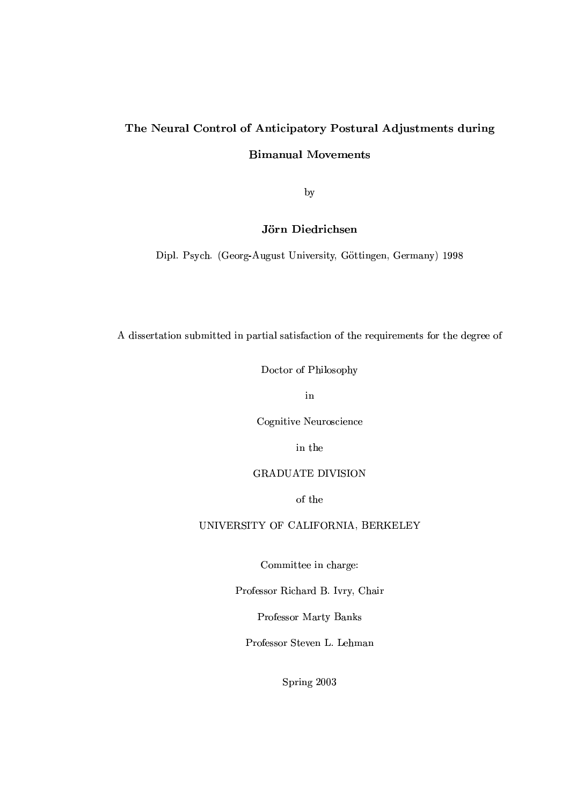## The Neural Control of Anticipatory Postural Adjustments during **Bimanual Movements**

by

### Jörn Diedrichsen

Dipl. Psych. (Georg-August University, Göttingen, Germany) 1998

A dissertation submitted in partial satisfaction of the requirements for the degree of

Doctor of Philosophy

 $in$ 

Cognitive Neuroscience

in the

### **GRADUATE DIVISION**

of the

### UNIVERSITY OF CALIFORNIA, BERKELEY

Committee in charge:

Professor Richard B. Ivry, Chair

Professor Marty Banks

Professor Steven L. Lehman

Spring 2003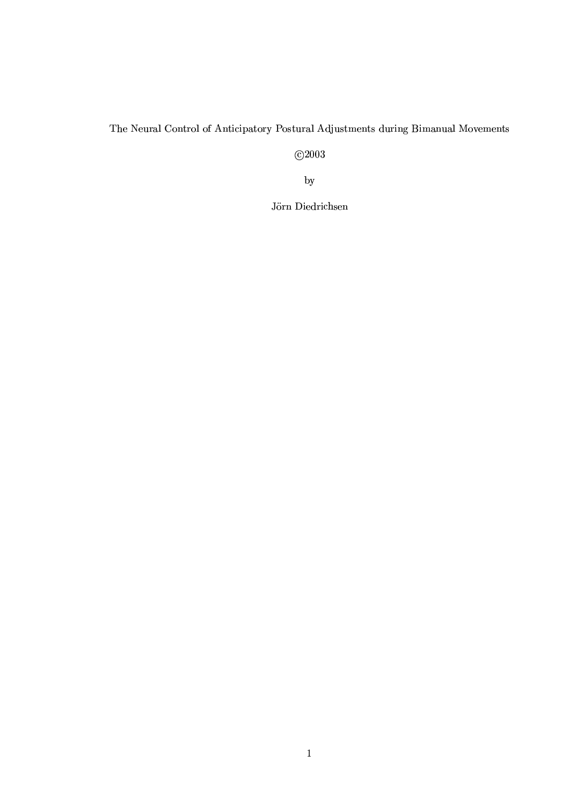### The Neural Control of Anticipatory Postural Adjustments during Bimanual Movements

 $\overline{C}$ 2003

 $_{\rm by}$ 

Jörn Diedrichsen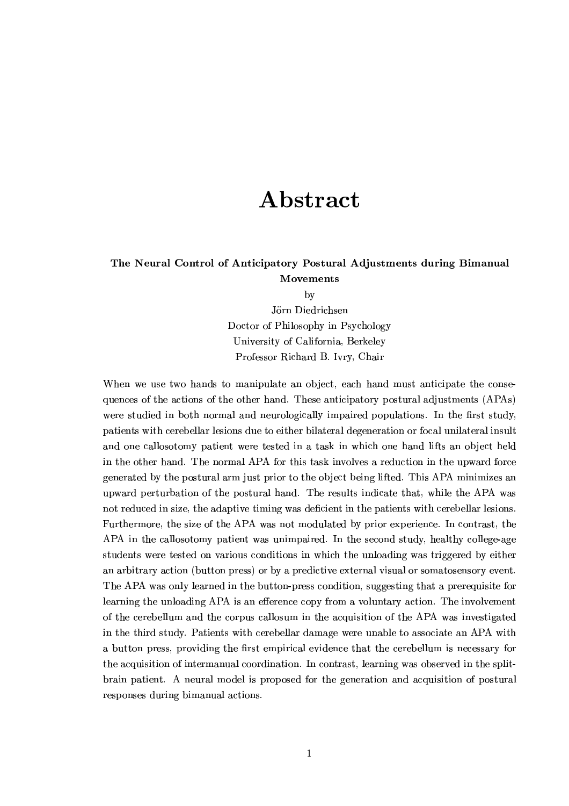## Abstract

### The Neural Control of Anticipatory Postural Adjustments during Bimanual Movements

by

Jörn Diedrichsen Doctor of Philosophy in Psychology University of California. Berkeley Professor Richard B. Ivry, Chair

When we use two hands to manipulate an object, each hand must anticipate the consequences of the actions of the other hand. These anticipatory postural adjustments (APAs) were studied in both normal and neurologically impaired populations. In the first study, patients with cerebellar lesions due to either bilateral degeneration or focal unilateral insult and one callosotomy patient were tested in a task in which one hand lifts an object held in the other hand. The normal APA for this task involves a reduction in the upward force generated by the postural arm just prior to the object being lifted. This APA minimizes an upward perturbation of the postural hand. The results indicate that, while the APA was not reduced in size, the adaptive timing was deficient in the patients with cerebellar lesions. Furthermore, the size of the APA was not modulated by prior experience. In contrast, the APA in the callosotomy patient was unimpaired. In the second study, healthy college-age students were tested on various conditions in which the unloading was triggered by either an arbitrary action (button press) or by a predictive external visual or somatosensory event. The APA was only learned in the button-press condition, suggesting that a prerequisite for learning the unloading APA is an efference copy from a voluntary action. The involvement of the cerebellum and the corpus callosum in the acquisition of the APA was investigated in the third study. Patients with cerebellar damage were unable to associate an APA with a button press, providing the first empirical evidence that the cerebellum is necessary for the acquisition of intermanual coordination. In contrast, learning was observed in the splitbrain patient. A neural model is proposed for the generation and acquisition of postural responses during bimanual actions.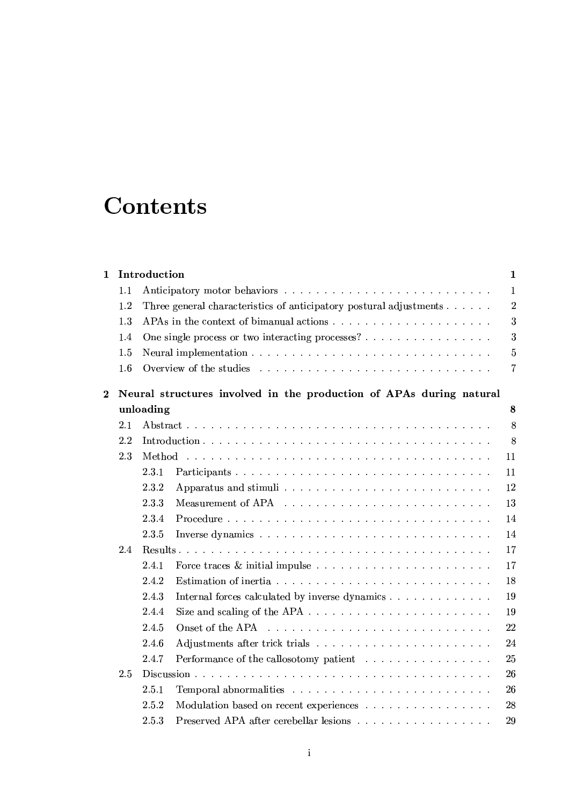## -- -

| $\mathbf{1}$   |     | Introduction |                                                                     | $\mathbf{1}$     |  |  |  |  |  |
|----------------|-----|--------------|---------------------------------------------------------------------|------------------|--|--|--|--|--|
|                | 1.1 |              |                                                                     |                  |  |  |  |  |  |
|                | 1.2 |              | Three general characteristics of anticipatory postural adjustments  | $\boldsymbol{2}$ |  |  |  |  |  |
|                | 1.3 |              |                                                                     | 3                |  |  |  |  |  |
|                | 1.4 |              | One single process or two interacting processes?                    | 3                |  |  |  |  |  |
|                | 1.5 |              |                                                                     | $\overline{5}$   |  |  |  |  |  |
|                | 1.6 |              |                                                                     | 7                |  |  |  |  |  |
| $\overline{2}$ |     |              | Neural structures involved in the production of APAs during natural |                  |  |  |  |  |  |
|                |     | unloading    |                                                                     | 8                |  |  |  |  |  |
|                | 2.1 |              |                                                                     | 8                |  |  |  |  |  |
|                | 2.2 |              |                                                                     | 8                |  |  |  |  |  |
|                | 2.3 |              |                                                                     | 11               |  |  |  |  |  |
|                |     | 2.3.1        | Participants                                                        | 11               |  |  |  |  |  |
|                |     | 2.3.2        |                                                                     | 12               |  |  |  |  |  |
|                |     | 2.3.3        |                                                                     | 13               |  |  |  |  |  |
|                |     | 2.3.4        |                                                                     | 14               |  |  |  |  |  |
|                |     | 2.3.5        |                                                                     | 14               |  |  |  |  |  |
|                | 2.4 |              |                                                                     | 17               |  |  |  |  |  |
|                |     | 2.4.1        |                                                                     | 17               |  |  |  |  |  |
|                |     | 2.4.2        |                                                                     | 18               |  |  |  |  |  |
|                |     | 2.4.3        | Internal forces calculated by inverse dynamics                      | 19               |  |  |  |  |  |
|                |     | 2.4.4        |                                                                     | 19               |  |  |  |  |  |
|                |     | 2.4.5        |                                                                     | 22               |  |  |  |  |  |
|                |     | 2.4.6        |                                                                     | 24               |  |  |  |  |  |
|                |     | 2.4.7        | Performance of the callosotomy patient                              | 25               |  |  |  |  |  |
|                | 2.5 |              |                                                                     | 26               |  |  |  |  |  |
|                |     | 2.5.1        |                                                                     | 26               |  |  |  |  |  |
|                |     | 2.5.2        | Modulation based on recent experiences                              | 28               |  |  |  |  |  |
|                |     | 2.5.3        | Preserved APA after cerebellar lesions                              | 29               |  |  |  |  |  |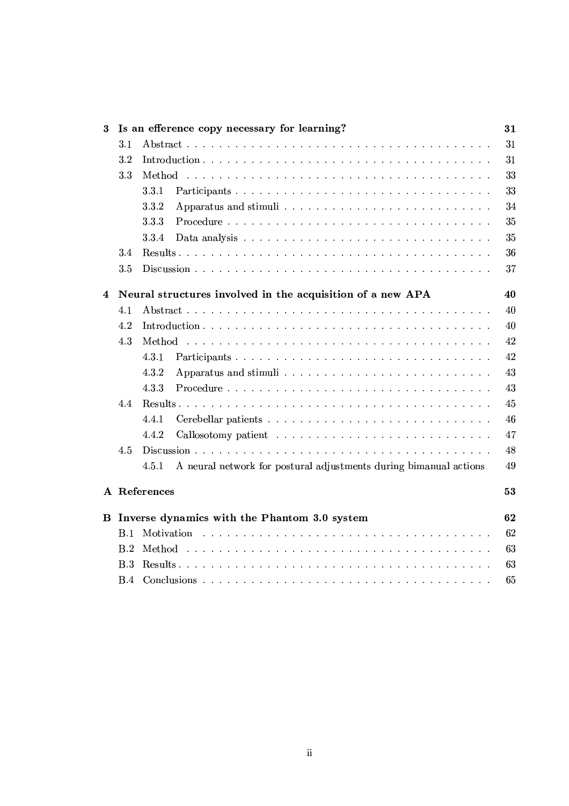| 3        |                                                                  | Is an efference copy necessary for learning?                               | 31 |  |  |  |  |  |  |  |
|----------|------------------------------------------------------------------|----------------------------------------------------------------------------|----|--|--|--|--|--|--|--|
|          | $3.1\,$                                                          |                                                                            |    |  |  |  |  |  |  |  |
|          | $3.2\,$                                                          | 31                                                                         |    |  |  |  |  |  |  |  |
|          | 3.3                                                              |                                                                            | 33 |  |  |  |  |  |  |  |
|          |                                                                  | 3.3.1                                                                      | 33 |  |  |  |  |  |  |  |
|          |                                                                  | 3.3.2                                                                      | 34 |  |  |  |  |  |  |  |
|          |                                                                  | 3.3.3                                                                      | 35 |  |  |  |  |  |  |  |
|          |                                                                  | 3.3.4                                                                      | 35 |  |  |  |  |  |  |  |
|          | 3.4                                                              |                                                                            | 36 |  |  |  |  |  |  |  |
|          | 3.5                                                              |                                                                            | 37 |  |  |  |  |  |  |  |
| 4        | 40<br>Neural structures involved in the acquisition of a new APA |                                                                            |    |  |  |  |  |  |  |  |
|          | 4.1                                                              |                                                                            | 40 |  |  |  |  |  |  |  |
|          | 4.2                                                              |                                                                            | 40 |  |  |  |  |  |  |  |
|          | 4.3                                                              |                                                                            | 42 |  |  |  |  |  |  |  |
|          |                                                                  | 4.3.1<br>Participants                                                      | 42 |  |  |  |  |  |  |  |
|          |                                                                  | 4.3.2                                                                      | 43 |  |  |  |  |  |  |  |
|          |                                                                  | 4.3.3                                                                      | 43 |  |  |  |  |  |  |  |
|          |                                                                  | 45                                                                         |    |  |  |  |  |  |  |  |
|          |                                                                  | 4.4.1                                                                      | 46 |  |  |  |  |  |  |  |
|          |                                                                  | 4.4.2                                                                      | 47 |  |  |  |  |  |  |  |
|          | 4.5                                                              |                                                                            | 48 |  |  |  |  |  |  |  |
|          |                                                                  | 4.5.1<br>A neural network for postural adjustments during bimanual actions | 49 |  |  |  |  |  |  |  |
|          |                                                                  | A References                                                               | 53 |  |  |  |  |  |  |  |
| $\bf{B}$ |                                                                  | Inverse dynamics with the Phantom 3.0 system                               | 62 |  |  |  |  |  |  |  |
|          | B.1                                                              |                                                                            | 62 |  |  |  |  |  |  |  |
|          | B.2                                                              |                                                                            | 63 |  |  |  |  |  |  |  |
|          | B.3                                                              |                                                                            | 63 |  |  |  |  |  |  |  |
|          | B.4                                                              |                                                                            | 65 |  |  |  |  |  |  |  |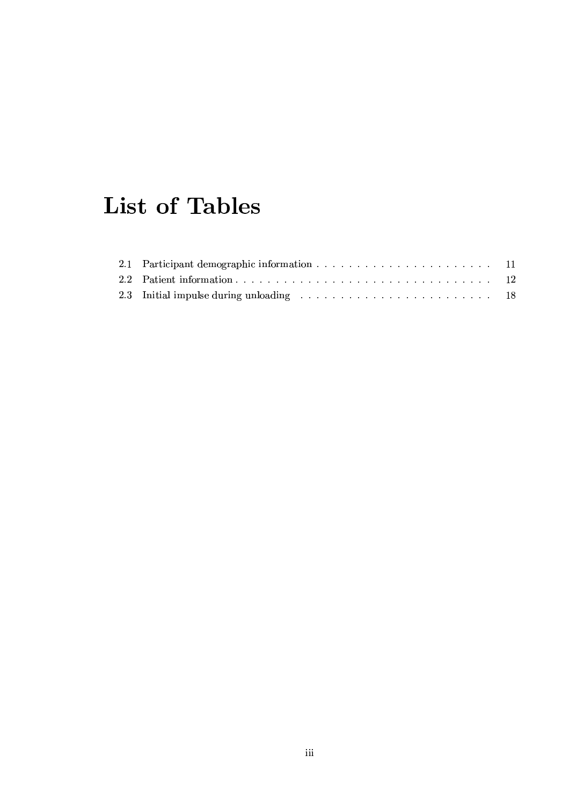# **List of Tables**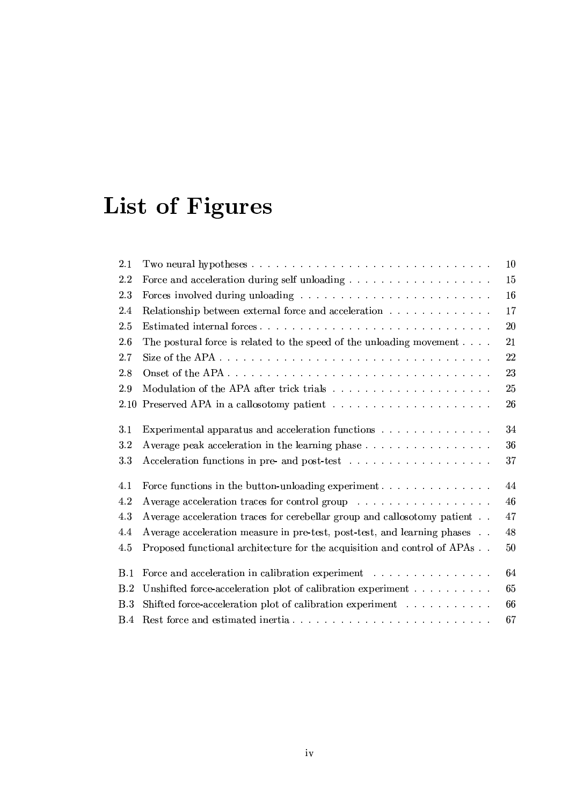# List of Figures

| 2.1  | 10                                                                                       |
|------|------------------------------------------------------------------------------------------|
| 2.2  | 15                                                                                       |
| 2.3  | 16                                                                                       |
| 2.4  | 17<br>Relationship between external force and acceleration $\ldots \ldots \ldots \ldots$ |
| 2.5  | 20                                                                                       |
| 2.6  | 21<br>The postural force is related to the speed of the unloading movement $\ldots$ .    |
| 2.7  | 22                                                                                       |
| 2.8  | 23                                                                                       |
| 2.9  | 25                                                                                       |
| 2.10 | 26                                                                                       |
| 3.1  | 34<br>Experimental apparatus and acceleration functions                                  |
| 3.2  | 36<br>Average peak acceleration in the learning phase                                    |
| 3.3  | 37                                                                                       |
| 4.1  | 44                                                                                       |
| 4.2  | 46<br>Average acceleration traces for control group                                      |
| 4.3  | Average acceleration traces for cerebellar group and callosotomy patient<br>47           |
| 4.4  | 48<br>Average acceleration measure in pre-test, post-test, and learning phases           |
| 4.5  | Proposed functional architecture for the acquisition and control of APAs<br>50           |
| B.1  | 64<br>Force and acceleration in calibration experiment                                   |
| B.2  | Unshifted force-acceleration plot of calibration experiment<br>65                        |
| B.3  | Shifted force-acceleration plot of calibration experiment<br>66                          |
| B.4  | 67                                                                                       |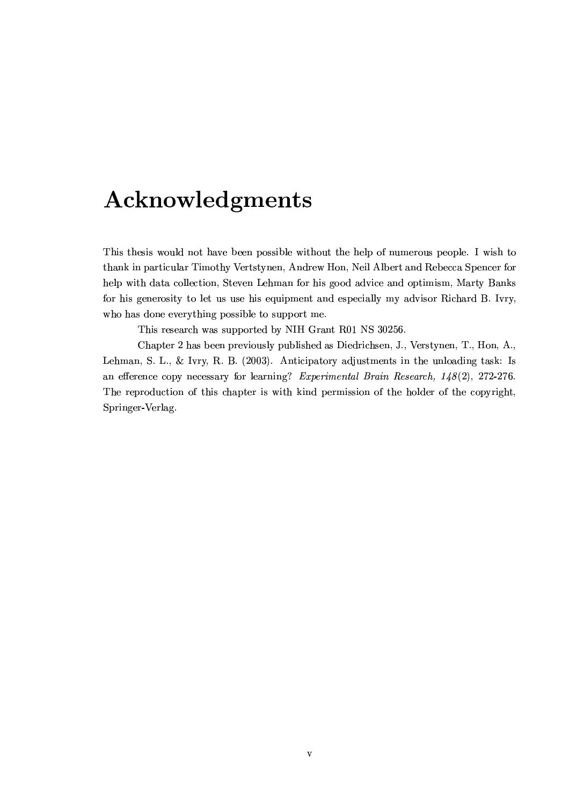## Acknowledgments

This thesis would not have been possible without the help of numerous people. I wish to thank in particular Timothy Vertstynen, Andrew Hon, Neil Albert and Rebecca Spencer for help with data collection, Steven Lehman for his good advice and optimism, Marty Banks for his generosity to let us use his equipment and especially my advisor Richard B. Ivry, who has done everything possible to support me.

This research was supported by NIH Grant R01 NS 30256.

Chapter 2 has been previously published as Diedrichsen, J., Verstynen, T., Hon, A., Lehman, S. L., & Ivry, R. B. (2003). Anticipatory adjustments in the unloading task: Is an efference copy necessary for learning? Experimental Brain Research,  $148(2)$ , 272-276. The reproduction of this chapter is with kind permission of the holder of the copyright, Springer-Verlag.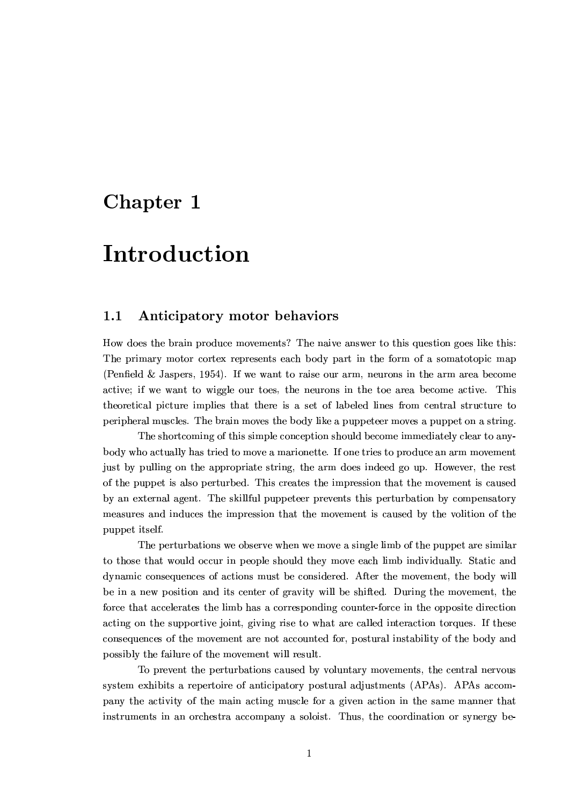### Chapter 1

## Introduction

#### $1.1$ Anticipatory motor behaviors

How does the brain produce movements? The naive answer to this question goes like this: The primary motor cortex represents each body part in the form of a somatotopic map (Penfield & Jaspers, 1954). If we want to raise our arm, neurons in the arm area become active; if we want to wiggle our toes, the neurons in the toe area become active. This theoretical picture implies that there is a set of labeled lines from central structure to peripheral muscles. The brain moves the body like a puppeteer moves a puppet on a string.

The shortcoming of this simple conception should become immediately clear to anybody who actually has tried to move a marionette. If one tries to produce an arm movement just by pulling on the appropriate string, the arm does indeed go up. However, the rest of the puppet is also perturbed. This creates the impression that the movement is caused by an external agent. The skillful puppeteer prevents this perturbation by compensatory measures and induces the impression that the movement is caused by the volition of the puppet itself.

The perturbations we observe when we move a single limb of the puppet are similar to those that would occur in people should they move each limb individually. Static and dynamic consequences of actions must be considered. After the movement, the body will be in a new position and its center of gravity will be shifted. During the movement, the force that accelerates the limb has a corresponding counter-force in the opposite direction acting on the supportive joint, giving rise to what are called interaction torques. If these consequences of the movement are not accounted for, postural instability of the body and possibly the failure of the movement will result.

To prevent the perturbations caused by voluntary movements, the central nervous system exhibits a repertoire of anticipatory postural adjustments (APAs). APAs accompany the activity of the main acting muscle for a given action in the same manner that instruments in an orchestra accompany a soloist. Thus, the coordination or synergy be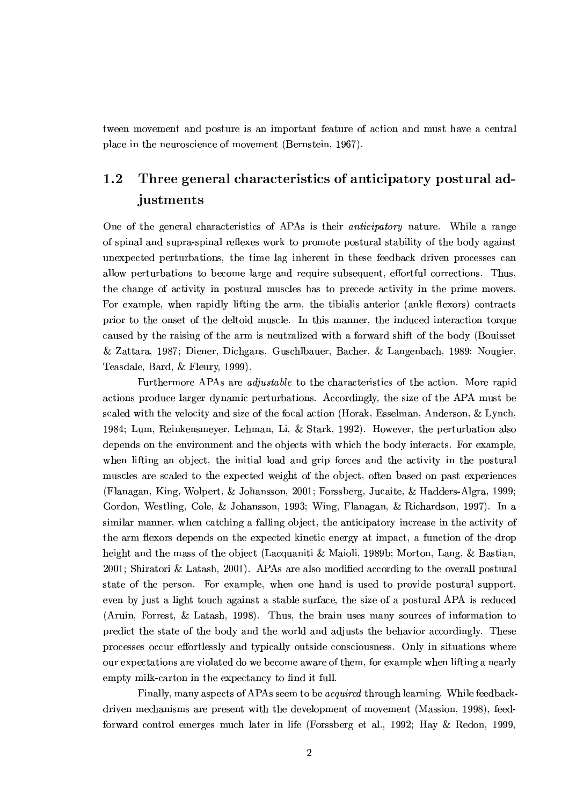tween movement and posture is an important feature of action and must have a central place in the neuroscience of movement (Bernstein, 1967).

### $1.2$ Three general characteristics of anticipatory postural adjustments

One of the general characteristics of APAs is their *anticipatory* nature. While a range of spinal and supra-spinal reflexes work to promote postural stability of the body against unexpected perturbations, the time lag inherent in these feedback driven processes can allow perturbations to become large and require subsequent, effortful corrections. Thus, the change of activity in postural muscles has to precede activity in the prime movers. For example, when rapidly lifting the arm, the tibialis anterior (ankle flexors) contracts prior to the onset of the deltoid muscle. In this manner, the induced interaction torque caused by the raising of the arm is neutralized with a forward shift of the body (Bouisset & Zattara, 1987; Diener, Dichgans, Guschlbauer, Bacher, & Langenbach, 1989; Nougier, Teasdale, Bard, & Fleury, 1999).

Furthermore APAs are *adjustable* to the characteristics of the action. More rapid actions produce larger dynamic perturbations. Accordingly, the size of the APA must be scaled with the velocity and size of the focal action (Horak, Esselman, Anderson, & Lynch, 1984; Lum, Reinkensmeyer, Lehman, Li, & Stark, 1992). However, the perturbation also depends on the environment and the objects with which the body interacts. For example, when lifting an object, the initial load and grip forces and the activity in the postural muscles are scaled to the expected weight of the object, often based on past experiences (Flanagan, King, Wolpert, & Johansson, 2001; Forssberg, Jucaite, & Hadders-Algra, 1999; Gordon, Westling, Cole, & Johansson, 1993; Wing, Flanagan, & Richardson, 1997). In a similar manner, when catching a falling object, the anticipatory increase in the activity of the arm flexors depends on the expected kinetic energy at impact, a function of the drop height and the mass of the object (Lacquaniti & Maioli, 1989b; Morton, Lang, & Bastian, 2001; Shiratori & Latash, 2001). APAs are also modified according to the overall postural state of the person. For example, when one hand is used to provide postural support, even by just a light touch against a stable surface, the size of a postural APA is reduced (Aruin, Forrest, & Latash, 1998). Thus, the brain uses many sources of information to predict the state of the body and the world and adjusts the behavior accordingly. These processes occur effortlessly and typically outside consciousness. Only in situations where our expectations are violated do we become aware of them, for example when lifting a nearly empty milk-carton in the expectancy to find it full.

Finally, many aspects of APAs seem to be *acquired* through learning. While feedbackdriven mechanisms are present with the development of movement (Massion, 1998), feedforward control emerges much later in life (Forssberg et al., 1992; Hay & Redon, 1999,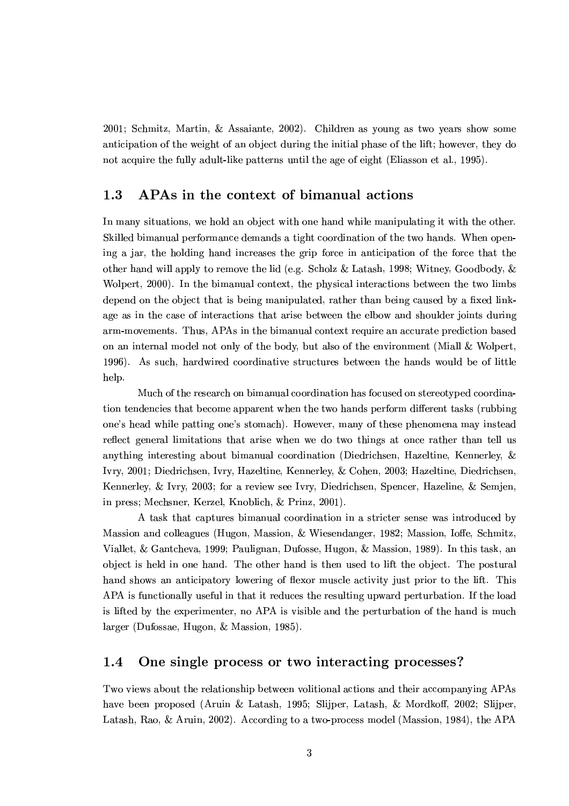2001; Schmitz, Martin, & Assaiante, 2002). Children as young as two years show some anticipation of the weight of an object during the initial phase of the lift; however, they do not acquire the fully adult-like patterns until the age of eight (Eliasson et al., 1995).

#### $1.3$ APAs in the context of bimanual actions

In many situations, we hold an object with one hand while manipulating it with the other. Skilled bimanual performance demands a tight coordination of the two hands. When opening a jar, the holding hand increases the grip force in anticipation of the force that the other hand will apply to remove the lid (e.g. Scholz & Latash, 1998; Witney, Goodbody, & Wolpert, 2000). In the bimanual context, the physical interactions between the two limbs depend on the object that is being manipulated, rather than being caused by a fixed linkage as in the case of interactions that arise between the elbow and shoulder joints during arm-movements. Thus, APAs in the bimanual context require an accurate prediction based on an internal model not only of the body, but also of the environment (Miall & Wolpert, 1996). As such, hardwired coordinative structures between the hands would be of little help.

Much of the research on bimanual coordination has focused on stereotyped coordination tendencies that become apparent when the two hands perform different tasks (rubbing one's head while patting one's stomach). However, many of these phenomena may instead reflect general limitations that arise when we do two things at once rather than tell us anything interesting about bimanual coordination (Diedrichsen, Hazeltine, Kennerley, & Ivry, 2001; Diedrichsen, Ivry, Hazeltine, Kennerley, & Cohen, 2003; Hazeltine, Diedrichsen, Kennerley, & Ivry, 2003; for a review see Ivry, Diedrichsen, Spencer, Hazeline, & Semjen, in press; Mechsner, Kerzel, Knoblich, & Prinz, 2001).

A task that captures bimanual coordination in a stricter sense was introduced by Massion and colleagues (Hugon, Massion, & Wiesendanger, 1982; Massion, Ioffe, Schmitz, Viallet, & Gantcheva, 1999; Paulignan, Dufosse, Hugon, & Massion, 1989). In this task, an object is held in one hand. The other hand is then used to lift the object. The postural hand shows an anticipatory lowering of flexor muscle activity just prior to the lift. This APA is functionally useful in that it reduces the resulting upward perturbation. If the load is lifted by the experimenter, no APA is visible and the perturbation of the hand is much larger (Dufossae, Hugon, & Massion, 1985).

#### One single process or two interacting processes? 1.4

Two views about the relationship between volitional actions and their accompanying APAs have been proposed (Aruin & Latash, 1995; Slijper, Latash, & Mordkoff, 2002; Slijper, Latash, Rao, & Aruin, 2002). According to a two-process model (Massion, 1984), the APA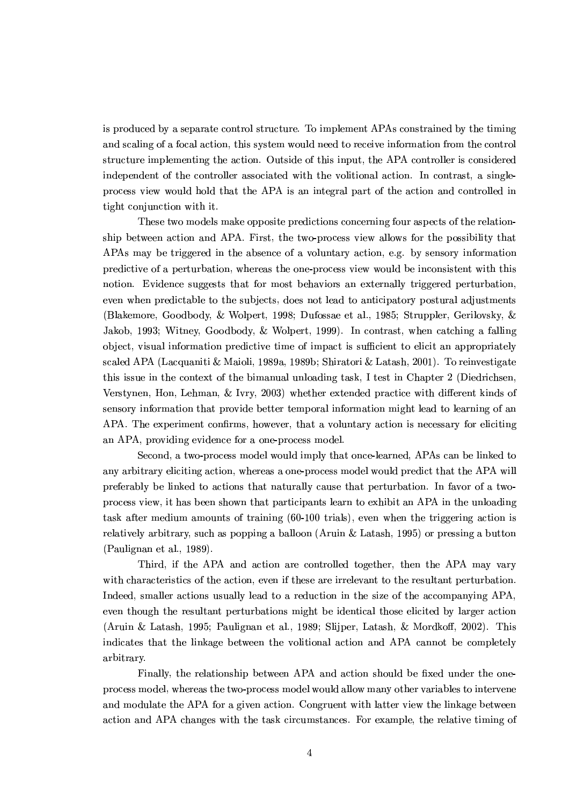is produced by a separate control structure. To implement APAs constrained by the timing and scaling of a focal action, this system would need to receive information from the control structure implementing the action. Outside of this input, the APA controller is considered independent of the controller associated with the volitional action. In contrast, a singleprocess view would hold that the APA is an integral part of the action and controlled in tight conjunction with it.

These two models make opposite predictions concerning four aspects of the relationship between action and APA. First, the two-process view allows for the possibility that APAs may be triggered in the absence of a voluntary action, e.g. by sensory information predictive of a perturbation, whereas the one-process view would be inconsistent with this notion. Evidence suggests that for most behaviors an externally triggered perturbation. even when predictable to the subjects, does not lead to anticipatory postural adjustments (Blakemore, Goodbody, & Wolpert, 1998; Dufossae et al., 1985; Struppler, Gerilovsky, & Jakob, 1993; Witney, Goodbody, & Wolpert, 1999). In contrast, when catching a falling object, visual information predictive time of impact is sufficient to elicit an appropriately scaled APA (Lacquaniti & Maioli, 1989a, 1989b; Shiratori & Latash, 2001). To reinvestigate this issue in the context of the bimanual unloading task, I test in Chapter 2 (Diedrichsen, Verstynen, Hon, Lehman, & Ivry, 2003) whether extended practice with different kinds of sensory information that provide better temporal information might lead to learning of an APA. The experiment confirms, however, that a voluntary action is necessary for eliciting an APA, providing evidence for a one-process model.

Second, a two-process model would imply that once-learned, APAs can be linked to any arbitrary eliciting action, whereas a one-process model would predict that the APA will preferably be linked to actions that naturally cause that perturbation. In favor of a twoprocess view, it has been shown that participants learn to exhibit an APA in the unloading task after medium amounts of training (60-100 trials), even when the triggering action is relatively arbitrary, such as popping a balloon (Aruin & Latash, 1995) or pressing a button (Paulignan et al., 1989).

Third, if the APA and action are controlled together, then the APA may vary with characteristics of the action, even if these are irrelevant to the resultant perturbation. Indeed, smaller actions usually lead to a reduction in the size of the accompanying APA, even though the resultant perturbations might be identical those elicited by larger action (Aruin & Latash, 1995; Paulignan et al., 1989; Slijper, Latash, & Mordkoff, 2002). This indicates that the linkage between the volitional action and APA cannot be completely arbitrary.

Finally, the relationship between APA and action should be fixed under the oneprocess model, whereas the two-process model would allow many other variables to intervene and modulate the APA for a given action. Congruent with latter view the linkage between action and APA changes with the task circumstances. For example, the relative timing of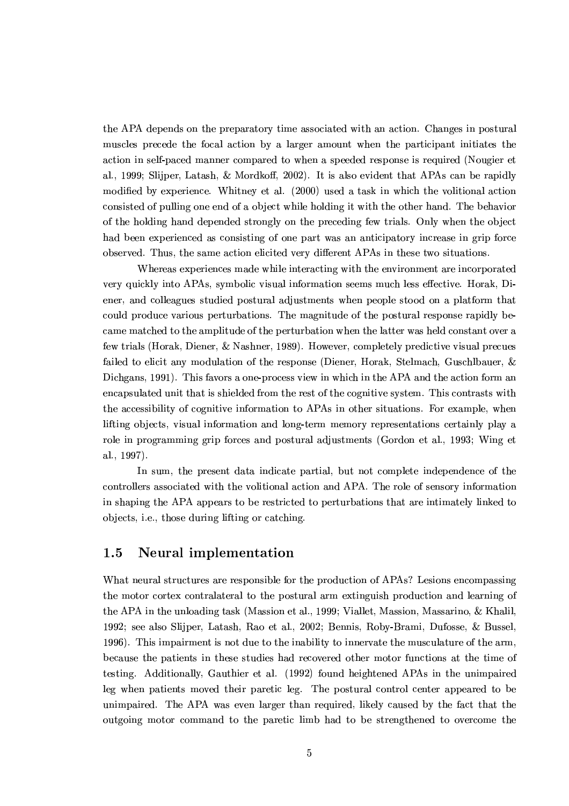the APA depends on the preparatory time associated with an action. Changes in postural muscles precede the focal action by a larger amount when the participant initiates the action in self-paced manner compared to when a speeded response is required (Nougier et al., 1999; Slijper, Latash, & Mordkoff, 2002). It is also evident that APAs can be rapidly modified by experience. Whitney et al. (2000) used a task in which the volitional action consisted of pulling one end of a object while holding it with the other hand. The behavior of the holding hand depended strongly on the preceding few trials. Only when the object had been experienced as consisting of one part was an anticipatory increase in grip force observed. Thus, the same action elicited very different APAs in these two situations.

Whereas experiences made while interacting with the environment are incorporated very quickly into APAs, symbolic visual information seems much less effective. Horak, Diener, and colleagues studied postural adjustments when people stood on a platform that could produce various perturbations. The magnitude of the postural response rapidly became matched to the amplitude of the perturbation when the latter was held constant over a few trials (Horak, Diener, & Nashner, 1989). However, completely predictive visual precues failed to elicit any modulation of the response (Diener, Horak, Stelmach, Guschlbauer, & Dichgans, 1991). This favors a one-process view in which in the APA and the action form an encapsulated unit that is shielded from the rest of the cognitive system. This contrasts with the accessibility of cognitive information to APAs in other situations. For example, when lifting objects, visual information and long-term memory representations certainly play a role in programming grip forces and postural adjustments (Gordon et al., 1993; Wing et al., 1997).

In sum, the present data indicate partial, but not complete independence of the controllers associated with the volitional action and APA. The role of sensory information in shaping the APA appears to be restricted to perturbations that are intimately linked to objects, i.e., those during lifting or catching.

#### 1.5 Neural implementation

What neural structures are responsible for the production of APAs? Lesions encompassing the motor cortex contralateral to the postural arm extinguish production and learning of the APA in the unloading task (Massion et al., 1999; Viallet, Massion, Massarino, & Khalil, 1992; see also Slijper, Latash, Rao et al., 2002; Bennis, Roby-Brami, Dufosse, & Bussel, 1996). This impairment is not due to the inability to innervate the musculature of the arm, because the patients in these studies had recovered other motor functions at the time of testing. Additionally, Gauthier et al. (1992) found heightened APAs in the unimpaired leg when patients moved their paretic leg. The postural control center appeared to be unimpaired. The APA was even larger than required, likely caused by the fact that the outgoing motor command to the paretic limb had to be strengthened to overcome the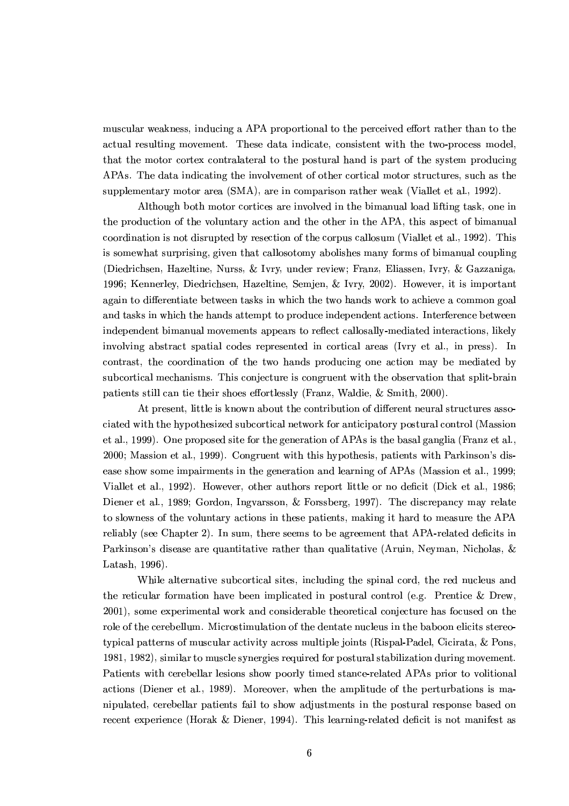muscular weakness, inducing a APA proportional to the perceived effort rather than to the actual resulting movement. These data indicate, consistent with the two-process model, that the motor cortex contralateral to the postural hand is part of the system producing APAs. The data indicating the involvement of other cortical motor structures, such as the supplementary motor area (SMA), are in comparison rather weak (Viallet et al., 1992).

Although both motor cortices are involved in the bimanual load lifting task, one in the production of the voluntary action and the other in the APA, this aspect of bimanual coordination is not disrupted by resection of the corpus callosum (Viallet et al., 1992). This is somewhat surprising, given that callosotomy abolishes many forms of bimanual coupling (Diedrichsen, Hazeltine, Nurss, & Ivry, under review; Franz, Eliassen, Ivry, & Gazzaniga, 1996: Kennerley, Diedrichsen, Hazeltine, Semien, & Ivry, 2002). However, it is important again to differentiate between tasks in which the two hands work to achieve a common goal and tasks in which the hands attempt to produce independent actions. Interference between independent bimanual movements appears to reflect callosally-mediated interactions, likely involving abstract spatial codes represented in cortical areas (Ivry et al., in press). In contrast, the coordination of the two hands producing one action may be mediated by subcortical mechanisms. This conjecture is congruent with the observation that split-brain patients still can tie their shoes effortlessly (Franz, Waldie, & Smith, 2000).

At present, little is known about the contribution of different neural structures associated with the hypothesized subcortical network for anticipatory postural control (Massion et al., 1999). One proposed site for the generation of APAs is the basal ganglia (Franz et al., 2000; Massion et al., 1999). Congruent with this hypothesis, patients with Parkinson's disease show some impairments in the generation and learning of APAs (Massion et al., 1999; Viallet et al., 1992). However, other authors report little or no deficit (Dick et al., 1986; Diener et al., 1989; Gordon, Ingvarsson, & Forssberg, 1997). The discrepancy may relate to slowness of the voluntary actions in these patients, making it hard to measure the APA reliably (see Chapter 2). In sum, there seems to be agreement that APA-related deficits in Parkinson's disease are quantitative rather than qualitative (Aruin, Neyman, Nicholas, & Latash, 1996).

While alternative subcortical sites, including the spinal cord, the red nucleus and the reticular formation have been implicated in postural control (e.g. Prentice & Drew, 2001), some experimental work and considerable theoretical conjecture has focused on the role of the cerebellum. Microstimulation of the dentate nucleus in the baboon elicits stereotypical patterns of muscular activity across multiple joints (Rispal-Padel, Cicirata, & Pons, 1981, 1982), similar to muscle synergies required for postural stabilization during movement. Patients with cerebellar lesions show poorly timed stance-related APAs prior to volitional actions (Diener et al., 1989). Moreover, when the amplitude of the perturbations is manipulated, cerebellar patients fail to show adjustments in the postural response based on recent experience (Horak & Diener, 1994). This learning-related deficit is not manifest as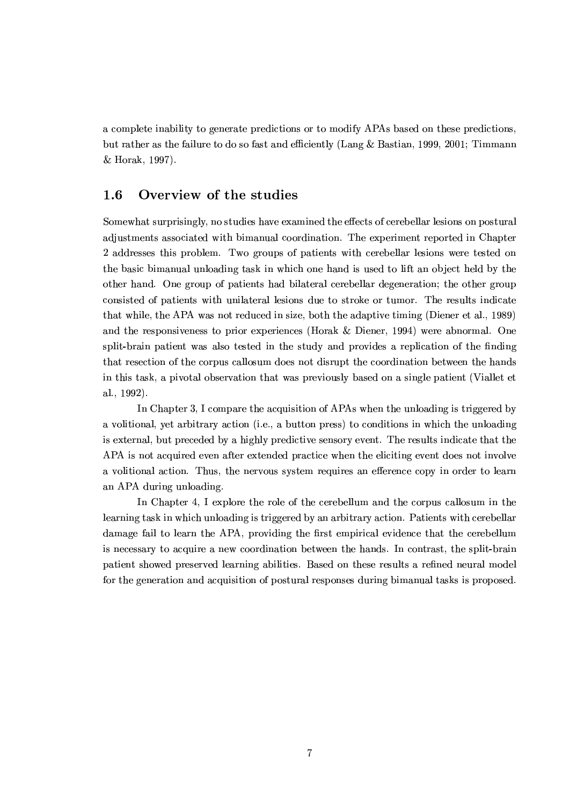a complete inability to generate predictions or to modify APAs based on these predictions, but rather as the failure to do so fast and efficiently (Lang & Bastian, 1999, 2001; Timmann & Horak, 1997).

#### $1.6$ Overview of the studies

Somewhat surprisingly, no studies have examined the effects of cerebellar lesions on postural adjustments associated with bimanual coordination. The experiment reported in Chapter 2 addresses this problem. Two groups of patients with cerebellar lesions were tested on the basic bimanual unloading task in which one hand is used to lift an object held by the other hand. One group of patients had bilateral cerebellar degeneration; the other group consisted of patients with unilateral lesions due to stroke or tumor. The results indicate that while, the APA was not reduced in size, both the adaptive timing (Diener et al., 1989) and the responsiveness to prior experiences (Horak & Diener, 1994) were abnormal. One split-brain patient was also tested in the study and provides a replication of the finding that resection of the corpus callosum does not disrupt the coordination between the hands in this task, a pivotal observation that was previously based on a single patient (Viallet et al., 1992).

In Chapter 3, I compare the acquisition of APAs when the unloading is triggered by a volitional, yet arbitrary action (i.e., a button press) to conditions in which the unloading is external, but preceded by a highly predictive sensory event. The results indicate that the APA is not acquired even after extended practice when the eliciting event does not involve a volitional action. Thus, the nervous system requires an efference copy in order to learn an APA during unloading.

In Chapter 4, I explore the role of the cerebellum and the corpus callosum in the learning task in which unloading is triggered by an arbitrary action. Patients with cerebellar damage fail to learn the APA, providing the first empirical evidence that the cerebellum is necessary to acquire a new coordination between the hands. In contrast, the split-brain patient showed preserved learning abilities. Based on these results a refined neural model for the generation and acquisition of postural responses during bimanual tasks is proposed.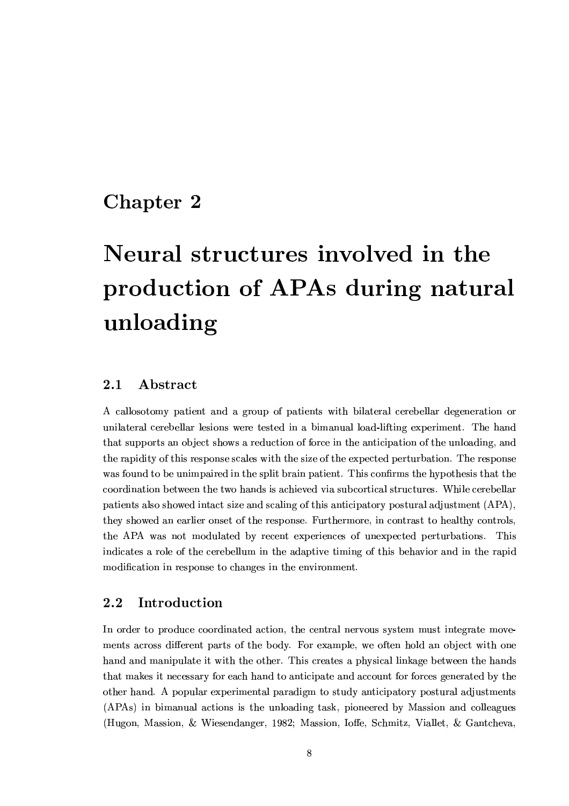## Chapter 2

# Neural structures involved in the production of APAs during natural unloading

#### $2.1$  ${\bf Abstract}$

A callosotomy patient and a group of patients with bilateral cerebellar degeneration or unilateral cerebellar lesions were tested in a bimanual load-lifting experiment. The hand that supports an object shows a reduction of force in the anticipation of the unloading, and the rapidity of this response scales with the size of the expected perturbation. The response was found to be unimpaired in the split brain patient. This confirms the hypothesis that the coordination between the two hands is achieved via subcortical structures. While cerebellar patients also showed intact size and scaling of this anticipatory postural adjustment (APA), they showed an earlier onset of the response. Furthermore, in contrast to healthy controls. the APA was not modulated by recent experiences of unexpected perturbations. This indicates a role of the cerebellum in the adaptive timing of this behavior and in the rapid modification in response to changes in the environment.

#### $2.2$ Introduction

In order to produce coordinated action, the central nervous system must integrate movements across different parts of the body. For example, we often hold an object with one hand and manipulate it with the other. This creates a physical linkage between the hands that makes it necessary for each hand to anticipate and account for forces generated by the other hand. A popular experimental paradigm to study anticipatory postural adjustments (APAs) in bimanual actions is the unloading task, pioneered by Massion and colleagues (Hugon, Massion, & Wiesendanger, 1982; Massion, Ioffe, Schmitz, Viallet, & Gantcheva,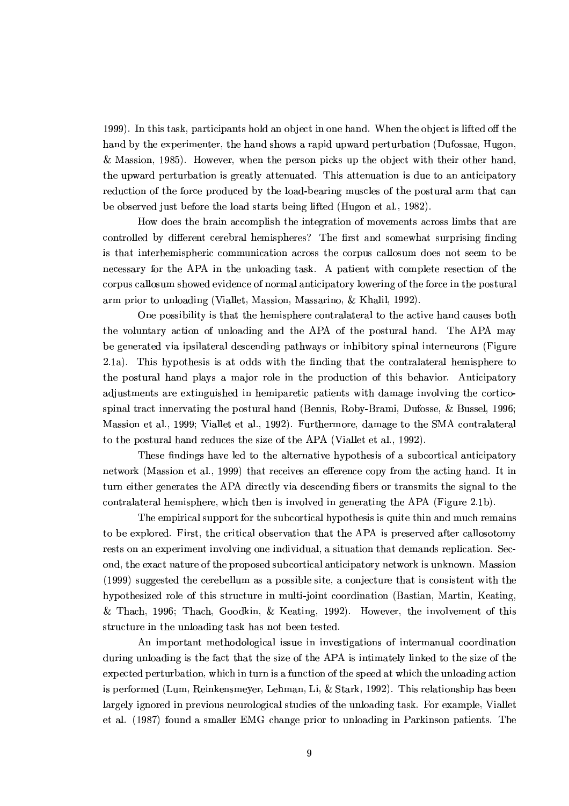1999). In this task, participants hold an object in one hand. When the object is lifted off the hand by the experimenter, the hand shows a rapid upward perturbation (Dufossae, Hugon, & Massion, 1985). However, when the person picks up the object with their other hand, the upward perturbation is greatly attenuated. This attenuation is due to an anticipatory reduction of the force produced by the load-bearing muscles of the postural arm that can be observed just before the load starts being lifted (Hugon et al., 1982).

How does the brain accomplish the integration of movements across limbs that are controlled by different cerebral hemispheres? The first and somewhat surprising finding is that interhemispheric communication across the corpus callosum does not seem to be necessary for the APA in the unloading task. A patient with complete resection of the corpus callosum showed evidence of normal anticipatory lowering of the force in the postural arm prior to unloading (Viallet, Massion, Massarino, & Khalil, 1992).

One possibility is that the hemisphere contralateral to the active hand causes both the voluntary action of unloading and the APA of the postural hand. The APA may be generated via ipsilateral descending pathways or inhibitory spinal interneurons (Figure 2.1a). This hypothesis is at odds with the finding that the contralateral hemisphere to the postural hand plays a major role in the production of this behavior. Anticipatory adjustments are extinguished in hemiparetic patients with damage involving the corticospinal tract innervating the postural hand (Bennis, Roby-Brami, Dufosse, & Bussel, 1996; Massion et al., 1999; Viallet et al., 1992). Furthermore, damage to the SMA contralateral to the postural hand reduces the size of the APA (Viallet et al., 1992).

These findings have led to the alternative hypothesis of a subcortical anticipatory network (Massion et al., 1999) that receives an efference copy from the acting hand. It in turn either generates the APA directly via descending fibers or transmits the signal to the contralateral hemisphere, which then is involved in generating the APA (Figure 2.1b).

The empirical support for the subcortical hypothesis is quite thin and much remains to be explored. First, the critical observation that the APA is preserved after callosotomy rests on an experiment involving one individual, a situation that demands replication. Second, the exact nature of the proposed subcortical anticipatory network is unknown. Massion  $(1999)$  suggested the cerebellum as a possible site, a conjecture that is consistent with the hypothesized role of this structure in multi-joint coordination (Bastian, Martin, Keating, & Thach, 1996; Thach, Goodkin, & Keating, 1992). However, the involvement of this structure in the unloading task has not been tested.

An important methodological issue in investigations of intermanual coordination during unloading is the fact that the size of the APA is intimately linked to the size of the expected perturbation, which in turn is a function of the speed at which the unloading action is performed (Lum, Reinkensmeyer, Lehman, Li, & Stark, 1992). This relationship has been largely ignored in previous neurological studies of the unloading task. For example, Viallet et al. (1987) found a smaller EMG change prior to unloading in Parkinson patients. The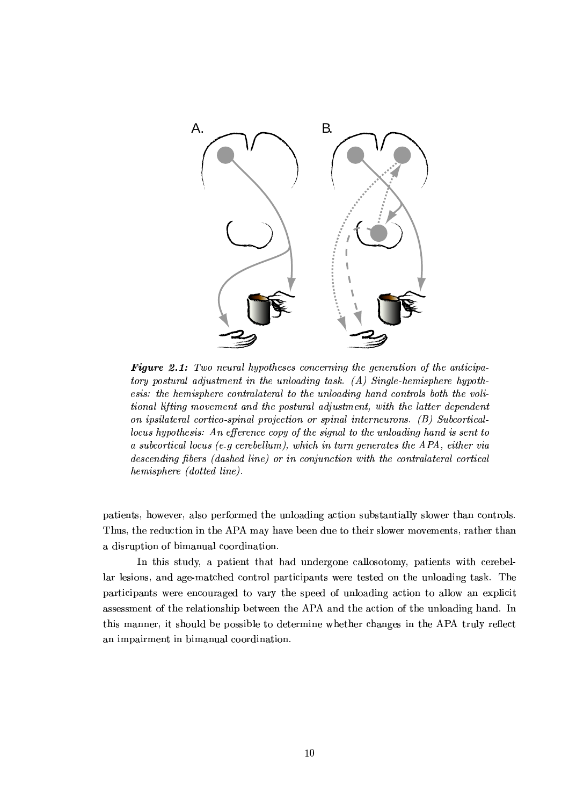

Figure 2.1: Two neural hypotheses concerning the generation of the anticipatory postural adjustment in the unloading task.  $(A)$  Single-hemisphere hypothesis: the hemisphere contralateral to the unloading hand controls both the volitional lifting movement and the postural adjustment, with the latter dependent on ipsilateral cortico-spinal projection or spinal interneurons. (B) Subcorticallocus hypothesis: An efference copy of the signal to the unloading hand is sent to a subcortical locus (e.g cerebellum), which in turn generates the APA, either via descending fibers (dashed line) or in conjunction with the contralateral cortical hemisphere (dotted line).

patients, however, also performed the unloading action substantially slower than controls. Thus, the reduction in the APA may have been due to their slower movements, rather than a disruption of bimanual coordination.

In this study, a patient that had undergone callosotomy, patients with cerebellar lesions, and age-matched control participants were tested on the unloading task. The participants were encouraged to vary the speed of unloading action to allow an explicit assessment of the relationship between the APA and the action of the unloading hand. In this manner, it should be possible to determine whether changes in the APA truly reflect an impairment in bimanual coordination.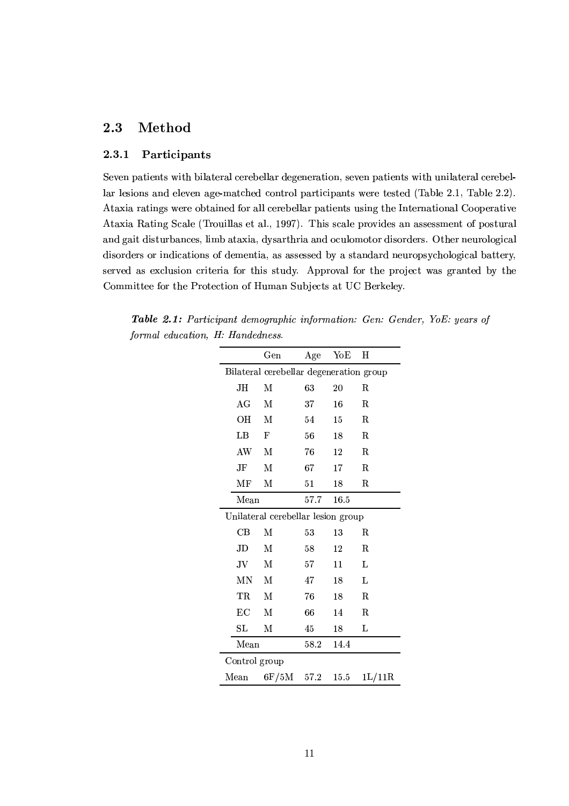#### $2.3$ Method

#### $2.3.1$ Participants

Seven patients with bilateral cerebellar degeneration, seven patients with unilateral cerebellar lesions and eleven age-matched control participants were tested (Table 2.1, Table 2.2). Ataxia ratings were obtained for all cerebellar patients using the International Cooperative Ataxia Rating Scale (Trouillas et al., 1997). This scale provides an assessment of postural and gait disturbances, limb ataxia, dysarthria and oculomotor disorders. Other neurological disorders or indications of dementia, as assessed by a standard neuropsychological battery, served as exclusion criteria for this study. Approval for the project was granted by the Committee for the Protection of Human Subjects at UC Berkeley.

**Table 2.1:** Participant demographic information: Gen: Gender, YoE: years of formal education, H: Handedness.

|                                         | $_{\rm Gen}$ | Age    | $\rm YoE$ | н                            |  |  |
|-----------------------------------------|--------------|--------|-----------|------------------------------|--|--|
| Bilateral cerebellar degeneration group |              |        |           |                              |  |  |
| JH                                      | М            | 63     | 20        | $_{\rm R}$                   |  |  |
| AG                                      | М            | 37     | 16        | $\mathbf R$                  |  |  |
| OН                                      | M            | 54     | $15\,$    | R.                           |  |  |
| LB                                      | F            | 56     | 18        | $\mathbf R$                  |  |  |
| AW                                      | M            | 76     | 12        | R.                           |  |  |
| JF                                      | М            | 67     | 17        | $_{\rm R}$                   |  |  |
| МF                                      | M            | 51     | 18        | R.                           |  |  |
| Mean                                    |              | 57.7   | 16.5      |                              |  |  |
| Unilateral cerebellar lesion group      |              |        |           |                              |  |  |
| $\operatorname{CB}$                     | М            | 53     | 13        | R.                           |  |  |
| JD                                      | М            | $58\,$ | 12        | R.                           |  |  |
| JV                                      | М            | 57     | 11        | L                            |  |  |
| ΜN                                      | M            | 47     | 18        | L                            |  |  |
| $_{\rm TR}$                             | М            | 76     | 18        | $\mathbf R$                  |  |  |
| EC                                      | М            | 66     | 14        | $_{\rm R}$                   |  |  |
| SL                                      | М            | 45     | 18        | L                            |  |  |
| Mean                                    |              | 58.2   | 14.4      |                              |  |  |
| Control group                           |              |        |           |                              |  |  |
| Mean                                    | 6F/5M        | 57.2   | $15.5\,$  | $1 \mathrm{L}/11 \mathrm{R}$ |  |  |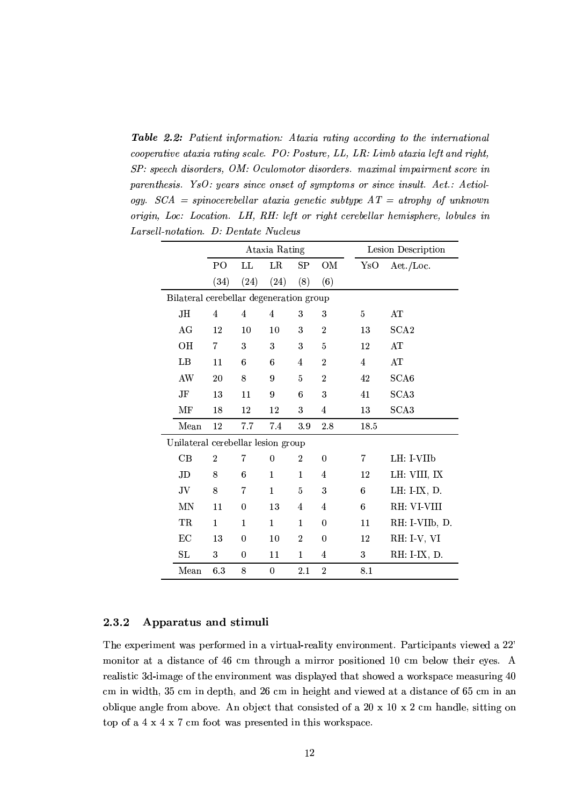**Table 2.2:** Patient information: Ataxia rating according to the international cooperative ataxia rating scale. PO: Posture, LL, LR: Limb ataxia left and right, SP: speech disorders, OM: Oculomotor disorders. maximal impairment score in parenthesis. YsO: years since onset of symptoms or since insult. Aet.: Aetiology.  $SCA = spinocerebellar ataxia genetic subtype AT = atrophy of unknown$ origin, Loc: Location. LH, RH: left or right cerebellar hemisphere, lobules in Larsell-notation. D: Dentate Nucleus

|                                         |                                    |                | Ataxia Rating  |                | Lesion Description |                |                  |
|-----------------------------------------|------------------------------------|----------------|----------------|----------------|--------------------|----------------|------------------|
|                                         | P <sub>O</sub>                     | LL             | LR             | SP             | OM                 | YsO            | Aet./Loc.        |
|                                         | (34)                               | (24)           | (24)           | (8)            | (6)                |                |                  |
| Bilateral cerebellar degeneration group |                                    |                |                |                |                    |                |                  |
| JН.                                     | $\overline{4}$                     | $\overline{4}$ | $\overline{4}$ | 3              | 3                  | 5              | AT               |
| AG                                      | 12                                 | 10             | 10             | 3              | $\boldsymbol{2}$   | 13             | SCA <sub>2</sub> |
| OН                                      | 7                                  | 3              | 3              | 3              | $\overline{5}$     | 12             | AT               |
| LB                                      | 11                                 | 6              | 6              | $\overline{4}$ | $\overline{2}$     | $\overline{4}$ | AT               |
| AW                                      | 20                                 | 8              | 9              | 5              | $\overline{2}$     | 42             | SCA <sub>6</sub> |
| JF                                      | 13                                 | 11             | 9              | 6              | 3                  | 41             | SCA3             |
| MF                                      | 18                                 | 12             | 12             | 3              | $\overline{4}$     | 13             | SCA3             |
| Mean                                    | 12                                 | 7.7            | 7.4            | 3.9            | 2.8                | 18.5           |                  |
|                                         | Unilateral cerebellar lesion group |                |                |                |                    |                |                  |
| CB                                      | $\boldsymbol{2}$                   | 7              | 0              | $\overline{2}$ | $\theta$           | 7              | LH: I-VIIb       |
| JD                                      | 8                                  | 6              | $\mathbf{1}$   | $\mathbf{1}$   | $\overline{4}$     | 12             | LH: VIII, IX     |
| JV                                      | 8                                  | 7              | $\mathbf{1}$   | 5              | 3                  | 6              | LH: I-IX, D.     |
| ΜN                                      | 11                                 | $\overline{0}$ | 13             | $\overline{4}$ | $\overline{4}$     | 6              | RH: VI-VIII      |
| TR                                      | $\mathbf 1$                        | $\mathbf{1}$   | $\mathbf{1}$   | $\mathbf{1}$   | $\theta$           | 11             | RH: I-VIIb, D.   |
| EC                                      | 13                                 | $\theta$       | 10             | $\overline{2}$ | $\overline{0}$     | 12             | RH: I-V, VI      |
| SL                                      | 3                                  | 0              | 11             | $\mathbf{1}$   | $\overline{4}$     | 3              | RH: I-IX, D.     |
| Mean                                    | 6.3                                | 8              | $\overline{0}$ | 2.1            | $\overline{2}$     | 8.1            |                  |

#### 2.3.2 Apparatus and stimuli

The experiment was performed in a virtual-reality environment. Participants viewed a 22' monitor at a distance of 46 cm through a mirror positioned 10 cm below their eyes. A realistic 3d-image of the environment was displayed that showed a workspace measuring 40 cm in width, 35 cm in depth, and 26 cm in height and viewed at a distance of 65 cm in an oblique angle from above. An object that consisted of a 20 x 10 x 2 cm handle, sitting on top of a 4 x 4 x 7 cm foot was presented in this workspace.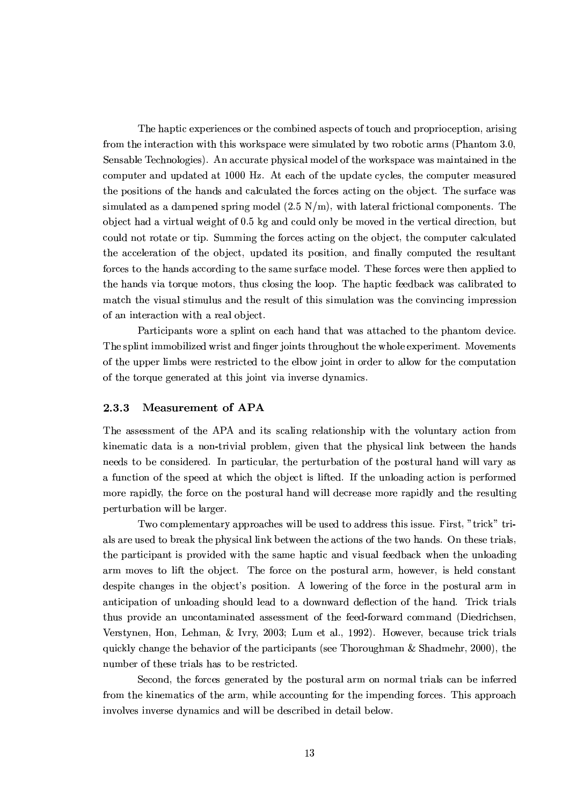The haptic experiences or the combined aspects of touch and proprioception, arising from the interaction with this workspace were simulated by two robotic arms (Phantom 3.0, Sensable Technologies). An accurate physical model of the workspace was maintained in the computer and updated at 1000 Hz. At each of the update cycles, the computer measured the positions of the hands and calculated the forces acting on the object. The surface was simulated as a dampened spring model  $(2.5 \text{ N/m})$ , with lateral frictional components. The object had a virtual weight of 0.5 kg and could only be moved in the vertical direction, but could not rotate or tip. Summing the forces acting on the object, the computer calculated the acceleration of the object, updated its position, and finally computed the resultant forces to the hands according to the same surface model. These forces were then applied to the hands via torque motors, thus closing the loop. The haptic feedback was calibrated to match the visual stimulus and the result of this simulation was the convincing impression of an interaction with a real object.

Participants wore a splint on each hand that was attached to the phantom device. The splint immobilized wrist and finger joints throughout the whole experiment. Movements of the upper limbs were restricted to the elbow joint in order to allow for the computation of the torque generated at this joint via inverse dynamics.

#### 2.3.3 **Measurement of APA**

The assessment of the APA and its scaling relationship with the voluntary action from kinematic data is a non-trivial problem, given that the physical link between the hands needs to be considered. In particular, the perturbation of the postural hand will vary as a function of the speed at which the object is lifted. If the unloading action is performed more rapidly, the force on the postural hand will decrease more rapidly and the resulting perturbation will be larger.

Two complementary approaches will be used to address this issue. First, "trick" trials are used to break the physical link between the actions of the two hands. On these trials, the participant is provided with the same haptic and visual feedback when the unloading arm moves to lift the object. The force on the postural arm, however, is held constant despite changes in the object's position. A lowering of the force in the postural arm in anticipation of unloading should lead to a downward deflection of the hand. Trick trials thus provide an uncontaminated assessment of the feed-forward command (Diedrichsen, Verstynen, Hon, Lehman, & Ivry, 2003; Lum et al., 1992). However, because trick trials quickly change the behavior of the participants (see Thoroughman & Shadmehr, 2000), the number of these trials has to be restricted.

Second, the forces generated by the postural arm on normal trials can be inferred from the kinematics of the arm, while accounting for the impending forces. This approach involves inverse dynamics and will be described in detail below.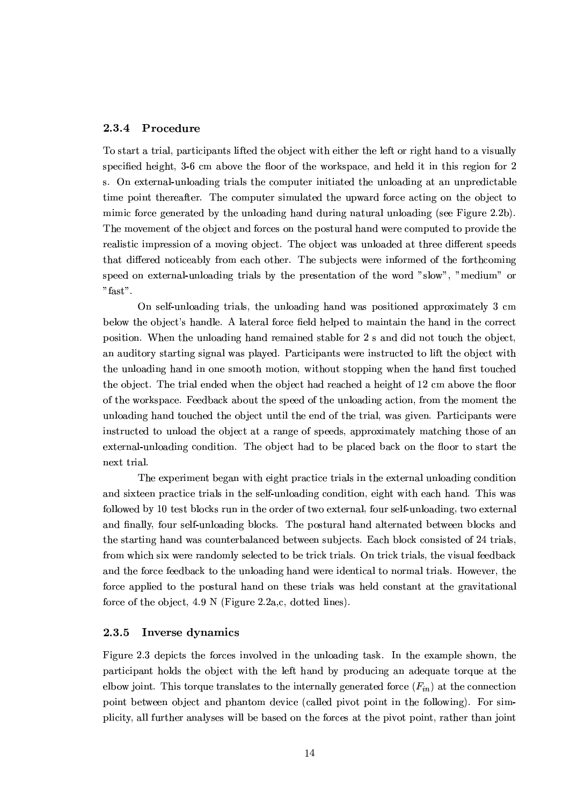#### $2.3.4$ Procedure

To start a trial, participants lifted the object with either the left or right hand to a visually specified height, 3-6 cm above the floor of the workspace, and held it in this region for 2 s. On external-unloading trials the computer initiated the unloading at an unpredictable time point thereafter. The computer simulated the upward force acting on the object to mimic force generated by the unloading hand during natural unloading (see Figure 2.2b). The movement of the object and forces on the postural hand were computed to provide the realistic impression of a moving object. The object was unloaded at three different speeds that differed noticeably from each other. The subjects were informed of the forthcoming speed on external-unloading trials by the presentation of the word "slow", "medium" or " $fast"$ .

On self-unloading trials, the unloading hand was positioned approximately 3 cm below the object's handle. A lateral force field helped to maintain the hand in the correct position. When the unloading hand remained stable for 2 s and did not touch the object, an auditory starting signal was played. Participants were instructed to lift the object with the unloading hand in one smooth motion, without stopping when the hand first touched the object. The trial ended when the object had reached a height of 12 cm above the floor of the workspace. Feedback about the speed of the unloading action, from the moment the unloading hand touched the object until the end of the trial, was given. Participants were instructed to unload the object at a range of speeds, approximately matching those of an external-unloading condition. The object had to be placed back on the floor to start the next trial.

The experiment began with eight practice trials in the external unloading condition and sixteen practice trials in the self-unloading condition, eight with each hand. This was followed by 10 test blocks run in the order of two external, four self-unloading, two external and finally, four self-unloading blocks. The postural hand alternated between blocks and the starting hand was counterbalanced between subjects. Each block consisted of 24 trials, from which six were randomly selected to be trick trials. On trick trials, the visual feedback and the force feedback to the unloading hand were identical to normal trials. However, the force applied to the postural hand on these trials was held constant at the gravitational force of the object,  $4.9 \text{ N}$  (Figure 2.2a,c, dotted lines).

#### 2.3.5 Inverse dynamics

Figure 2.3 depicts the forces involved in the unloading task. In the example shown, the participant holds the object with the left hand by producing an adequate torque at the elbow joint. This torque translates to the internally generated force  $(F_{in})$  at the connection point between object and phantom device (called pivot point in the following). For simplicity, all further analyses will be based on the forces at the pivot point, rather than joint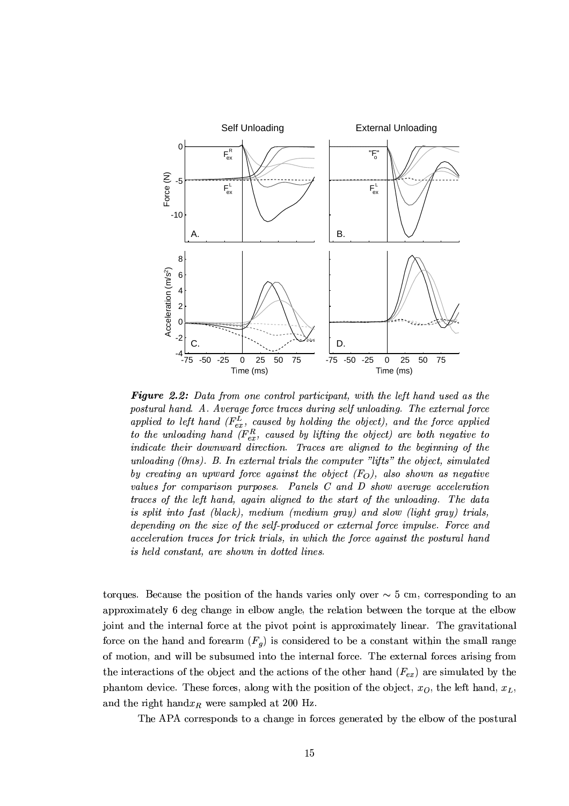

**Figure 2.2:** Data from one control participant, with the left hand used as the postural hand. A. Average force traces during self unloading. The external force applied to left hand  $(F_{ex}^L,$  caused by holding the object), and the force applied to the unloading hand  $(F_{ex}^R$ , caused by lifting the object) are both negative to indicate their downward direction. Traces are aligned to the beginning of the unloading  $(0ms)$ . B. In external trials the computer "lifts" the object, simulated by creating an upward force against the object  $(F_O)$ , also shown as negative values for comparison purposes. Panels C and D show average acceleration traces of the left hand, again aligned to the start of the unloading. The data is split into fast (black), medium (medium gray) and slow (light gray) trials, depending on the size of the self-produced or external force impulse. Force and acceleration traces for trick trials, in which the force against the postural hand is held constant, are shown in dotted lines.

torques. Because the position of the hands varies only over  $\sim 5$  cm, corresponding to an approximately 6 deg change in elbow angle, the relation between the torque at the elbow joint and the internal force at the pivot point is approximately linear. The gravitational force on the hand and forearm  $(F_q)$  is considered to be a constant within the small range of motion, and will be subsumed into the internal force. The external forces arising from the interactions of the object and the actions of the other hand  $(F_{ex})$  are simulated by the phantom device. These forces, along with the position of the object,  $x<sub>O</sub>$ , the left hand,  $x<sub>L</sub>$ , and the right hand $x_R$  were sampled at 200 Hz.

The APA corresponds to a change in forces generated by the elbow of the postural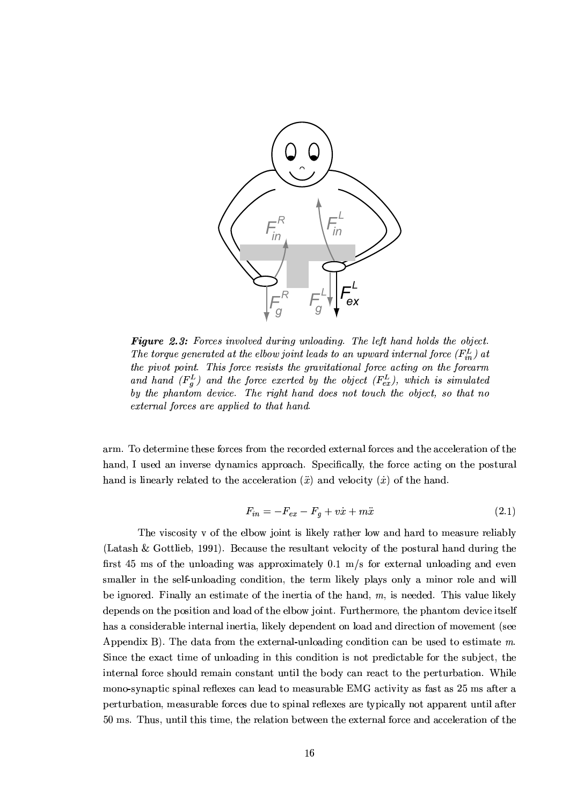

Figure 2.3: Forces involved during unloading. The left hand holds the object. The torque generated at the elbow joint leads to an upward internal force  $(F_{in}^L)$  at the pivot point. This force resists the gravitational force acting on the forearm and hand  $(F_q^L)$  and the force exerted by the object  $(F_{ex}^L)$ , which is simulated by the phantom device. The right hand does not touch the object, so that no external forces are applied to that hand.

arm. To determine these forces from the recorded external forces and the acceleration of the hand, I used an inverse dynamics approach. Specifically, the force acting on the postural hand is linearly related to the acceleration  $(\ddot{x})$  and velocity  $(\dot{x})$  of the hand.

$$
F_{in} = -F_{ex} - F_g + v\dot{x} + m\ddot{x} \tag{2.1}
$$

The viscosity v of the elbow joint is likely rather low and hard to measure reliably (Latash & Gottlieb, 1991). Because the resultant velocity of the postural hand during the first 45 ms of the unloading was approximately 0.1 m/s for external unloading and even smaller in the self-unloading condition, the term likely plays only a minor role and will be ignored. Finally an estimate of the inertia of the hand,  $m$ , is needed. This value likely depends on the position and load of the elbow joint. Furthermore, the phantom device itself has a considerable internal inertia, likely dependent on load and direction of movement (see Appendix B). The data from the external-unloading condition can be used to estimate  $m$ . Since the exact time of unloading in this condition is not predictable for the subject, the internal force should remain constant until the body can react to the perturbation. While mono-synaptic spinal reflexes can lead to measurable EMG activity as fast as 25 ms after a perturbation, measurable forces due to spinal reflexes are typically not apparent until after 50 ms. Thus, until this time, the relation between the external force and acceleration of the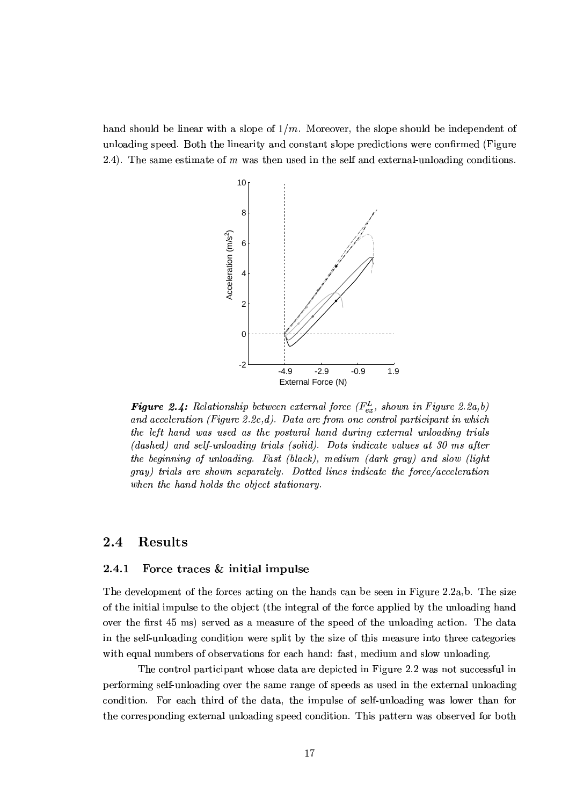hand should be linear with a slope of  $1/m$ . Moreover, the slope should be independent of unloading speed. Both the linearity and constant slope predictions were confirmed (Figure 2.4). The same estimate of  $m$  was then used in the self and external-unloading conditions.



**Figure 2.4:** Relationship between external force ( $F_{ex}^L$ , shown in Figure 2.2a,b) and acceleration (Figure 2.2c,d). Data are from one control participant in which the left hand was used as the postural hand during external unloading trials (dashed) and self-unloading trials (solid). Dots indicate values at 30 ms after the beginning of unloading. Fast (black), medium (dark gray) and slow (light gray) trials are shown separately. Dotted lines indicate the force/acceleration when the hand holds the object stationary.

#### $2.4$ Results

#### 2.4.1 Force traces & initial impulse

The development of the forces acting on the hands can be seen in Figure 2.2a,b. The size of the initial impulse to the object (the integral of the force applied by the unloading hand over the first 45 ms) served as a measure of the speed of the unloading action. The data in the self-unloading condition were split by the size of this measure into three categories with equal numbers of observations for each hand: fast, medium and slow unloading.

The control participant whose data are depicted in Figure 2.2 was not successful in performing self-unloading over the same range of speeds as used in the external unloading condition. For each third of the data, the impulse of self-unloading was lower than for the corresponding external unloading speed condition. This pattern was observed for both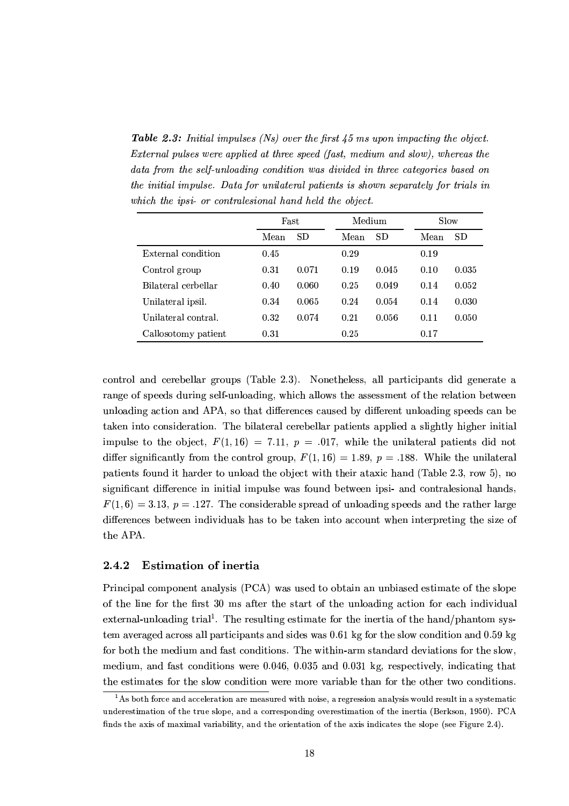**Table 2.3:** Initial impulses (Ns) over the first  $45$  ms upon impacting the object. External pulses were applied at three speed (fast, medium and slow), whereas the data from the self-unloading condition was divided in three categories based on the initial impulse. Data for unilateral patients is shown separately for trials in which the ipsi- or contralesional hand held the object.

|                     | Fast |       | Medium |       | Slow |       |
|---------------------|------|-------|--------|-------|------|-------|
|                     | Mean | SD    | Mean   | SD    | Mean | SD    |
| External condition  | 0.45 |       | 0.29   |       | 0.19 |       |
| Control group       | 0.31 | 0.071 | 0.19   | 0.045 | 0.10 | 0.035 |
| Bilateral cerbellar | 0.40 | 0.060 | 0.25   | 0.049 | 0.14 | 0.052 |
| Unilateral ipsil.   | 0.34 | 0.065 | 0.24   | 0.054 | 0.14 | 0.030 |
| Unilateral contral. | 0.32 | 0.074 | 0.21   | 0.056 | 0.11 | 0.050 |
| Callosotomy patient | 0.31 |       | 0.25   |       | 0.17 |       |

control and cerebellar groups (Table 2.3). Nonetheless, all participants did generate a range of speeds during self-unloading, which allows the assessment of the relation between unloading action and APA, so that differences caused by different unloading speeds can be taken into consideration. The bilateral cerebellar patients applied a slightly higher initial impulse to the object,  $F(1,16) = 7.11$ ,  $p = .017$ , while the unilateral patients did not differ significantly from the control group,  $F(1,16) = 1.89$ ,  $p = .188$ . While the unilateral patients found it harder to unload the object with their ataxic hand (Table 2.3, row 5), no significant difference in initial impulse was found between ipsi- and contralesional hands,  $F(1,6) = 3.13$ ,  $p = .127$ . The considerable spread of unloading speeds and the rather large differences between individuals has to be taken into account when interpreting the size of the APA.

#### **Estimation of inertia** 2.4.2

Principal component analysis (PCA) was used to obtain an unbiased estimate of the slope of the line for the first 30 ms after the start of the unloading action for each individual external-unloading trial<sup>1</sup>. The resulting estimate for the inertia of the hand/phantom system averaged across all participants and sides was  $0.61$  kg for the slow condition and  $0.59$  kg for both the medium and fast conditions. The within-arm standard deviations for the slow, medium, and fast conditions were 0.046, 0.035 and 0.031 kg, respectively, indicating that the estimates for the slow condition were more variable than for the other two conditions.

<sup>&</sup>lt;sup>1</sup>As both force and acceleration are measured with noise, a regression analysis would result in a systematic underestimation of the true slope, and a corresponding overestimation of the inertia (Berkson, 1950). PCA finds the axis of maximal variability, and the orientation of the axis indicates the slope (see Figure 2.4).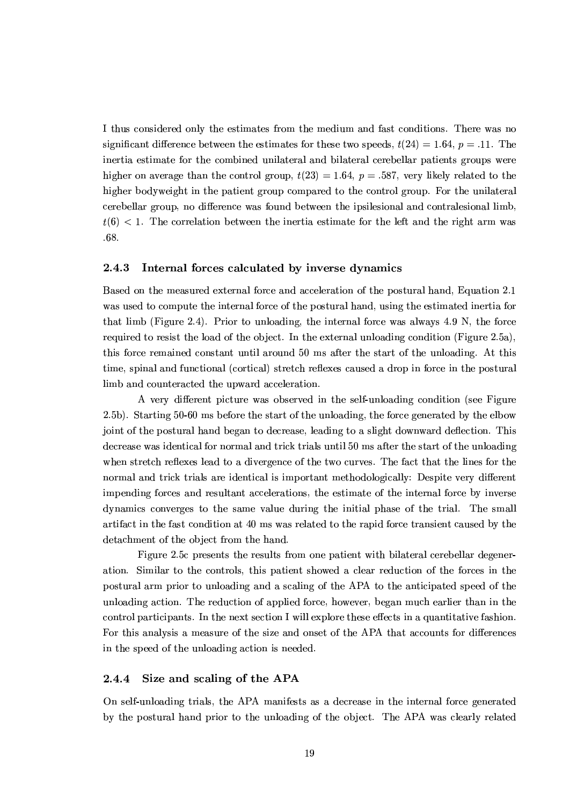I thus considered only the estimates from the medium and fast conditions. There was no significant difference between the estimates for these two speeds,  $t(24) = 1.64$ ,  $p = .11$ . The inertia estimate for the combined unilateral and bilateral cerebellar patients groups were higher on average than the control group,  $t(23) = 1.64$ ,  $p = .587$ , very likely related to the higher bodyweight in the patient group compared to the control group. For the unilateral cerebellar group, no difference was found between the ipsilesional and contralesional limb.  $t(6)$  < 1. The correlation between the inertia estimate for the left and the right arm was  $.68.$ 

#### 2.4.3 Internal forces calculated by inverse dynamics

Based on the measured external force and acceleration of the postural hand, Equation 2.1 was used to compute the internal force of the postural hand, using the estimated inertia for that limb (Figure 2.4). Prior to unloading, the internal force was always 4.9 N, the force required to resist the load of the object. In the external unloading condition (Figure 2.5a), this force remained constant until around 50 ms after the start of the unloading. At this time, spinal and functional (cortical) stretch reflexes caused a drop in force in the postural limb and counteracted the upward acceleration.

A very different picture was observed in the self-unloading condition (see Figure 2.5b). Starting 50-60 ms before the start of the unloading, the force generated by the elbow joint of the postural hand began to decrease, leading to a slight downward deflection. This decrease was identical for normal and trick trials until 50 ms after the start of the unloading when stretch reflexes lead to a divergence of the two curves. The fact that the lines for the normal and trick trials are identical is important methodologically: Despite very different impending forces and resultant accelerations, the estimate of the internal force by inverse dynamics converges to the same value during the initial phase of the trial. The small artifact in the fast condition at 40 ms was related to the rapid force transient caused by the detachment of the object from the hand.

Figure 2.5c presents the results from one patient with bilateral cerebellar degeneration. Similar to the controls, this patient showed a clear reduction of the forces in the postural arm prior to unloading and a scaling of the APA to the anticipated speed of the unloading action. The reduction of applied force, however, began much earlier than in the control participants. In the next section I will explore these effects in a quantitative fashion. For this analysis a measure of the size and onset of the APA that accounts for differences in the speed of the unloading action is needed.

#### Size and scaling of the APA  $2.4.4$

On self-unloading trials, the APA manifests as a decrease in the internal force generated by the postural hand prior to the unloading of the object. The APA was clearly related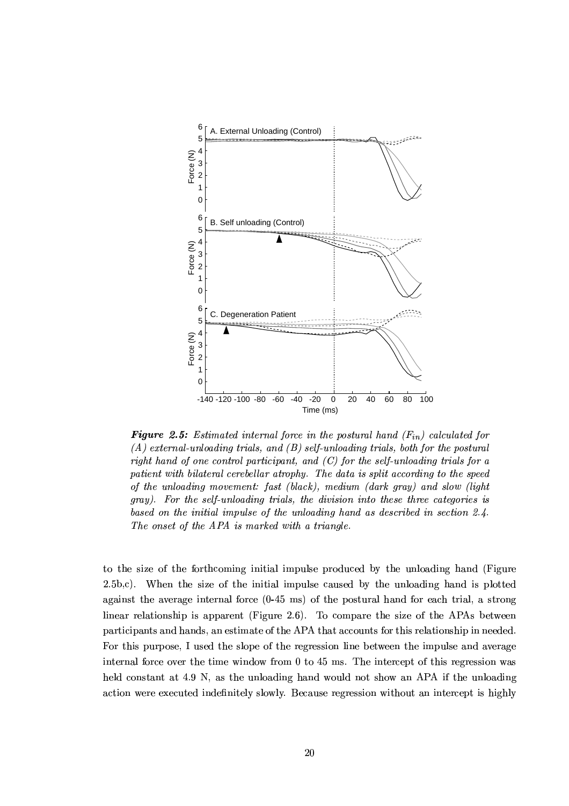

**Figure 2.5:** Estimated internal force in the postural hand  $(F_{in})$  calculated for  $(A)$  external-unloading trials, and  $(B)$  self-unloading trials, both for the postural right hand of one control participant, and  $(C)$  for the self-unloading trials for a patient with bilateral cerebellar atrophy. The data is split according to the speed of the unloading movement: fast (black), medium (dark gray) and slow (light gray). For the self-unloading trials, the division into these three categories is based on the initial impulse of the unloading hand as described in section 2.4. The onset of the APA is marked with a triangle.

to the size of the forthcoming initial impulse produced by the unloading hand (Figure  $(2.5b,c)$ . When the size of the initial impulse caused by the unloading hand is plotted against the average internal force  $(0.45 \text{ ms})$  of the postural hand for each trial, a strong linear relationship is apparent (Figure 2.6). To compare the size of the APAs between participants and hands, an estimate of the APA that accounts for this relationship in needed. For this purpose, I used the slope of the regression line between the impulse and average internal force over the time window from 0 to 45 ms. The intercept of this regression was held constant at 4.9 N, as the unloading hand would not show an APA if the unloading action were executed indefinitely slowly. Because regression without an intercept is highly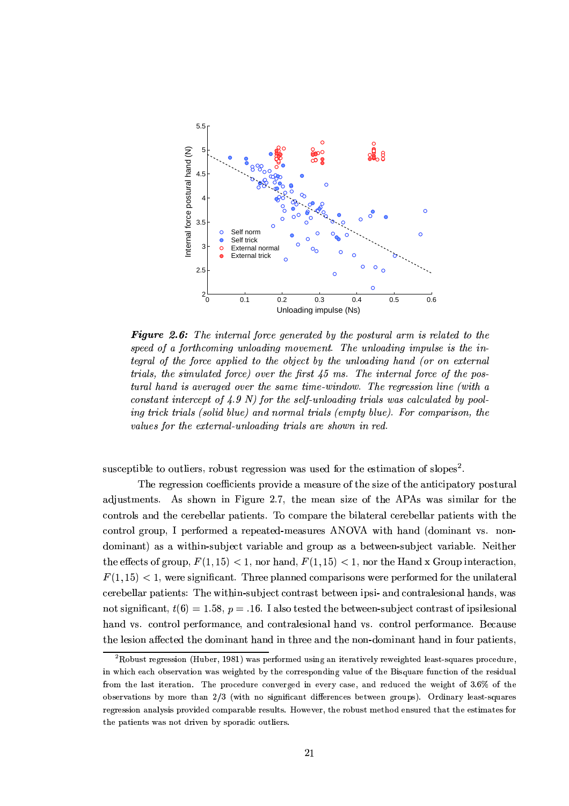

- ><sup>+</sup> '# \* # " + " ( ( # + () <+ \*\$ 2 + <sup>+</sup> 2 \$(( +  $t$ egral of the force applied to the object by the unloading hand (or on external #( ,"+ (\$- " \*\$ + + ;
(
0 (( <sup>+</sup> !\* + ( <sup>+</sup> \$(/+ 6 " +/+ /(# ( \$ <sup>+</sup> /#( ( \$ !+ \*(# \$ \* '0 - \$%! + ( 2 ( (/\*\*!- " 1 ing trick trials (solid blue) and normal trials (empty blue). For comparison, the values for the external-unloading trials are shown in red.

 $R^2$ abc $R^2$ abc $R^2$ abc $R^2$ abrdc  $\tilde K^0$ abc $R^2$ i $\tilde K^0$ abc $\tilde K^0$ zionz'm $\tilde K^0$ 

The regression coefficients provide a measure of the size of the anticipatory postural adjustments. As shown in Figure 2.7, the mean size of the APAs was similar for the controls and the cerebellar patients. To compare the bilateral cerebellar patients with the control group, I performed a repeated-measures ANOVA with hand (dominant vs. nondominant) as a within-subject variable and group as a between-subject variable. Neither . A contract the model is defined in the contract interval of  $\alpha$  -other intervals in the contract in  $\alpha$  $F(1, 15) < 1$ , were significant. Three planned comparisons were performed for the unilateral cerebellar patients: The within-subject contrast between ipsi- and contralesional hands, was . A p  $\mathcal{A}$  and  $\mathcal{A}$  and  $\mathcal{A}$  and  $\mathcal{A}$  and  $\mathcal{A}$  and  $\mathcal{A}$  and  $\mathcal{A}$  and  $\mathcal{A}$ hand vs. control performance, and contralesional hand vs. control performance. Because . The contraction of the UV text UV-form  $\mathcal{L}_\mathbf{X}$  is the UV-form  $\mathcal{L}_\mathbf{X}$  in the UV-form in the UV-form in the UV-form in the UV-form in the UV-form in the UV-form in the UV-form in the UV-form in the UV-form

 $^2$ Robust regression (Huber, 1981) was performed using an iteratively reweighted least-squares procedure. in which each observation was weighted by the corresponding value of the Bisquare function of the residual from the last iteration. The procedure converged in every case, and reduced the weight of 3.6% of the observations by more than 2/3 (with no significant differences between groups). Ordinary least-squares regression analysis provided comparable results. However, the robust method ensured that the estimates for the patients was not driven by sporadic outliers.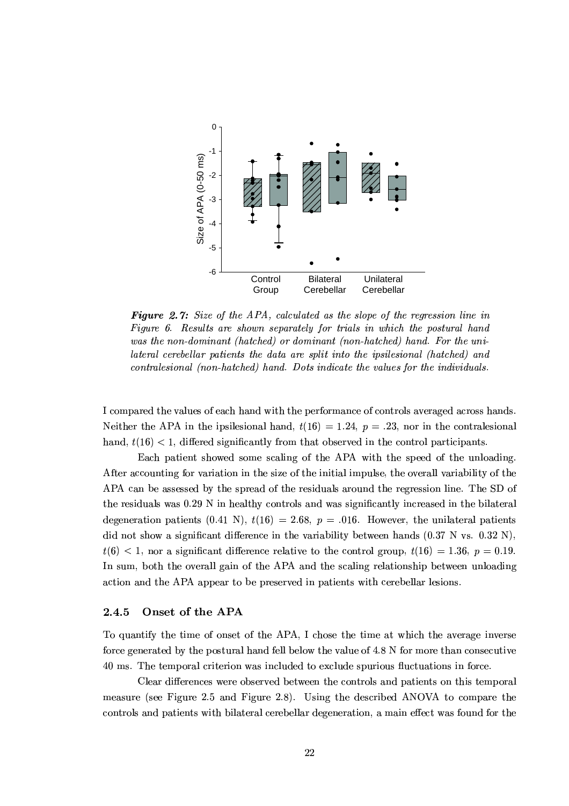

**Figure 2.7:** Size of the APA, calculated as the slope of the regression line in Figure 6. Results are shown separately for trials in which the postural hand was the non-dominant (hatched) or dominant (non-hatched) hand. For the unilateral cerebellar patients the data are split into the ipsilesional (hatched) and contralesional (non-hatched) hand. Dots indicate the values for the individuals.

I compared the values of each hand with the performance of controls averaged across hands. Neither the APA in the ipsilesional hand,  $t(16) = 1.24$ ,  $p = .23$ , nor in the contralesional hand,  $t(16) < 1$ , differed significantly from that observed in the control participants.

Each patient showed some scaling of the APA with the speed of the unloading. After accounting for variation in the size of the initial impulse, the overall variability of the APA can be assessed by the spread of the residuals around the regression line. The SD of the residuals was 0.29 N in healthy controls and was significantly increased in the bilateral degeneration patients (0.41 N),  $t(16) = 2.68$ ,  $p = .016$ . However, the unilateral patients did not show a significant difference in the variability between hands (0.37 N vs. 0.32 N),  $t(6)$  < 1, nor a significant difference relative to the control group,  $t(16) = 1.36$ ,  $p = 0.19$ . In sum, both the overall gain of the APA and the scaling relationship between unloading action and the APA appear to be preserved in patients with cerebellar lesions.

#### 2.4.5 Onset of the APA

To quantify the time of onset of the APA, I chose the time at which the average inverse force generated by the postural hand fell below the value of 4.8 N for more than consecutive 40 ms. The temporal criterion was included to exclude spurious fluctuations in force.

Clear differences were observed between the controls and patients on this temporal measure (see Figure 2.5 and Figure 2.8). Using the described ANOVA to compare the controls and patients with bilateral cerebellar degeneration, a main effect was found for the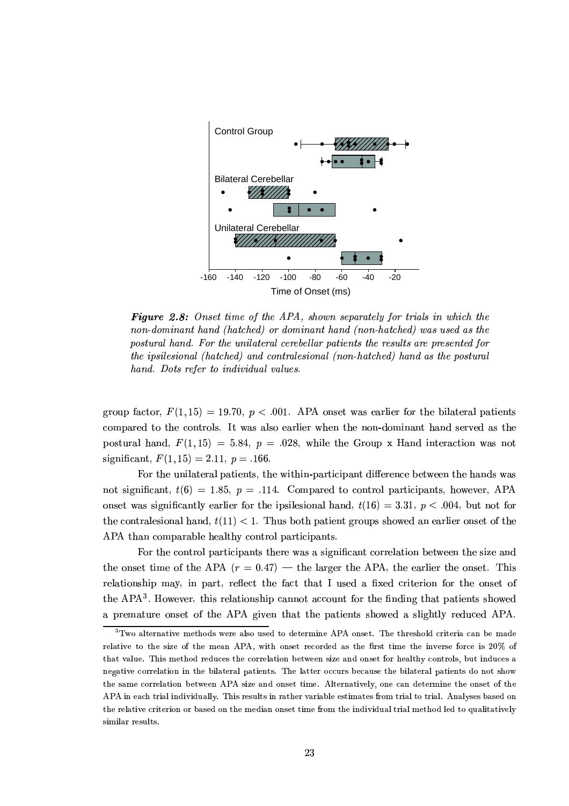

- ( ' + #79:# , ()+ ( # # ( + \*+ +  $\cdots$  . A set of the set of the set of the set of the set of the set of the set of the set of the set of the set of the set of the set of the set of the set of the set of the set of the set of the set of the set of the se postural hand. For the unilateral cerebellar patients the results are presented for  $the\ ipsilesional\ (hatched)\ and\ contralesional\ (non-hatched)\ hand\ as\ the\ postural$ hand. Dots refer to individual values.

 $\alpha$  , which is not as the set of the set of the set of the set of  $\alpha$  $S$  and  $S$  and  $S$  or  $\mathbb{R}$  and  $\mathbb{R}$  the convolution  $\mathbb{R}$  the convolution  $\mathbb{R}$  and  $\mathbb{R}$  the convolution  $\mathbb{R}$  and  $\mathbb{R}$  the convolution  $\mathbb{R}$  and  $\mathbb{R}$  the convolution  $\mathbb{R}$  and  $\mathbb{R}$  $\mathcal{M}$  and  $\mathcal{M}$  are the same in the contract  $\mathcal{M}$  . The contract  $\mathcal{M}$  is the contract  $\mathcal{M}$  $R$  and  $R$  is the state of  $\mathbb{R}^n$  in the state of  $\mathbb{R}^n$  in the state of  $\mathbb{R}^n$  in the state of  $\mathbb{R}^n$ 

 $\blacksquare$  . The UV Uoted's interval is used to UV4K and UV4K  $\blacksquare$  . The Uo'ffer  $\blacksquare$  $\mathcal{L} = \{ \mathcal{L} = \{ \mathcal{L} \} \cup \{ \mathcal{L} = \{ \mathcal{L} \} \cup \{ \mathcal{L} \}$  $\alpha$  is a time in the state in the state is a state of the  $\alpha$ . The usual form in the USA  $\ell$  and  $\ell$  and  $\ell$  and  $\ell$  and  $\ell$  and  $\ell$  and  $\ell$  and  $\ell$   $\ell$  and  $\ell$  usual  $\ell$  and  $\ell$   $\ell$  and  $\ell$   $\ell$  and  $\ell$  and  $\ell$  and  $\ell$  and  $\ell$  and  $\ell$  and  $\ell$  and  $\ell$  and  $\ell$   $\mathcal{N}$  . The SZ normal US of SZ  $\mathcal{N}$  and US  $\mathcal{N}$  and US of  $\mathcal{N}$  and  $\mathcal{N}$ 

For the control participants there was a significant correlation between the size and  $\Gamma$  contribution in the UY word UY word UV was defined as a contribution of  $\Gamma$  $\blacksquare$  in the matrix of the matrix  $\blacksquare$  and  $\blacksquare$ compared the UV in the UV location of the UV in the UV in the UV in the UV in the UV in the UV in the UV in the UV  $\alpha$  is a decreasing the use  $\alpha$  and  $\alpha$  and  $\alpha$  and  $\alpha$ 

 $^3\rm{Two}$  alternative methods were also used to determine APA onset. The threshold criteria can be made relative to the size of the mean APA, with onset recorded as the first time the inverse force is 20% of  ${\rm that\ value}$  . This method reduces the correlation between size and onset for healthy controls, but induces a negative correlation in the bilateral patients. The latter occurs because the bilateral patients do not show the same correlation between APA size and onset time. Alternatively, one can determine the onset of the APA in each trial individually. This results in rather variable estimates from trial to trial. Analyses based on the relative criterion or based on the median onset time from the individual trial method led to qualitatively similar results.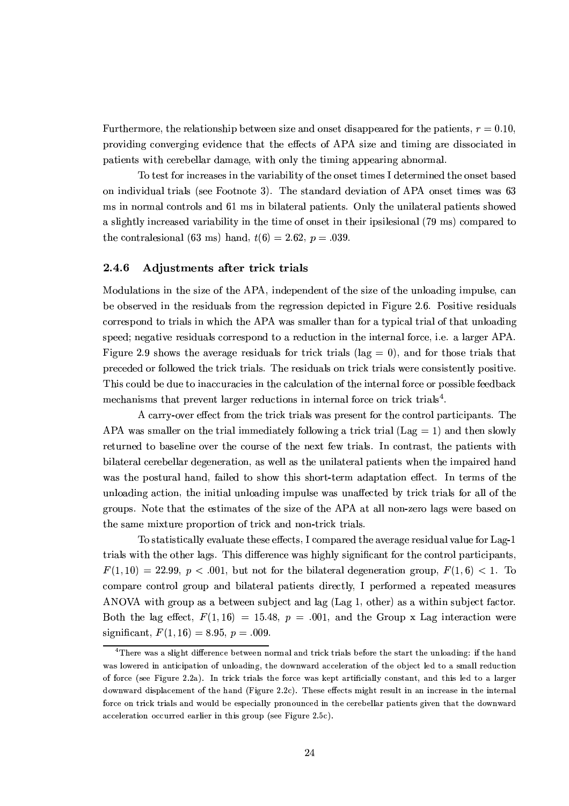Furthermore, the relationship between size and onset disappeared for the patients,  $r = 0.10$ , providing converging evidence that the effects of APA size and timing are dissociated in patients with cerebellar damage, with only the timing appearing abnormal.

To test for increases in the variability of the onset times I determined the onset based on individual trials (see Footnote 3). The standard deviation of APA onset times was 63 ms in normal controls and 61 ms in bilateral patients. Only the unilateral patients showed a slightly increased variability in the time of onset in their ipsilesional (79 ms) compared to the contralesional (63 ms) hand,  $t(6) = 2.62$ ,  $p = .039$ .

#### 2.4.6 Adjustments after trick trials

Modulations in the size of the APA, independent of the size of the unloading impulse, can be observed in the residuals from the regression depicted in Figure 2.6. Positive residuals correspond to trials in which the APA was smaller than for a typical trial of that unloading speed; negative residuals correspond to a reduction in the internal force, i.e. a larger APA. Figure 2.9 shows the average residuals for trick trials (lag = 0), and for those trials that preceded or followed the trick trials. The residuals on trick trials were consistently positive. This could be due to inaccuracies in the calculation of the internal force or possible feedback mechanisms that prevent larger reductions in internal force on trick trials<sup>4</sup>.

A carry-over effect from the trick trials was present for the control participants. The APA was smaller on the trial immediately following a trick trial (Lag  $= 1$ ) and then slowly returned to baseline over the course of the next few trials. In contrast, the patients with bilateral cerebellar degeneration, as well as the unilateral patients when the impaired hand was the postural hand, failed to show this short-term adaptation effect. In terms of the unloading action, the initial unloading impulse was unaffected by trick trials for all of the groups. Note that the estimates of the size of the APA at all non-zero lags were based on the same mixture proportion of trick and non-trick trials.

To statistically evaluate these effects, I compared the average residual value for Lag-1 trials with the other lags. This difference was highly significant for the control participants,  $F(1, 10) = 22.99$ ,  $p < .001$ , but not for the bilateral degeneration group,  $F(1, 6) < 1$ . To compare control group and bilateral patients directly, I performed a repeated measures ANOVA with group as a between subject and lag (Lag 1, other) as a within subject factor. Both the lag effect,  $F(1,16) = 15.48$ ,  $p = .001$ , and the Group x Lag interaction were significant,  $F(1, 16) = 8.95$ ,  $p = .009$ .

<sup>&</sup>lt;sup>4</sup>There was a slight difference between normal and trick trials before the start the unloading: if the hand was lowered in anticipation of unloading, the downward acceleration of the object led to a small reduction of force (see Figure 2.2a). In trick trials the force was kept artificially constant, and this led to a larger downward displacement of the hand (Figure 2.2c). These effects might result in an increase in the internal force on trick trials and would be especially pronounced in the cerebellar patients given that the downward acceleration occurred earlier in this group (see Figure 2.5c).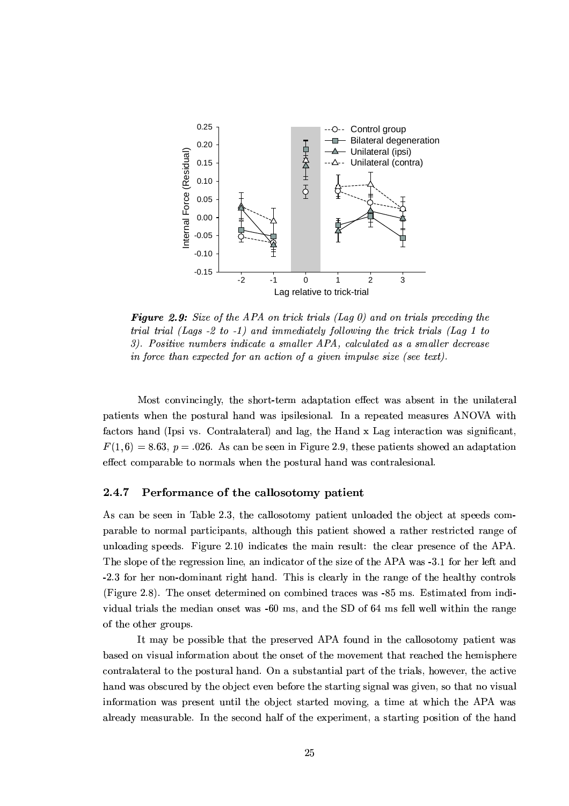

**Figure 2.9:** Size of the APA on trick trials (Lag 0) and on trials preceding the trial trial (Lags  $-2$  to  $-1$ ) and immediately following the trick trials (Lag 1 to 3). Positive numbers indicate a smaller APA, calculated as a smaller decrease in force than expected for an action of a given impulse size (see text).

Most convincingly, the short-term adaptation effect was absent in the unilateral patients when the postural hand was ipsilesional. In a repeated measures ANOVA with factors hand (Ipsi vs. Contralateral) and lag, the Hand x Lag interaction was significant,  $F(1,6) = 8.63$ ,  $p = .026$ . As can be seen in Figure 2.9, these patients showed an adaptation effect comparable to normals when the postural hand was contralesional.

#### 2.4.7 Performance of the callosotomy patient

As can be seen in Table 2.3, the callosotomy patient unloaded the object at speeds comparable to normal participants, although this patient showed a rather restricted range of unloading speeds. Figure 2.10 indicates the main result: the clear presence of the APA. The slope of the regression line, an indicator of the size of the APA was -3.1 for her left and -2.3 for her non-dominant right hand. This is clearly in the range of the healthy controls (Figure 2.8). The onset determined on combined traces was -85 ms. Estimated from individual trials the median onset was -60 ms, and the SD of 64 ms fell well within the range of the other groups.

It may be possible that the preserved APA found in the callosotomy patient was based on visual information about the onset of the movement that reached the hemisphere contralateral to the postural hand. On a substantial part of the trials, however, the active hand was obscured by the object even before the starting signal was given, so that no visual information was present until the object started moving, a time at which the APA was already measurable. In the second half of the experiment, a starting position of the hand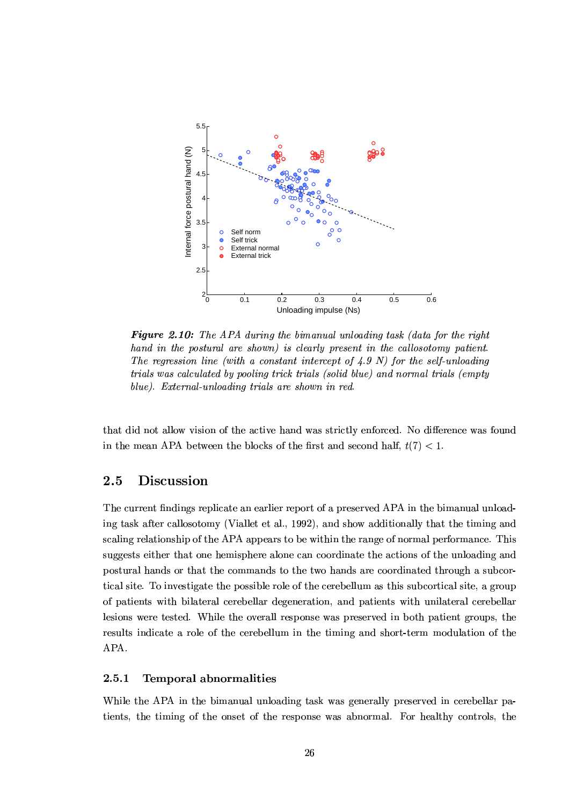

**Figure 2.10:** The APA during the bimanual unloading task (data for the right hand in the postural are shown) is clearly present in the callosotomy patient. The regression line (with a constant intercept of  $\angle 4.9$  N) for the self-unloading trials was calculated by pooling trick trials (solid blue) and normal trials (empty blue). External-unloading trials are shown in red.

that did not allow vision of the active hand was strictly enforced. No difference was found in the mean APA between the blocks of the first and second half,  $t(7) < 1$ .

#### $2.5$ **Discussion**

The current findings replicate an earlier report of a preserved APA in the bimanual unloading task after callosotomy (Viallet et al., 1992), and show additionally that the timing and scaling relationship of the APA appears to be within the range of normal performance. This suggests either that one hemisphere alone can coordinate the actions of the unloading and postural hands or that the commands to the two hands are coordinated through a subcortical site. To investigate the possible role of the cerebellum as this subcortical site, a group of patients with bilateral cerebellar degeneration, and patients with unilateral cerebellar lesions were tested. While the overall response was preserved in both patient groups, the results indicate a role of the cerebellum in the timing and short-term modulation of the APA.

#### 2.5.1 **Temporal abnormalities**

While the APA in the bimanual unloading task was generally preserved in cerebellar patients, the timing of the onset of the response was abnormal. For healthy controls, the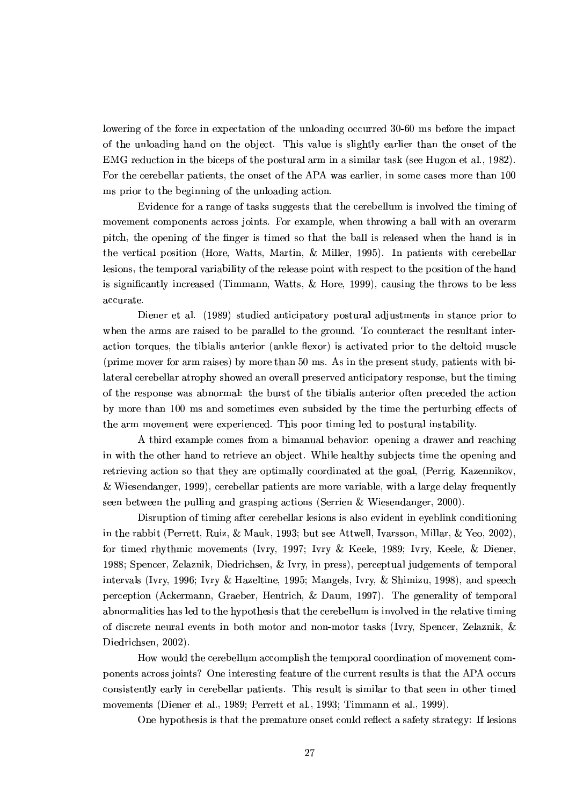lowering of the force in expectation of the unloading occurred 30-60 ms before the impact of the unloading hand on the object. This value is slightly earlier than the onset of the EMG reduction in the biceps of the postural arm in a similar task (see Hugon et al., 1982). For the cerebellar patients, the onset of the APA was earlier, in some cases more than 100 ms prior to the beginning of the unloading action.

Evidence for a range of tasks suggests that the cerebellum is involved the timing of movement components across joints. For example, when throwing a ball with an overarm pitch, the opening of the finger is timed so that the ball is released when the hand is in the vertical position (Hore, Watts, Martin, & Miller, 1995). In patients with cerebellar lesions, the temporal variability of the release point with respect to the position of the hand is significantly increased (Timmann, Watts,  $\&$  Hore, 1999), causing the throws to be less accurate.

Diener et al. (1989) studied anticipatory postural adjustments in stance prior to when the arms are raised to be parallel to the ground. To counteract the resultant interaction torques, the tibialis anterior (ankle flexor) is activated prior to the deltoid muscle (prime mover for arm raises) by more than 50 ms. As in the present study, patients with bilateral cerebellar atrophy showed an overall preserved anticipatory response, but the timing of the response was abnormal: the burst of the tibialis anterior often preceded the action by more than 100 ms and sometimes even subsided by the time the perturbing effects of the arm movement were experienced. This poor timing led to postural instability.

A third example comes from a bimanual behavior: opening a drawer and reaching in with the other hand to retrieve an object. While healthy subjects time the opening and retrieving action so that they are optimally coordinated at the goal, (Perrig, Kazennikov, & Wiesendanger, 1999), cerebellar patients are more variable, with a large delay frequently seen between the pulling and grasping actions (Serrien & Wiesendanger, 2000).

Disruption of timing after cerebellar lesions is also evident in eyeblink conditioning in the rabbit (Perrett, Ruiz, & Mauk, 1993; but see Attwell, Ivarsson, Millar, & Yeo, 2002), for timed rhythmic movements (Ivry, 1997; Ivry & Keele, 1989; Ivry, Keele, & Diener, 1988; Spencer, Zelaznik, Diedrichsen, & Ivry, in press), perceptual judgements of temporal intervals (Ivry, 1996; Ivry & Hazeltine, 1995; Mangels, Ivry, & Shimizu, 1998), and speech perception (Ackermann, Graeber, Hentrich, & Daum, 1997). The generality of temporal abnormalities has led to the hypothesis that the cerebellum is involved in the relative timing of discrete neural events in both motor and non-motor tasks (Ivry, Spencer, Zelaznik, & Diedrichsen, 2002).

How would the cerebellum accomplish the temporal coordination of movement components across joints? One interesting feature of the current results is that the APA occurs consistently early in cerebellar patients. This result is similar to that seen in other timed movements (Diener et al., 1989; Perrett et al., 1993; Timmann et al., 1999).

One hypothesis is that the premature onset could reflect a safety strategy: If lesions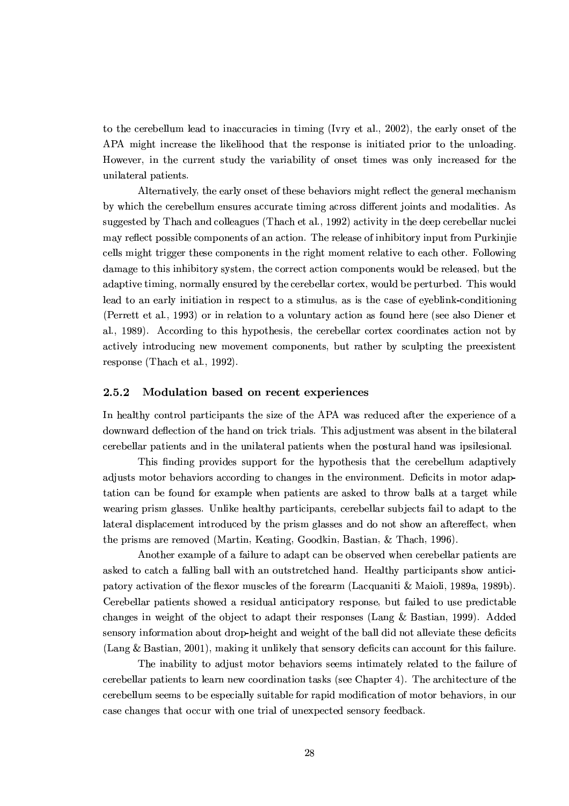to the cerebellum lead to inaccuracies in timing (Ivry et al., 2002), the early onset of the APA might increase the likelihood that the response is initiated prior to the unloading. However, in the current study the variability of onset times was only increased for the unilateral patients.

Alternatively, the early onset of these behaviors might reflect the general mechanism by which the cerebellum ensures accurate timing across different joints and modalities. As suggested by Thach and colleagues (Thach et al., 1992) activity in the deep cerebellar nuclei may reflect possible components of an action. The release of inhibitory input from Purkinjie cells might trigger these components in the right moment relative to each other. Following damage to this inhibitory system, the correct action components would be released, but the adaptive timing, normally ensured by the cerebellar cortex, would be perturbed. This would lead to an early initiation in respect to a stimulus, as is the case of eveblink-conditioning (Perrett et al., 1993) or in relation to a voluntary action as found here (see also Diener et al., 1989). According to this hypothesis, the cerebellar cortex coordinates action not by actively introducing new movement components, but rather by sculpting the preexistent response (Thach et al., 1992).

#### 2.5.2 Modulation based on recent experiences

In healthy control participants the size of the APA was reduced after the experience of a downward deflection of the hand on trick trials. This adjustment was absent in the bilateral cerebellar patients and in the unilateral patients when the postural hand was ipsilesional.

This finding provides support for the hypothesis that the cerebellum adaptively adjusts motor behaviors according to changes in the environment. Deficits in motor adaptation can be found for example when patients are asked to throw balls at a target while wearing prism glasses. Unlike healthy participants, cerebellar subjects fail to adapt to the lateral displacement introduced by the prism glasses and do not show an aftereffect, when the prisms are removed (Martin, Keating, Goodkin, Bastian, & Thach, 1996).

Another example of a failure to adapt can be observed when cerebellar patients are asked to catch a falling ball with an outstretched hand. Healthy participants show anticipatory activation of the flexor muscles of the forearm (Lacquaniti & Maioli, 1989a, 1989b). Cerebellar patients showed a residual anticipatory response, but failed to use predictable changes in weight of the object to adapt their responses (Lang  $\&$  Bastian, 1999). Added sensory information about drop-height and weight of the ball did not alleviate these deficits (Lang & Bastian, 2001), making it unlikely that sensory deficits can account for this failure.

The inability to adjust motor behaviors seems intimately related to the failure of cerebellar patients to learn new coordination tasks (see Chapter 4). The architecture of the cerebellum seems to be especially suitable for rapid modification of motor behaviors, in our case changes that occur with one trial of unexpected sensory feedback.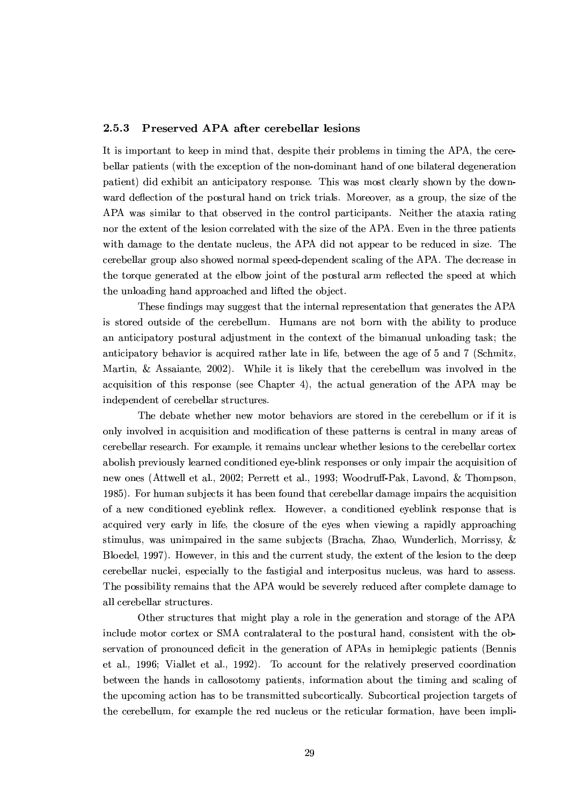#### $2.5.3$ Preserved APA after cerebellar lesions

It is important to keep in mind that, despite their problems in timing the APA, the cerebellar patients (with the exception of the non-dominant hand of one bilateral degeneration patient) did exhibit an anticipatory response. This was most clearly shown by the downward deflection of the postural hand on trick trials. Moreover, as a group, the size of the APA was similar to that observed in the control participants. Neither the ataxia rating nor the extent of the lesion correlated with the size of the APA. Even in the three patients with damage to the dentate nucleus, the APA did not appear to be reduced in size. The cerebellar group also showed normal speed-dependent scaling of the APA. The decrease in the torque generated at the elbow joint of the postural arm reflected the speed at which the unloading hand approached and lifted the object.

These findings may suggest that the internal representation that generates the APA is stored outside of the cerebellum. Humans are not born with the ability to produce an anticipatory postural adjustment in the context of the bimanual unloading task; the anticipatory behavior is acquired rather late in life, between the age of 5 and 7 (Schmitz, Martin, & Assaiante, 2002). While it is likely that the cerebellum was involved in the acquisition of this response (see Chapter 4), the actual generation of the APA may be independent of cerebellar structures.

The debate whether new motor behaviors are stored in the cerebellum or if it is only involved in acquisition and modification of these patterns is central in many areas of cerebellar research. For example, it remains unclear whether lesions to the cerebellar cortex abolish previously learned conditioned eye-blink responses or only impair the acquisition of new ones (Attwell et al., 2002; Perrett et al., 1993; Woodruff-Pak, Lavond, & Thompson, 1985). For human subjects it has been found that cerebellar damage impairs the acquisition of a new conditioned eveblink reflex. However, a conditioned eveblink response that is acquired very early in life, the closure of the eyes when viewing a rapidly approaching stimulus, was unimpaired in the same subjects (Bracha, Zhao, Wunderlich, Morrissy, & Bloedel, 1997). However, in this and the current study, the extent of the lesion to the deep cerebellar nuclei, especially to the fastigial and interpositus nucleus, was hard to assess. The possibility remains that the APA would be severely reduced after complete damage to all cerebellar structures.

Other structures that might play a role in the generation and storage of the APA include motor cortex or SMA contralateral to the postural hand, consistent with the observation of pronounced deficit in the generation of APAs in hemiplegic patients (Bennis et al., 1996; Viallet et al., 1992). To account for the relatively preserved coordination between the hands in callosotomy patients, information about the timing and scaling of the upcoming action has to be transmitted subcortically. Subcortical projection targets of the cerebellum, for example the red nucleus or the reticular formation, have been impli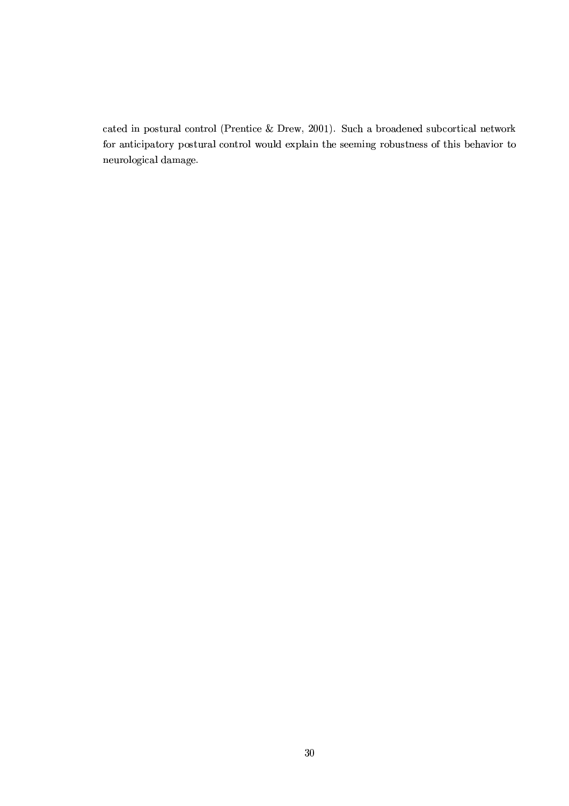cated in postural control (Prentice & Drew, 2001). Such a broadened subcortical network for anticipatory postural control would explain the seeming robustness of this behavior to neurological damage.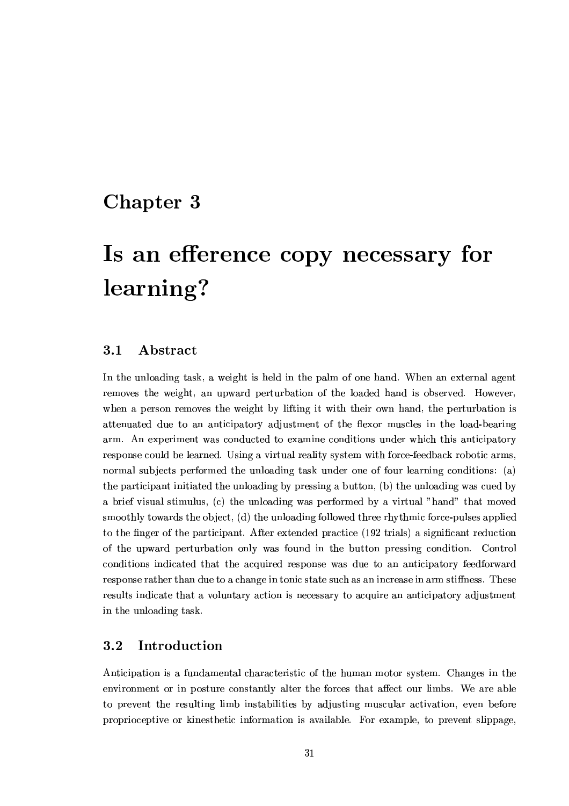### Chapter 3

# Is an efference copy necessary for learning?

#### $3.1$ Abstract

In the unloading task, a weight is held in the palm of one hand. When an external agent removes the weight, an upward perturbation of the loaded hand is observed. However, when a person removes the weight by lifting it with their own hand, the perturbation is attenuated due to an anticipatory adjustment of the flexor muscles in the load-bearing arm. An experiment was conducted to examine conditions under which this anticipatory response could be learned. Using a virtual reality system with force-feedback robotic arms, normal subjects performed the unloading task under one of four learning conditions: (a) the participant initiated the unloading by pressing a button, (b) the unloading was cued by a brief visual stimulus, (c) the unloading was performed by a virtual "hand" that moved smoothly towards the object, (d) the unloading followed three rhythmic force-pulses applied to the finger of the participant. After extended practice (192 trials) a significant reduction of the upward perturbation only was found in the button pressing condition. Control conditions indicated that the acquired response was due to an anticipatory feedforward response rather than due to a change in tonic state such as an increase in arm stiffness. These results indicate that a voluntary action is necessary to acquire an anticipatory adjustment in the unloading task.

#### $3.2$ Introduction

Anticipation is a fundamental characteristic of the human motor system. Changes in the environment or in posture constantly alter the forces that affect our limbs. We are able to prevent the resulting limb instabilities by adjusting muscular activation, even before proprioceptive or kinesthetic information is available. For example, to prevent slippage,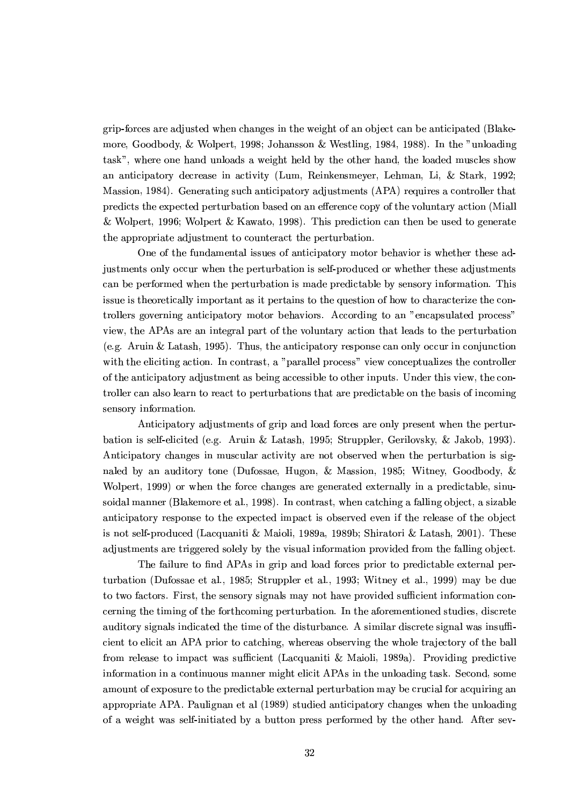grip-forces are adjusted when changes in the weight of an object can be anticipated (Blakemore, Goodbody, & Wolpert, 1998; Johansson & Westling, 1984, 1988). In the "unloading task", where one hand unloads a weight held by the other hand, the loaded muscles show an anticipatory decrease in activity (Lum, Reinkensmeyer, Lehman, Li, & Stark, 1992; Massion, 1984). Generating such anticipatory adjustments (APA) requires a controller that predicts the expected perturbation based on an efference copy of the voluntary action (Miall) & Wolpert, 1996; Wolpert & Kawato, 1998). This prediction can then be used to generate the appropriate adjustment to counteract the perturbation.

One of the fundamental issues of anticipatory motor behavior is whether these adjustments only occur when the perturbation is self-produced or whether these adjustments can be performed when the perturbation is made predictable by sensory information. This issue is theoretically important as it pertains to the question of how to characterize the controllers governing anticipatory motor behaviors. According to an "encapsulated process" view, the APAs are an integral part of the voluntary action that leads to the perturbation (e.g. Aruin & Latash, 1995). Thus, the anticipatory response can only occur in conjunction with the eliciting action. In contrast, a "parallel process" view conceptualizes the controller of the anticipatory adjustment as being accessible to other inputs. Under this view, the controller can also learn to react to perturbations that are predictable on the basis of incoming sensory information.

Anticipatory adjustments of grip and load forces are only present when the perturbation is self-elicited (e.g. Aruin & Latash, 1995; Struppler, Gerilovsky, & Jakob, 1993). Anticipatory changes in muscular activity are not observed when the perturbation is signaled by an auditory tone (Dufossae, Hugon, & Massion, 1985; Witney, Goodbody, & Wolpert, 1999) or when the force changes are generated externally in a predictable, sinusoidal manner (Blakemore et al., 1998). In contrast, when catching a falling object, a sizable anticipatory response to the expected impact is observed even if the release of the object is not self-produced (Lacquaniti & Maioli, 1989a, 1989b; Shiratori & Latash, 2001). These adjustments are triggered solely by the visual information provided from the falling object.

The failure to find APAs in grip and load forces prior to predictable external perturbation (Dufossae et al., 1985; Struppler et al., 1993; Witney et al., 1999) may be due to two factors. First, the sensory signals may not have provided sufficient information concerning the timing of the forthcoming perturbation. In the aforementioned studies, discrete auditory signals indicated the time of the disturbance. A similar discrete signal was insufficient to elicit an APA prior to catching, whereas observing the whole trajectory of the ball from release to impact was sufficient (Lacquaniti & Maioli, 1989a). Providing predictive information in a continuous manner might elicit APAs in the unloading task. Second, some amount of exposure to the predictable external perturbation may be crucial for acquiring an appropriate APA. Paulignan et al (1989) studied anticipatory changes when the unloading of a weight was self-initiated by a button press performed by the other hand. After sev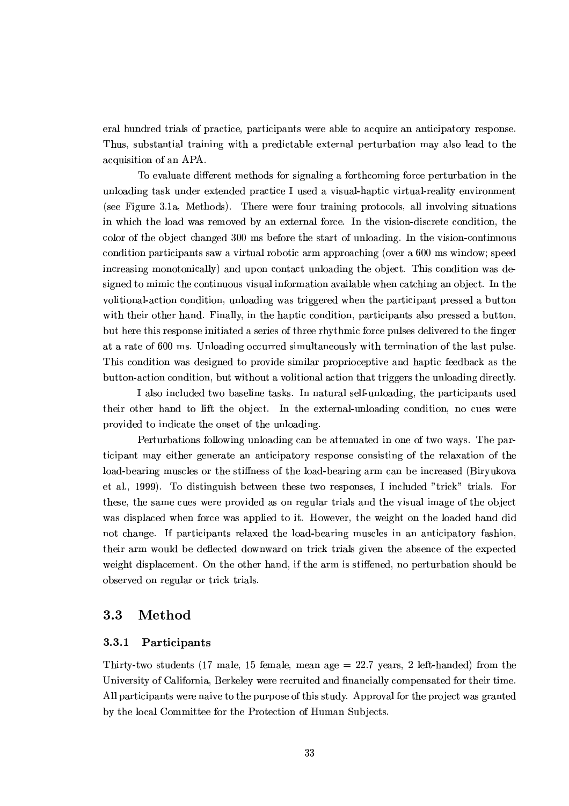eral hundred trials of practice, participants were able to acquire an anticipatory response. Thus, substantial training with a predictable external perturbation may also lead to the acquisition of an APA.

To evaluate different methods for signaling a forthcoming force perturbation in the unloading task under extended practice I used a visual-haptic virtual-reality environment (see Figure 3.1a. Methods). There were four training protocols, all involving situations in which the load was removed by an external force. In the vision-discrete condition, the color of the object changed 300 ms before the start of unloading. In the vision-continuous condition participants saw a virtual robotic arm approaching (over a 600 ms window; speed increasing monotonically) and upon contact unloading the object. This condition was designed to mimic the continuous visual information available when catching an object. In the volitional-action condition, unloading was triggered when the participant pressed a button with their other hand. Finally, in the haptic condition, participants also pressed a button, but here this response initiated a series of three rhythmic force pulses delivered to the finger at a rate of 600 ms. Unloading occurred simultaneously with termination of the last pulse. This condition was designed to provide similar proprioceptive and haptic feedback as the button-action condition, but without a volitional action that triggers the unloading directly.

I also included two baseline tasks. In natural self-unloading, the participants used their other hand to lift the object. In the external-unloading condition, no cues were provided to indicate the onset of the unloading.

Perturbations following unloading can be attenuated in one of two ways. The participant may either generate an anticipatory response consisting of the relaxation of the load-bearing muscles or the stiffness of the load-bearing arm can be increased (Biryukova et al., 1999). To distinguish between these two responses, I included "trick" trials. For these, the same cues were provided as on regular trials and the visual image of the object was displaced when force was applied to it. However, the weight on the loaded hand did not change. If participants relaxed the load-bearing muscles in an anticipatory fashion, their arm would be deflected downward on trick trials given the absence of the expected weight displacement. On the other hand, if the arm is stiffened, no perturbation should be observed on regular or trick trials.

#### Method  $3.3$

#### 3.3.1 Participants

Thirty-two students (17 male, 15 female, mean age  $= 22.7$  years, 2 left-handed) from the University of California, Berkeley were recruited and financially compensated for their time. All participants were naive to the purpose of this study. Approval for the project was granted by the local Committee for the Protection of Human Subjects.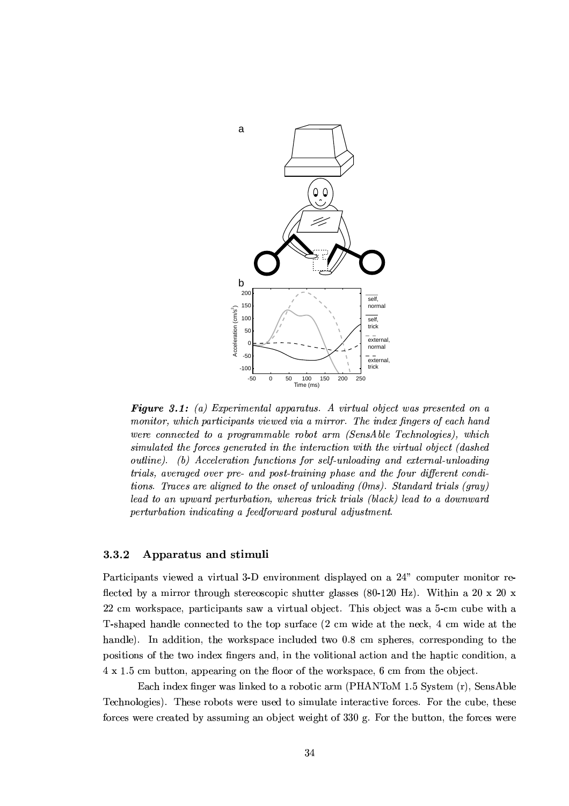

**Figure 3.1:** (a) Experimental apparatus. A virtual object was presented on a monitor, which participants viewed via a mirror. The index fingers of each hand were connected to a programmable robot arm (SensAble Technologies), which simulated the forces generated in the interaction with the virtual object (dashed outline). (b) Acceleration functions for self-unloading and external-unloading trials, averaged over pre- and post-training phase and the four different conditions. Traces are aligned to the onset of unloading (0ms). Standard trials (gray) lead to an upward perturbation, whereas trick trials (black) lead to a downward perturbation indicating a feedforward postural adjustment.

#### 3.3.2 Apparatus and stimuli

Participants viewed a virtual 3-D environment displayed on a 24" computer monitor reflected by a mirror through stereoscopic shutter glasses (80-120 Hz). Within a 20 x 20 x 22 cm workspace, participants saw a virtual object. This object was a 5-cm cube with a T-shaped handle connected to the top surface (2 cm wide at the neck, 4 cm wide at the handle). In addition, the workspace included two 0.8 cm spheres, corresponding to the positions of the two index fingers and, in the volitional action and the haptic condition, a 4 x 1.5 cm button, appearing on the floor of the workspace, 6 cm from the object.

Each index finger was linked to a robotic arm (PHANToM 1.5 System (r). SensAble Technologies). These robots were used to simulate interactive forces. For the cube, these forces were created by assuming an object weight of 330 g. For the button, the forces were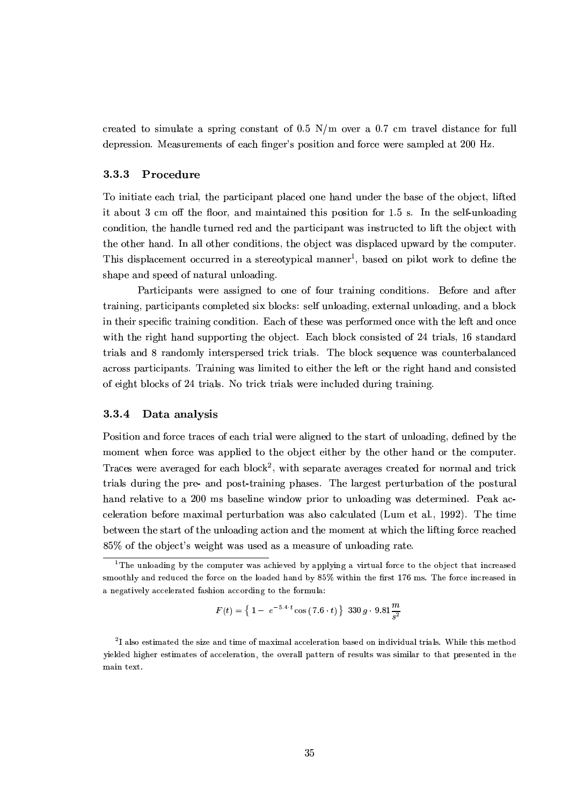created to simulate a spring constant of 0.5  $N/m$  over a 0.7 cm travel distance for full depression. Measurements of each finger's position and force were sampled at 200 Hz.

#### 3.3.3 Procedure

To initiate each trial, the participant placed one hand under the base of the object, lifted it about 3 cm off the floor, and maintained this position for 1.5 s. In the self-unloading condition, the handle turned red and the participant was instructed to lift the object with the other hand. In all other conditions, the object was displaced upward by the computer. This displacement occurred in a stereotypical manner<sup>1</sup>, based on pilot work to define the shape and speed of natural unloading.

Participants were assigned to one of four training conditions. Before and after training, participants completed six blocks: self unloading, external unloading, and a block in their specific training condition. Each of these was performed once with the left and once with the right hand supporting the object. Each block consisted of 24 trials, 16 standard trials and 8 randomly interspersed trick trials. The block sequence was counterbalanced across participants. Training was limited to either the left or the right hand and consisted of eight blocks of 24 trials. No trick trials were included during training.

#### Data analysis 3.3.4

Position and force traces of each trial were aligned to the start of unloading, defined by the moment when force was applied to the object either by the other hand or the computer. Traces were averaged for each block<sup>2</sup>, with separate averages created for normal and trick trials during the pre- and post-training phases. The largest perturbation of the postural hand relative to a 200 ms baseline window prior to unloading was determined. Peak acceleration before maximal perturbation was also calculated (Lum et al., 1992). The time between the start of the unloading action and the moment at which the lifting force reached 85% of the object's weight was used as a measure of unloading rate.

$$
F(t) = \left\{1 - e^{-5.4 \cdot t} \cos(7.6 \cdot t)\right\} \cdot 330 \cdot 9.81 \frac{m}{s^2}
$$

<sup>&</sup>lt;sup>1</sup>The unloading by the computer was achieved by applying a virtual force to the object that increased smoothly and reduced the force on the loaded hand by 85% within the first 176 ms. The force increased in a negatively accelerated fashion according to the formula:

<sup>&</sup>lt;sup>2</sup>I also estimated the size and time of maximal acceleration based on individual trials. While this method yielded higher estimates of acceleration, the overall pattern of results was similar to that presented in the main text.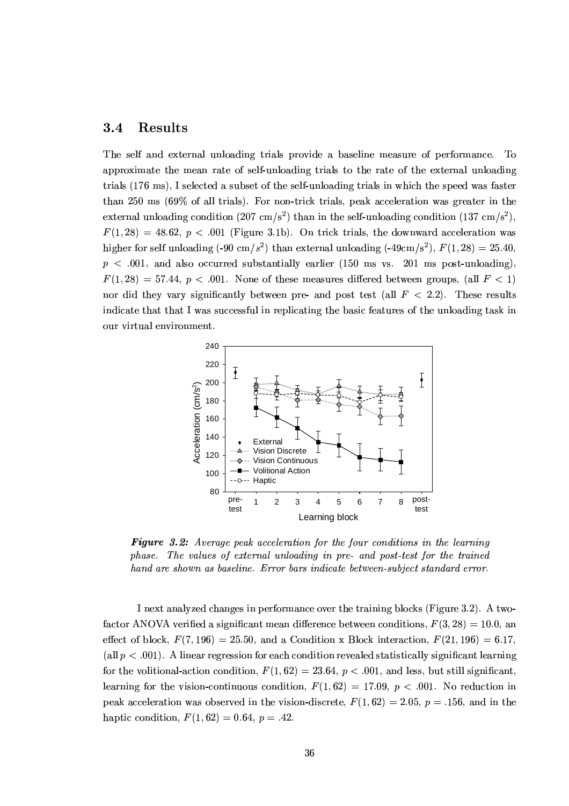#### 3.4 Results

The self and external unloading trials provide a baseline measure of performance. To approximate the mean rate of self-unloading trials to the rate of the external unloading trials (176 ms), I selected a subset of the self-unloading trials in which the speed was faster than 250 ms  $(69\% \text{ of all trials})$ . For non-trick trials, peak acceleration was greater in the external unloading condition (207 cm/s<sup>2</sup>) than in the self-unloading condition (137 cm/s<sup>2</sup>).  $F(1,28) = 48.62, p < .001$  (Figure 3.1b). On trick trials, the downward acceleration was higher for self unloading (-90 cm/s<sup>2</sup>) than external unloading (-49cm/s<sup>2</sup>),  $F(1,28) = 25.40$ ,  $p < .001$ , and also occurred substantially earlier (150 ms vs. 201 ms post-unloading),  $F(1, 28) = 57.44$ ,  $p < .001$ . None of these measures differed between groups, (all  $F < 1$ ) nor did they vary significantly between pre- and post test (all  $F < 2.2$ ). These results indicate that that I was successful in replicating the basic features of the unloading task in our virtual environment.



**Figure 3.2:** Average peak acceleration for the four conditions in the learning phase. The values of external unloading in pre- and post-test for the trained hand are shown as baseline. Error bars indicate between-subject standard error.

I next analyzed changes in performance over the training blocks (Figure 3.2). A twofactor ANOVA verified a significant mean difference between conditions,  $F(3, 28) = 10.0$ , an effect of block,  $F(7, 196) = 25.50$ , and a Condition x Block interaction,  $F(21, 196) = 6.17$ , (all  $p < .001$ ). A linear regression for each condition revealed statistically significant learning for the volitional-action condition,  $F(1, 62) = 23.64$ ,  $p < .001$ , and less, but still significant, learning for the vision-continuous condition,  $F(1,62) = 17.09, p < .001$ . No reduction in peak acceleration was observed in the vision-discrete,  $F(1,62) = 2.05$ ,  $p = .156$ , and in the haptic condition,  $F(1,62) = 0.64$ ,  $p = .42$ .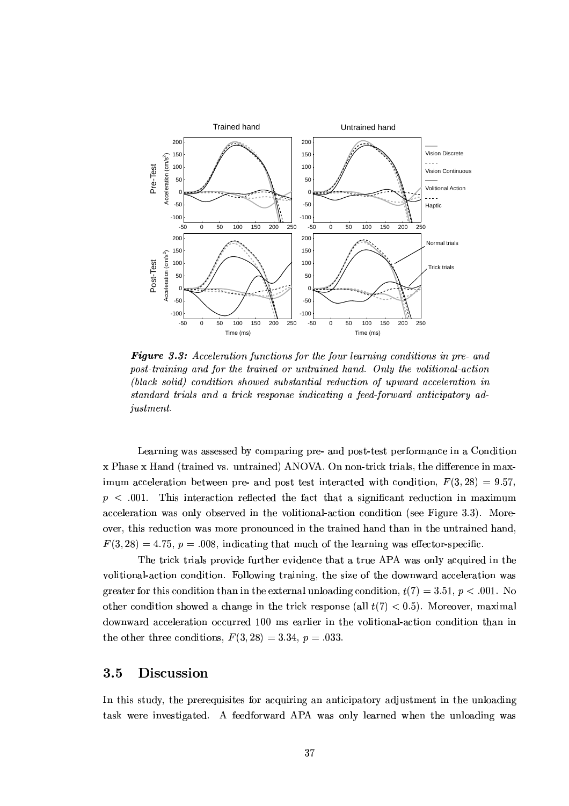

**Figure 3.3:** Acceleration functions for the four learning conditions in pre- and post-training and for the trained or untrained hand. Only the volitional-action (black solid) condition showed substantial reduction of upward acceleration in standard trials and a trick response indicating a feed-forward anticipatory adjustment.

Learning was assessed by comparing pre- and post-test performance in a Condition x Phase x Hand (trained vs. untrained) ANOVA. On non-trick trials, the difference in maximum acceleration between pre- and post test interacted with condition,  $F(3, 28) = 9.57$ ,  $p \lt 0.001$ . This interaction reflected the fact that a significant reduction in maximum acceleration was only observed in the volitional-action condition (see Figure 3.3). Moreover, this reduction was more pronounced in the trained hand than in the untrained hand.  $F(3, 28) = 4.75$ ,  $p = .008$ , indicating that much of the learning was effector-specific.

The trick trials provide further evidence that a true APA was only acquired in the volitional-action condition. Following training, the size of the downward acceleration was greater for this condition than in the external unloading condition,  $t(7) = 3.51$ ,  $p < .001$ . No other condition showed a change in the trick response (all  $t(7) < 0.5$ ). Moreover, maximal downward acceleration occurred 100 ms earlier in the volitional-action condition than in the other three conditions,  $F(3,28) = 3.34$ ,  $p = .033$ .

#### $3.5$ Discussion

In this study, the prerequisites for acquiring an anticipatory adjustment in the unloading task were investigated. A feedforward APA was only learned when the unloading was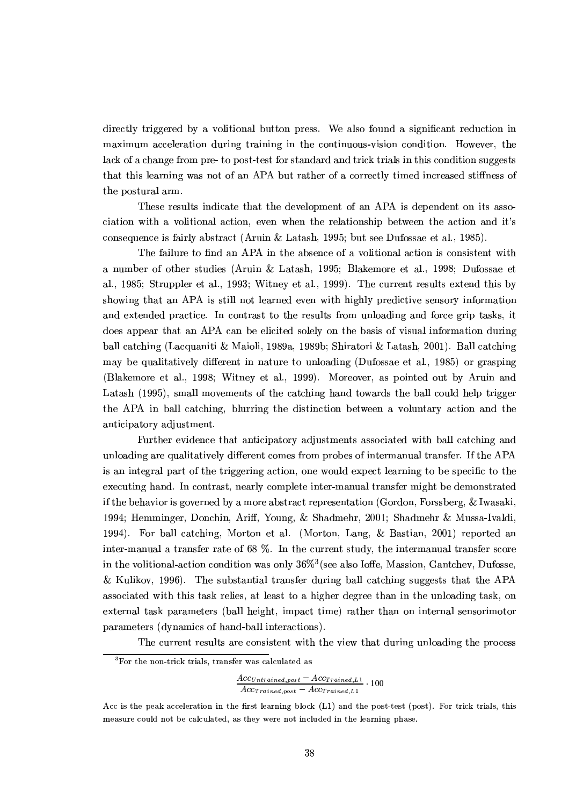directly triggered by a volitional button press. We also found a significant reduction in maximum acceleration during training in the continuous-vision condition. However, the lack of a change from pre- to post-test for standard and trick trials in this condition suggests that this learning was not of an APA but rather of a correctly timed increased stiffness of the postural arm.

These results indicate that the development of an APA is dependent on its association with a volitional action, even when the relationship between the action and it's consequence is fairly abstract (Aruin & Latash, 1995; but see Dufossae et al., 1985).

The failure to find an APA in the absence of a volitional action is consistent with a number of other studies (Aruin & Latash, 1995; Blakemore et al., 1998; Dufossae et al., 1985; Struppler et al., 1993; Witney et al., 1999). The current results extend this by showing that an APA is still not learned even with highly predictive sensory information and extended practice. In contrast to the results from unloading and force grip tasks, it does appear that an APA can be elicited solely on the basis of visual information during ball catching (Lacquaniti & Maioli, 1989a, 1989b; Shiratori & Latash, 2001). Ball catching may be qualitatively different in nature to unloading (Dufossae et al., 1985) or grasping (Blakemore et al., 1998; Witney et al., 1999). Moreover, as pointed out by Aruin and Latash (1995), small movements of the catching hand towards the ball could help trigger the APA in ball catching, blurring the distinction between a voluntary action and the anticipatory adjustment.

Further evidence that anticipatory adjustments associated with ball catching and unloading are qualitatively different comes from probes of intermanual transfer. If the APA is an integral part of the triggering action, one would expect learning to be specific to the executing hand. In contrast, nearly complete inter-manual transfer might be demonstrated if the behavior is governed by a more abstract representation (Gordon, Forssberg, & Iwasaki, 1994; Hemminger, Donchin, Ariff, Young, & Shadmehr, 2001; Shadmehr & Mussa-Ivaldi, 1994). For ball catching, Morton et al. (Morton, Lang, & Bastian, 2001) reported an inter-manual a transfer rate of 68 %. In the current study, the intermanual transfer score in the volitional-action condition was only  $36\%$ <sup>3</sup> (see also Ioffe, Massion, Gantchev, Dufosse, & Kulikov, 1996). The substantial transfer during ball catching suggests that the APA associated with this task relies, at least to a higher degree than in the unloading task, on external task parameters (ball height, impact time) rather than on internal sensorimotor parameters (dynamics of hand-ball interactions).

The current results are consistent with the view that during unloading the process

 ${}^{3}$ For the non-trick trials, transfer was calculated as

 $\frac{Acc_{Untrained,post} - Acc_{Trained, L1}}{Acc_{Trained,post} - Acc_{Trained, L1}} \cdot 100$ 

Acc is the peak acceleration in the first learning block (L1) and the post-test (post). For trick trials, this measure could not be calculated, as they were not included in the learning phase.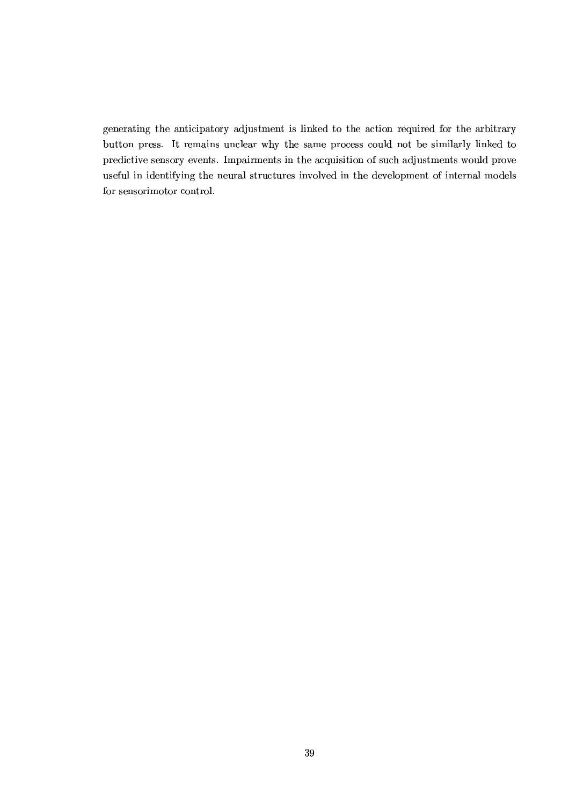generating the anticipatory adjustment is linked to the action required for the arbitrary button press. It remains unclear why the same process could not be similarly linked to predictive sensory events. Impairments in the acquisition of such adjustments would prove useful in identifying the neural structures involved in the development of internal models for sensorimotor control.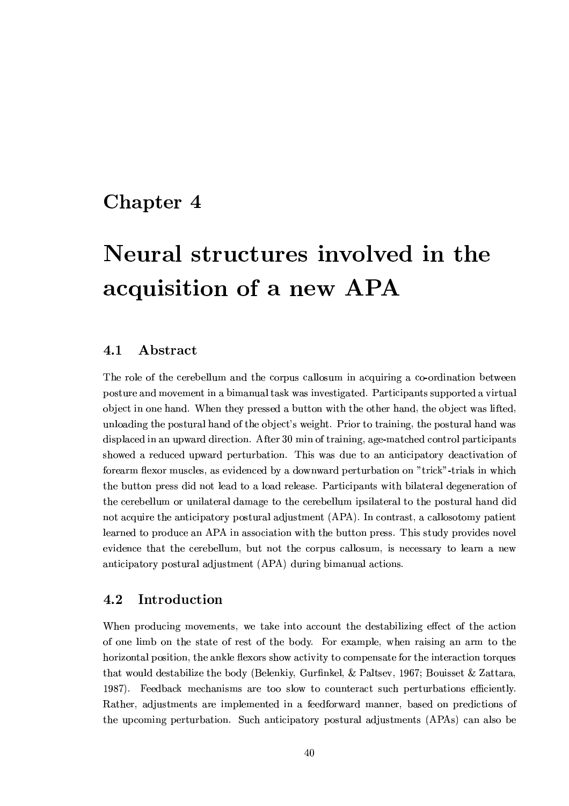## Chapter 4

# Neural structures involved in the acquisition of a new APA

#### 4.1 Abstract

The role of the cerebellum and the corpus callosum in acquiring a co-ordination between posture and movement in a bimanual task was investigated. Participants supported a virtual object in one hand. When they pressed a button with the other hand, the object was lifted, unloading the postural hand of the object's weight. Prior to training, the postural hand was displaced in an upward direction. After 30 min of training, age-matched control participants showed a reduced upward perturbation. This was due to an anticipatory deactivation of forearm flexor muscles, as evidenced by a downward perturbation on "trick"-trials in which the button press did not lead to a load release. Participants with bilateral degeneration of the cerebellum or unilateral damage to the cerebellum ipsilateral to the postural hand did not acquire the anticipatory postural adjustment (APA). In contrast, a callosotomy patient learned to produce an APA in association with the button press. This study provides novel evidence that the cerebellum, but not the corpus callosum, is necessary to learn a new anticipatory postural adjustment (APA) during bimanual actions.

#### 4.2 Introduction

When producing movements, we take into account the destabilizing effect of the action of one limb on the state of rest of the body. For example, when raising an arm to the horizontal position, the ankle flexors show activity to compensate for the interaction torques that would destabilize the body (Belenkiy, Gurfinkel, & Paltsev, 1967; Bouisset & Zattara, 1987). Feedback mechanisms are too slow to counteract such perturbations efficiently. Rather, adjustments are implemented in a feedforward manner, based on predictions of the upcoming perturbation. Such anticipatory postural adjustments (APAs) can also be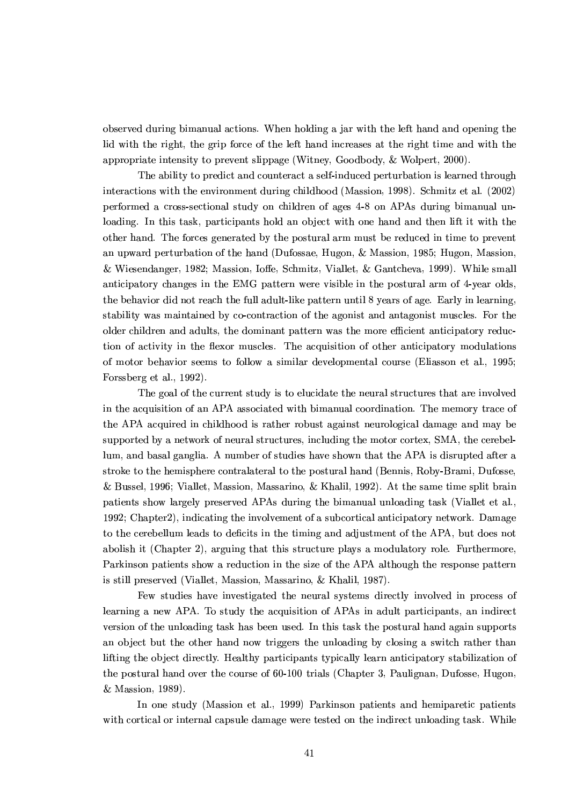observed during bimanual actions. When holding a jar with the left hand and opening the lid with the right, the grip force of the left hand increases at the right time and with the appropriate intensity to prevent slippage (Witney, Goodbody, & Wolpert, 2000).

The ability to predict and counteract a self-induced perturbation is learned through interactions with the environment during childhood (Massion, 1998). Schmitz et al. (2002) performed a cross-sectional study on children of ages 4-8 on APAs during bimanual unloading. In this task, participants hold an object with one hand and then lift it with the other hand. The forces generated by the postural arm must be reduced in time to prevent an upward perturbation of the hand (Dufossae, Hugon, & Massion, 1985; Hugon, Massion, & Wiesendanger, 1982; Massion, Ioffe, Schmitz, Viallet, & Gantcheva, 1999). While small anticipatory changes in the EMG pattern were visible in the postural arm of 4-year olds. the behavior did not reach the full adult-like pattern until 8 years of age. Early in learning, stability was maintained by co-contraction of the agonist and antagonist muscles. For the older children and adults, the dominant pattern was the more efficient anticipatory reduction of activity in the flexor muscles. The acquisition of other anticipatory modulations of motor behavior seems to follow a similar developmental course (Eliasson et al., 1995; Forssberg et al., 1992).

The goal of the current study is to elucidate the neural structures that are involved in the acquisition of an APA associated with bimanual coordination. The memory trace of the APA acquired in childhood is rather robust against neurological damage and may be supported by a network of neural structures, including the motor cortex, SMA, the cerebellum, and basal ganglia. A number of studies have shown that the APA is disrupted after a stroke to the hemisphere contralateral to the postural hand (Bennis, Roby-Brami, Dufosse, & Bussel, 1996; Viallet, Massion, Massarino, & Khalil, 1992). At the same time split brain patients show largely preserved APAs during the bimanual unloading task (Viallet et al., 1992; Chapter 2), indicating the involvement of a subcortical anticipatory network. Damage to the cerebellum leads to deficits in the timing and adjustment of the APA, but does not abolish it (Chapter 2), arguing that this structure plays a modulatory role. Furthermore, Parkinson patients show a reduction in the size of the APA although the response pattern is still preserved (Viallet, Massion, Massarino, & Khalil, 1987).

Few studies have investigated the neural systems directly involved in process of learning a new APA. To study the acquisition of APAs in adult participants, an indirect version of the unloading task has been used. In this task the postural hand again supports an object but the other hand now triggers the unloading by closing a switch rather than lifting the object directly. Healthy participants typically learn anticipatory stabilization of the postural hand over the course of 60-100 trials (Chapter 3, Paulignan, Dufosse, Hugon, & Massion, 1989).

In one study (Massion et al., 1999) Parkinson patients and hemiparetic patients with cortical or internal capsule damage were tested on the indirect unloading task. While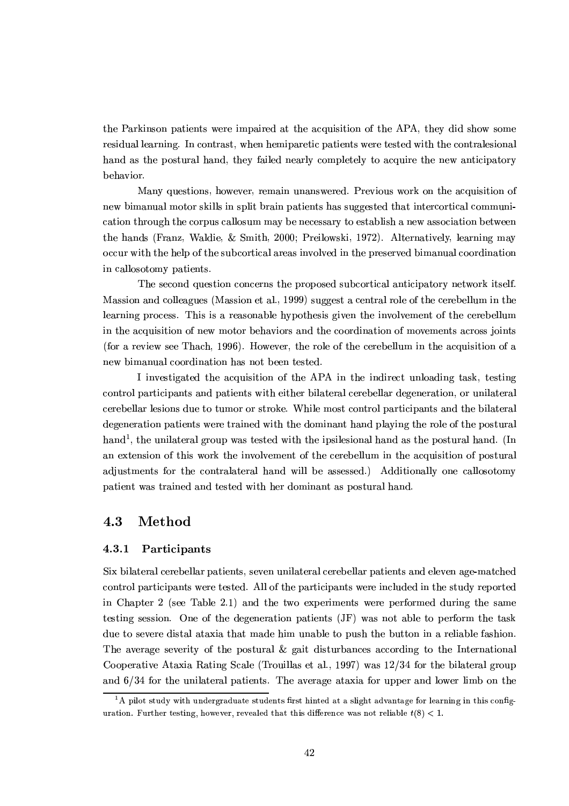the Parkinson patients were impaired at the acquisition of the APA, they did show some residual learning. In contrast, when hemiparetic patients were tested with the contralesional hand as the postural hand, they failed nearly completely to acquire the new anticipatory behavior.

Many questions, however, remain unanswered. Previous work on the acquisition of new bimanual motor skills in split brain patients has suggested that intercortical communication through the corpus callosum may be necessary to establish a new association between the hands (Franz, Waldie, & Smith, 2000; Preilowski, 1972). Alternatively, learning may occur with the help of the subcortical areas involved in the preserved bimanual coordination in callosotomy patients.

The second question concerns the proposed subcortical anticipatory network itself. Massion and colleagues (Massion et al., 1999) suggest a central role of the cerebellum in the learning process. This is a reasonable hypothesis given the involvement of the cerebellum in the acquisition of new motor behaviors and the coordination of movements across joints (for a review see Thach, 1996). However, the role of the cerebellum in the acquisition of a new bimanual coordination has not been tested.

I investigated the acquisition of the APA in the indirect unloading task, testing control participants and patients with either bilateral cerebellar degeneration, or unilateral cerebellar lesions due to tumor or stroke. While most control participants and the bilateral degeneration patients were trained with the dominant hand playing the role of the postural hand<sup>1</sup>, the unilateral group was tested with the ipsilesional hand as the postural hand. (In an extension of this work the involvement of the cerebellum in the acquisition of postural adjustments for the contralateral hand will be assessed.) Additionally one callosotomy patient was trained and tested with her dominant as postural hand.

#### 4.3 Method

#### $4.3.1$ Participants

Six bilateral cerebellar patients, seven unilateral cerebellar patients and eleven age-matched control participants were tested. All of the participants were included in the study reported in Chapter 2 (see Table 2.1) and the two experiments were performed during the same testing session. One of the degeneration patients (JF) was not able to perform the task due to severe distal ataxia that made him unable to push the button in a reliable fashion. The average severity of the postural & gait disturbances according to the International Cooperative Ataxia Rating Scale (Trouillas et al., 1997) was 12/34 for the bilateral group and  $6/34$  for the unilateral patients. The average ataxia for upper and lower limb on the

<sup>&</sup>lt;sup>1</sup>A pilot study with undergraduate students first hinted at a slight advantage for learning in this configuration. Further testing, however, revealed that this difference was not reliable  $t(8) < 1$ .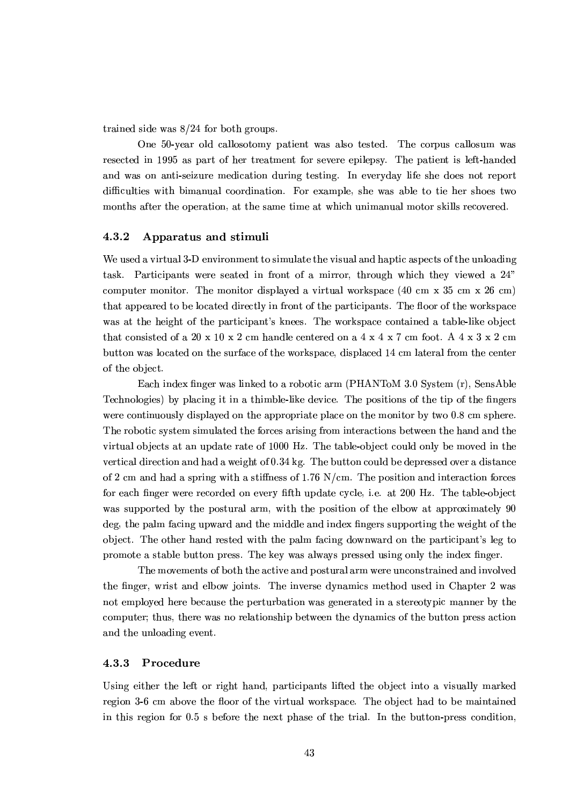trained side was  $8/24$  for both groups.

One 50-year old callosotomy patient was also tested. The corpus callosum was resected in 1995 as part of her treatment for severe epilepsy. The patient is left-handed and was on anti-seizure medication during testing. In everyday life she does not report difficulties with bimanual coordination. For example, she was able to tie her shoes two months after the operation, at the same time at which unimanual motor skills recovered.

#### 4.3.2 Apparatus and stimuli

We used a virtual 3-D environment to simulate the visual and haptic aspects of the unloading task. Participants were seated in front of a mirror, through which they viewed a 24" computer monitor. The monitor displayed a virtual workspace  $(40 \text{ cm } x\text{ } 35 \text{ cm } x\text{ } 26 \text{ cm})$ that appeared to be located directly in front of the participants. The floor of the workspace was at the height of the participant's knees. The workspace contained a table-like object that consisted of a 20 x 10 x 2 cm handle centered on a  $4 \times 4 \times 7$  cm foot. A  $4 \times 3 \times 2$  cm button was located on the surface of the workspace, displaced 14 cm lateral from the center of the object.

Each index finger was linked to a robotic arm (PHANToM 3.0 System (r), SensAble Technologies) by placing it in a thimble-like device. The positions of the tip of the fingers were continuously displayed on the appropriate place on the monitor by two 0.8 cm sphere. The robotic system simulated the forces arising from interactions between the hand and the virtual objects at an update rate of 1000 Hz. The table-object could only be moved in the vertical direction and had a weight of 0.34 kg. The button could be depressed over a distance of 2 cm and had a spring with a stiffness of 1.76 N/cm. The position and interaction forces for each finger were recorded on every fifth update cycle, i.e. at 200 Hz. The table-object was supported by the postural arm, with the position of the elbow at approximately 90 deg, the palm facing upward and the middle and index fingers supporting the weight of the object. The other hand rested with the palm facing downward on the participant's leg to promote a stable button press. The key was always pressed using only the index finger.

The movements of both the active and postural arm were unconstrained and involved the finger, wrist and elbow joints. The inverse dynamics method used in Chapter 2 was not employed here because the perturbation was generated in a stereotypic manner by the computer; thus, there was no relationship between the dynamics of the button press action and the unloading event.

#### 4.3.3 Procedure

Using either the left or right hand, participants lifted the object into a visually marked region 3-6 cm above the floor of the virtual workspace. The object had to be maintained in this region for 0.5 s before the next phase of the trial. In the button-press condition,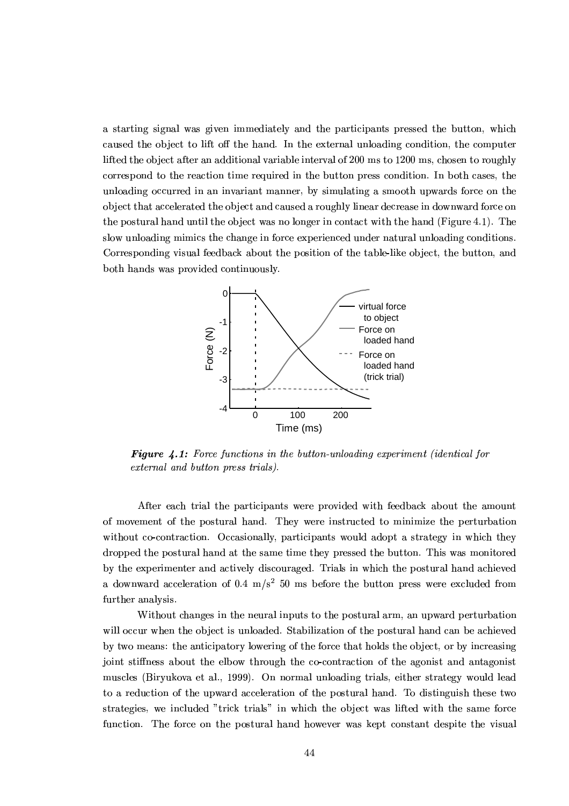a starting signal was given immediately and the participants pressed the button, which caused the object to lift off the hand. In the external unloading condition, the computer lifted the object after an additional variable interval of 200 ms to 1200 ms, chosen to roughly correspond to the reaction time required in the button press condition. In both cases, the unloading occurred in an invariant manner, by simulating a smooth upwards force on the object that accelerated the object and caused a roughly linear decrease in downward force on the postural hand until the object was no longer in contact with the hand (Figure 4.1). The slow unloading mimics the change in force experienced under natural unloading conditions. Corresponding visual feedback about the position of the table-like object, the button, and both hands was provided continuously.



**Figure 4.1:** Force functions in the button-unloading experiment (identical for external and button press trials).

After each trial the participants were provided with feedback about the amount of movement of the postural hand. They were instructed to minimize the perturbation without co-contraction. Occasionally, participants would adopt a strategy in which they dropped the postural hand at the same time they pressed the button. This was monitored by the experimenter and actively discouraged. Trials in which the postural hand achieved a downward acceleration of 0.4  $m/s<sup>2</sup>$  50 ms before the button press were excluded from further analysis.

Without changes in the neural inputs to the postural arm, an upward perturbation will occur when the object is unloaded. Stabilization of the postural hand can be achieved by two means: the anticipatory lowering of the force that holds the object, or by increasing joint stiffness about the elbow through the co-contraction of the agonist and antagonist muscles (Biryukova et al., 1999). On normal unloading trials, either strategy would lead to a reduction of the upward acceleration of the postural hand. To distinguish these two strategies, we included "trick trials" in which the object was lifted with the same force function. The force on the postural hand however was kept constant despite the visual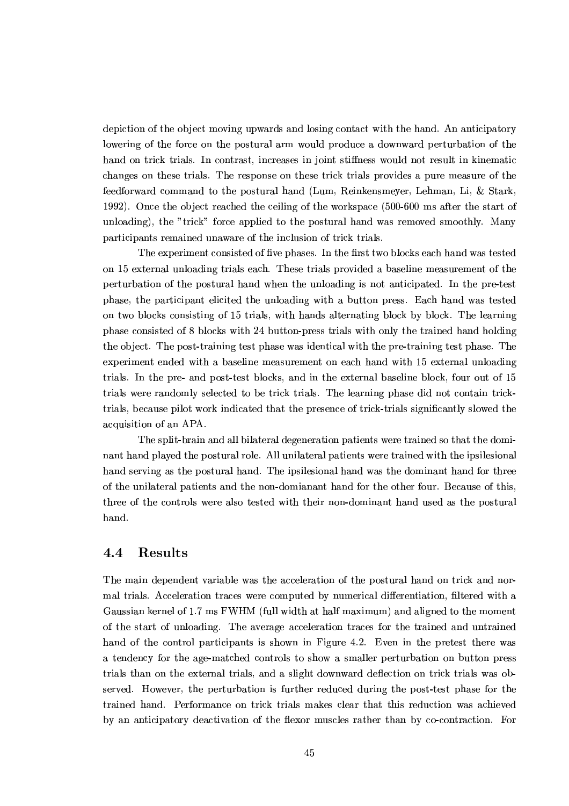depiction of the object moving upwards and losing contact with the hand. An anticipatory lowering of the force on the postural arm would produce a downward perturbation of the hand on trick trials. In contrast, increases in joint stiffness would not result in kinematic changes on these trials. The response on these trick trials provides a pure measure of the feedforward command to the postural hand (Lum, Reinkensmeyer, Lehman, Li, & Stark, 1992). Once the object reached the ceiling of the workspace (500-600 ms after the start of unloading), the "trick" force applied to the postural hand was removed smoothly. Many participants remained unaware of the inclusion of trick trials.

The experiment consisted of five phases. In the first two blocks each hand was tested on 15 external unloading trials each. These trials provided a baseline measurement of the perturbation of the postural hand when the unloading is not anticipated. In the pre-test phase, the participant elicited the unloading with a button press. Each hand was tested on two blocks consisting of 15 trials, with hands alternating block by block. The learning phase consisted of 8 blocks with 24 button-press trials with only the trained hand holding the object. The post-training test phase was identical with the pre-training test phase. The experiment ended with a baseline measurement on each hand with 15 external unloading trials. In the pre- and post-test blocks, and in the external baseline block, four out of 15 trials were randomly selected to be trick trials. The learning phase did not contain tricktrials, because pilot work indicated that the presence of trick-trials significantly slowed the acquisition of an APA.

The split-brain and all bilateral degeneration patients were trained so that the dominant hand played the postural role. All unilateral patients were trained with the ipsilesional hand serving as the postural hand. The ipsilesional hand was the dominant hand for three of the unilateral patients and the non-domianant hand for the other four. Because of this, three of the controls were also tested with their non-dominant hand used as the postural hand.

#### $4.4$ **Results**

The main dependent variable was the acceleration of the postural hand on trick and normal trials. Acceleration traces were computed by numerical differentiation, filtered with a Gaussian kernel of 1.7 ms FWHM (full width at half maximum) and aligned to the moment of the start of unloading. The average acceleration traces for the trained and untrained hand of the control participants is shown in Figure 4.2. Even in the pretest there was a tendency for the age-matched controls to show a smaller perturbation on button press trials than on the external trials, and a slight downward deflection on trick trials was observed. However, the perturbation is further reduced during the post-test phase for the trained hand. Performance on trick trials makes clear that this reduction was achieved by an anticipatory deactivation of the flexor muscles rather than by co-contraction. For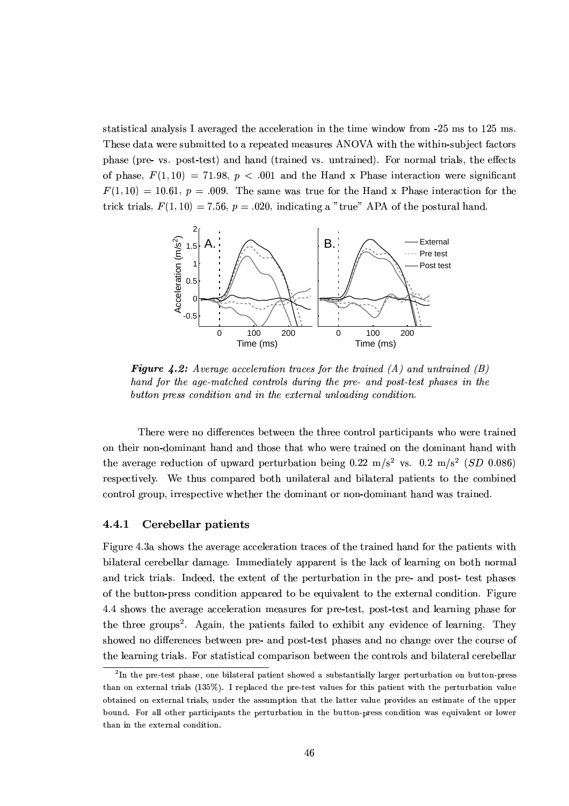statistical analysis I averaged the acceleration in the time window from -25 ms to 125 ms. These data were submitted to a repeated measures ANOVA with the within-subject factors phase (pre- vs. post-test) and hand (trained vs. untrained). For normal trials, the effects of phase,  $F(1,10) = 71.98$ ,  $p < .001$  and the Hand x Phase interaction were significant  $F(1, 10) = 10.61$ ,  $p = .009$ . The same was true for the Hand x Phase interaction for the trick trials,  $F(1, 10) = 7.56$ ,  $p = .020$ , indicating a "true" APA of the postural hand.



**Figure 4.2:** Average acceleration traces for the trained  $(A)$  and untrained  $(B)$ hand for the age-matched controls during the pre- and post-test phases in the button press condition and in the external unloading condition.

There were no differences between the three control participants who were trained on their non-dominant hand and those that who were trained on the dominant hand with the average reduction of upward perturbation being 0.22 m/s<sup>2</sup> vs. 0.2 m/s<sup>2</sup> (SD 0.086) respectively. We thus compared both unilateral and bilateral patients to the combined control group, irrespective whether the dominant or non-dominant hand was trained.

#### 4.4.1 Cerebellar patients

Figure 4.3a shows the average acceleration traces of the trained hand for the patients with bilateral cerebellar damage. Immediately apparent is the lack of learning on both normal and trick trials. Indeed, the extent of the perturbation in the pre- and post- test phases of the button-press condition appeared to be equivalent to the external condition. Figure 4.4 shows the average acceleration measures for pre-test, post-test and learning phase for the three groups<sup>2</sup>. Again, the patients failed to exhibit any evidence of learning. They showed no differences between pre- and post-test phases and no change over the course of the learning trials. For statistical comparison between the controls and bilateral cerebellar

<sup>&</sup>lt;sup>2</sup>In the pre-test phase, one bilateral patient showed a substantially larger perturbation on button-press than on external trials (135%). I replaced the pre-test values for this patient with the perturbation value obtained on external trials, under the assumption that the latter value provides an estimate of the upper bound. For all other participants the perturbation in the button-press condition was equivalent or lower than in the external condition.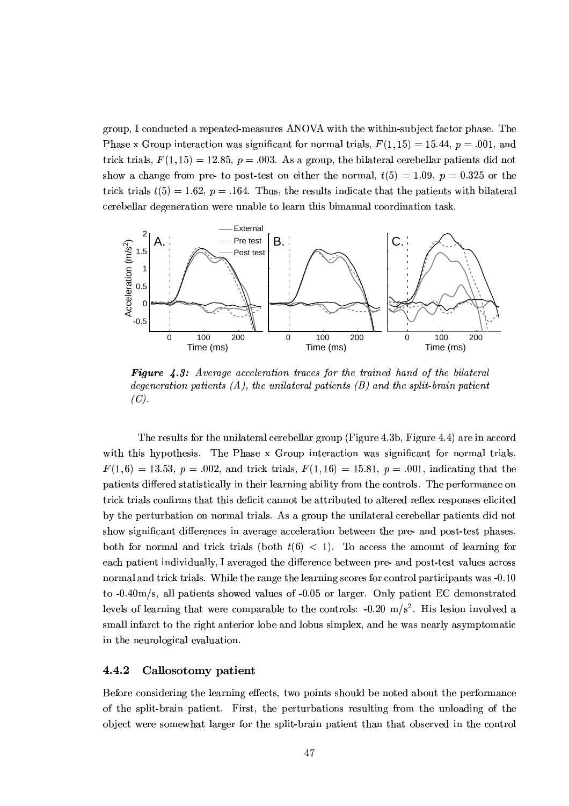group, I conducted a repeated-measures ANOVA with the within-subject factor phase. The Phase x Group interaction was significant for normal trials,  $F(1, 15) = 15.44$ ,  $p = .001$ , and trick trials,  $F(1, 15) = 12.85$ ,  $p = .003$ . As a group, the bilateral cerebellar patients did not show a change from pre- to post-test on either the normal,  $t(5) = 1.09$ ,  $p = 0.325$  or the trick trials  $t(5) = 1.62$ ,  $p = .164$ . Thus, the results indicate that the patients with bilateral cerebellar degeneration were unable to learn this bimanual coordination task.



**Figure 4.3:** Average acceleration traces for the trained hand of the bilateral degeneration patients  $(A)$ , the unilateral patients  $(B)$  and the split-brain patient  $(C).$ 

The results for the unilateral cerebellar group (Figure 4.3b, Figure 4.4) are in accord with this hypothesis. The Phase x Group interaction was significant for normal trials,  $F(1,6) = 13.53$ ,  $p = .002$ , and trick trials,  $F(1,16) = 15.81$ ,  $p = .001$ , indicating that the patients differed statistically in their learning ability from the controls. The performance on trick trials confirms that this deficit cannot be attributed to altered reflex responses elicited by the perturbation on normal trials. As a group the unilateral cerebellar patients did not show significant differences in average acceleration between the pre- and post-test phases. both for normal and trick trials (both  $t(6)$  < 1). To access the amount of learning for each patient individually, I averaged the difference between pre- and post-test values across normal and trick trials. While the range the learning scores for control participants was -0.10 to  $-0.40$ m/s, all patients showed values of  $-0.05$  or larger. Only patient EC demonstrated levels of learning that were comparable to the controls:  $-0.20 \text{ m/s}^2$ . His lession involved a small infarct to the right anterior lobe and lobus simplex, and he was nearly asymptomatic in the neurological evaluation.

#### 4.4.2 Callosotomy patient

Before considering the learning effects, two points should be noted about the performance of the split-brain patient. First, the perturbations resulting from the unloading of the object were somewhat larger for the split-brain patient than that observed in the control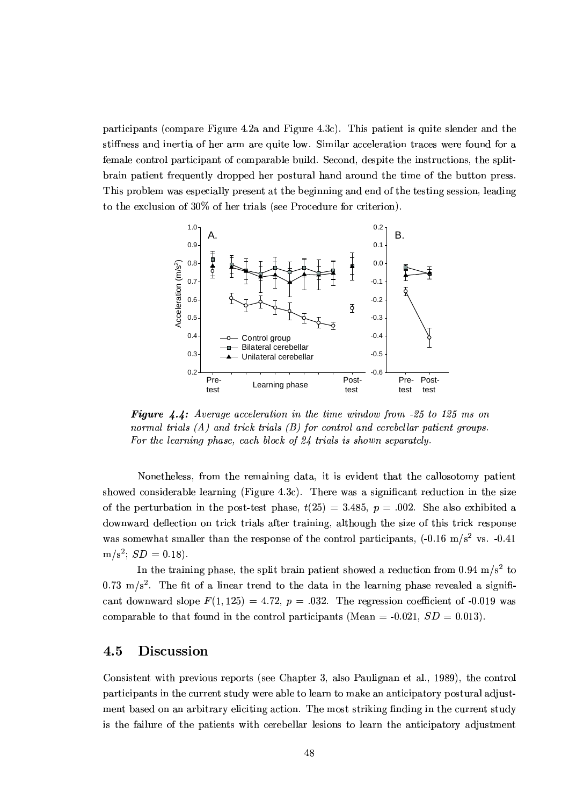participants (compare Figure 4.2a and Figure 4.3c). This patient is quite slender and the stiffness and inertia of her arm are quite low. Similar acceleration traces were found for a female control participant of comparable build. Second, despite the instructions, the splitbrain patient frequently dropped her postural hand around the time of the button press. This problem was especially present at the beginning and end of the testing session, leading to the exclusion of 30% of her trials (see Procedure for criterion).



**Figure 4.4:** Average acceleration in the time window from  $-25$  to 125 ms on normal trials  $(A)$  and trick trials  $(B)$  for control and cerebellar patient groups. For the learning phase, each block of  $24$  trials is shown separately.

Nonetheless, from the remaining data, it is evident that the callosotomy patient showed considerable learning (Figure 4.3c). There was a significant reduction in the size of the perturbation in the post-test phase,  $t(25) = 3.485$ ,  $p = .002$ . She also exhibited a downward deflection on trick trials after training, although the size of this trick response was somewhat smaller than the response of the control participants,  $(-0.16 \text{ m/s}^2 \text{ vs. } -0.41)$  $m/s^2$ ;  $SD = 0.18$ ).

In the training phase, the split brain patient showed a reduction from 0.94 m/s<sup>2</sup> to  $0.73 \text{ m/s}^2$ . The fit of a linear trend to the data in the learning phase revealed a significant downward slope  $F(1,125) = 4.72$ ,  $p = .032$ . The regression coefficient of -0.019 was comparable to that found in the control participants (Mean = -0.021,  $SD = 0.013$ ).

#### 4.5 Discussion

Consistent with previous reports (see Chapter 3, also Paulignan et al., 1989), the control participants in the current study were able to learn to make an anticipatory postural adjustment based on an arbitrary eliciting action. The most striking finding in the current study is the failure of the patients with cerebellar lesions to learn the anticipatory adjustment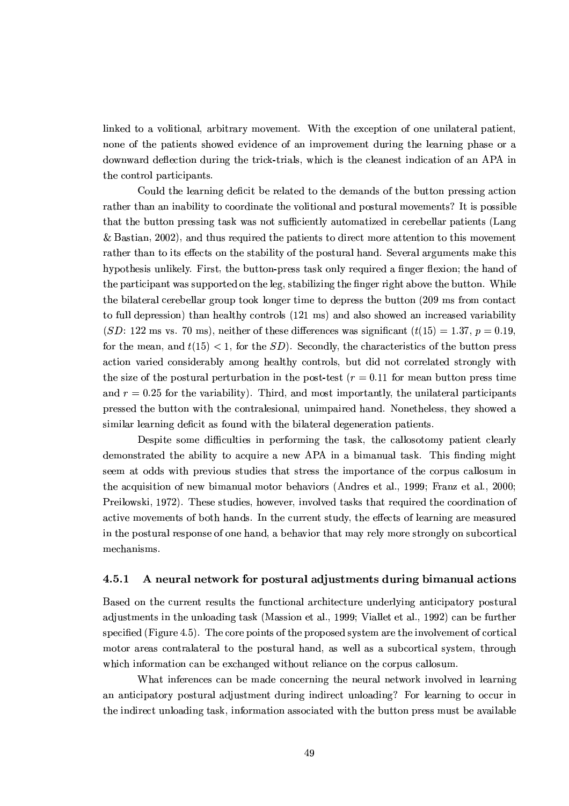linked to a volitional, arbitrary movement. With the exception of one unilateral patient, none of the patients showed evidence of an improvement during the learning phase or a downward deflection during the trick-trials, which is the cleanest indication of an APA in the control participants.

Could the learning deficit be related to the demands of the button pressing action rather than an inability to coordinate the volitional and postural movements? It is possible that the button pressing task was not sufficiently automatized in cerebellar patients (Lang & Bastian, 2002), and thus required the patients to direct more attention to this movement rather than to its effects on the stability of the postural hand. Several arguments make this hypothesis unlikely. First, the button-press task only required a finger flexion; the hand of the participant was supported on the leg, stabilizing the finger right above the button. While the bilateral cerebellar group took longer time to depress the button (209 ms from contact to full depression) than healthy controls (121 ms) and also showed an increased variability (SD: 122 ms vs. 70 ms), neither of these differences was significant  $(t(15) = 1.37, p = 0.19,$ for the mean, and  $t(15) < 1$ , for the SD). Secondly, the characteristics of the button press action varied considerably among healthy controls, but did not correlated strongly with the size of the postural perturbation in the post-test  $(r = 0.11)$  for mean button press time and  $r = 0.25$  for the variability). Third, and most importantly, the unilateral participants pressed the button with the contralesional, unimpaired hand. Nonetheless, they showed a similar learning deficit as found with the bilateral degeneration patients.

Despite some difficulties in performing the task, the callosotomy patient clearly demonstrated the ability to acquire a new APA in a bimanual task. This finding might seem at odds with previous studies that stress the importance of the corpus callosum in the acquisition of new bimanual motor behaviors (Andres et al., 1999; Franz et al., 2000; Preilowski, 1972). These studies, however, involved tasks that required the coordination of active movements of both hands. In the current study, the effects of learning are measured in the postural response of one hand, a behavior that may rely more strongly on subcortical mechanisms.

#### A neural network for postural adjustments during bimanual actions  $4.5.1$

Based on the current results the functional architecture underlying anticipatory postural adjustments in the unloading task (Massion et al., 1999; Viallet et al., 1992) can be further specified (Figure 4.5). The core points of the proposed system are the involvement of cortical motor areas contralateral to the postural hand, as well as a subcortical system, through which information can be exchanged without reliance on the corpus callosum.

What inferences can be made concerning the neural network involved in learning an anticipatory postural adjustment during indirect unloading? For learning to occur in the indirect unloading task, information associated with the button press must be available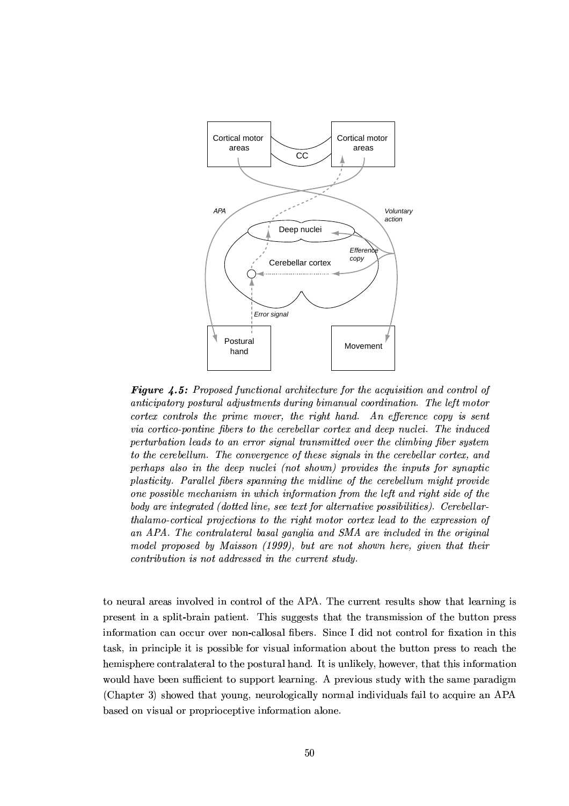

**Figure 4.5:** Proposed functional architecture for the acquisition and control of anticipatory postural adjustments during bimanual coordination. The left motor cortex controls the prime mover, the right hand. An efference copy is sent via cortico-pontine fibers to the cerebellar cortex and deep nuclei. The induced perturbation leads to an error signal transmitted over the climbing fiber system to the cerebellum. The convergence of these signals in the cerebellar cortex, and perhaps also in the deep nuclei (not shown) provides the inputs for synaptic plasticity. Parallel fibers spanning the midline of the cerebellum might provide one possible mechanism in which information from the left and right side of the body are integrated (dotted line, see text for alternative possibilities). Cerebellarthalamo-cortical projections to the right motor cortex lead to the expression of an APA. The contralateral basal ganglia and SMA are included in the original model proposed by Maisson (1999), but are not shown here, given that their contribution is not addressed in the current study.

to neural areas involved in control of the APA. The current results show that learning is present in a split-brain patient. This suggests that the transmission of the button press information can occur over non-callosal fibers. Since I did not control for fixation in this task, in principle it is possible for visual information about the button press to reach the hemisphere contralateral to the postural hand. It is unlikely, however, that this information would have been sufficient to support learning. A previous study with the same paradigm (Chapter 3) showed that young, neurologically normal individuals fail to acquire an APA based on visual or proprioceptive information alone.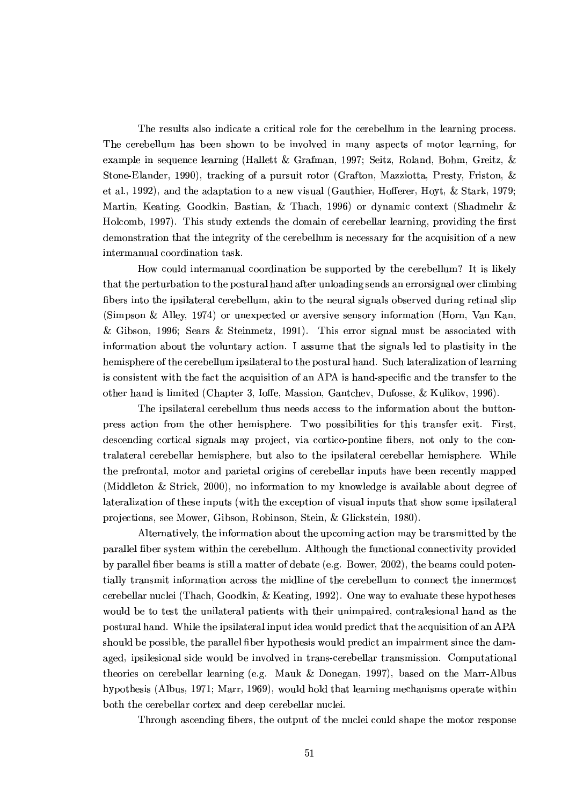The results also indicate a critical role for the cerebellum in the learning process. The cerebellum has been shown to be involved in many aspects of motor learning, for example in sequence learning (Hallett & Grafman, 1997; Seitz, Roland, Bohm, Greitz, & Stone-Elander, 1990), tracking of a pursuit rotor (Grafton, Mazziotta, Presty, Friston, & et al., 1992), and the adaptation to a new visual (Gauthier, Hofferer, Hoyt, & Stark, 1979; Martin, Keating, Goodkin, Bastian, & Thach, 1996) or dynamic context (Shadmehr & Holcomb, 1997). This study extends the domain of cerebellar learning, providing the first demonstration that the integrity of the cerebellum is necessary for the acquisition of a new intermanual coordination task.

How could intermanual coordination be supported by the cerebellum? It is likely that the perturbation to the postural hand after unloading sends an error signal over climbing fibers into the ipsilateral cerebellum, akin to the neural signals observed during retinal slip (Simpson & Alley, 1974) or unexpected or aversive sensory information (Horn, Van Kan, & Gibson, 1996; Sears & Steinmetz, 1991). This error signal must be associated with information about the voluntary action. I assume that the signals led to plastisity in the hemisphere of the cerebellum ipsilateral to the postural hand. Such lateralization of learning is consistent with the fact the acquisition of an APA is hand-specific and the transfer to the other hand is limited (Chapter 3, Ioffe, Massion, Gantchev, Dufosse, & Kulikov, 1996).

The ipsilateral cerebellum thus needs access to the information about the buttonpress action from the other hemisphere. Two possibilities for this transfer exit. First, descending cortical signals may project, via cortico-pontine fibers, not only to the contralateral cerebellar hemisphere, but also to the ipsilateral cerebellar hemisphere. While the prefrontal, motor and parietal origins of cerebellar inputs have been recently mapped (Middleton & Strick, 2000), no information to my knowledge is available about degree of lateralization of these inputs (with the exception of visual inputs that show some ipsilateral projections, see Mower, Gibson, Robinson, Stein, & Glickstein, 1980).

Alternatively, the information about the upcoming action may be transmitted by the parallel fiber system within the cerebellum. Although the functional connectivity provided by parallel fiber beams is still a matter of debate (e.g. Bower, 2002), the beams could potentially transmit information across the midline of the cerebellum to connect the innermost cerebellar nuclei (Thach, Goodkin, & Keating, 1992). One way to evaluate these hypotheses would be to test the unilateral patients with their unimpaired, contralesional hand as the postural hand. While the ipsilateral input idea would predict that the acquisition of an APA should be possible, the parallel fiber hypothesis would predict an impairment since the damaged, ipsilesional side would be involved in trans-cerebellar transmission. Computational theories on cerebellar learning (e.g. Mauk & Donegan, 1997), based on the Marr-Albus hypothesis (Albus, 1971; Marr, 1969), would hold that learning mechanisms operate within both the cerebellar cortex and deep cerebellar nuclei.

Through ascending fibers, the output of the nuclei could shape the motor response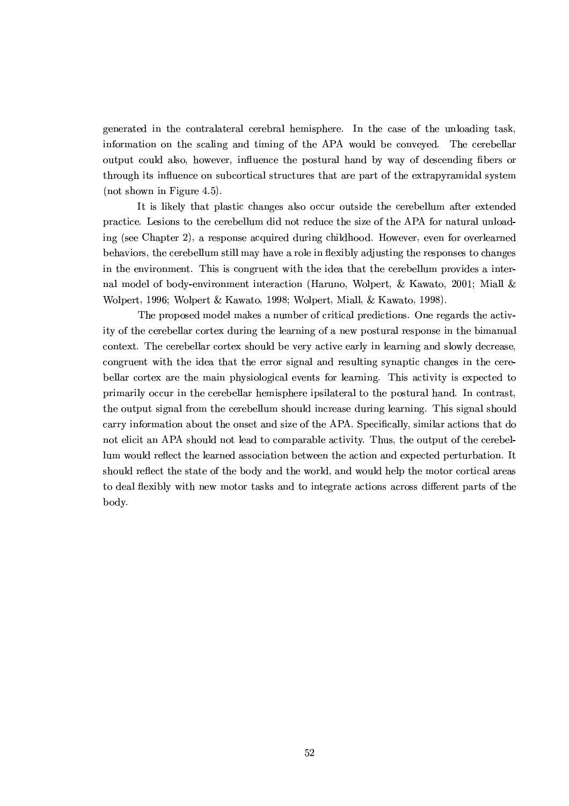generated in the contralateral cerebral hemisphere. In the case of the unloading task, information on the scaling and timing of the APA would be conveyed. The cerebellar output could also, however, influence the postural hand by way of descending fibers or through its influence on subcortical structures that are part of the extrapyramidal system (not shown in Figure 4.5).

It is likely that plastic changes also occur outside the cerebellum after extended practice. Lesions to the cerebellum did not reduce the size of the APA for natural unloading (see Chapter 2), a response acquired during childhood. However, even for overlearned behaviors, the cerebellum still may have a role in flexibly adjusting the responses to changes in the environment. This is congruent with the idea that the cerebellum provides a internal model of body-environment interaction (Haruno, Wolpert, & Kawato, 2001; Miall & Wolpert, 1996; Wolpert & Kawato, 1998; Wolpert, Miall, & Kawato, 1998).

The proposed model makes a number of critical predictions. One regards the activity of the cerebellar cortex during the learning of a new postural response in the bimanual context. The cerebellar cortex should be very active early in learning and slowly decrease, congruent with the idea that the error signal and resulting synaptic changes in the cerebellar cortex are the main physiological events for learning. This activity is expected to primarily occur in the cerebellar hemisphere ipsilateral to the postural hand. In contrast, the output signal from the cerebellum should increase during learning. This signal should carry information about the onset and size of the APA. Specifically, similar actions that do not elicit an APA should not lead to comparable activity. Thus, the output of the cerebellum would reflect the learned association between the action and expected perturbation. It should reflect the state of the body and the world, and would help the motor cortical areas to deal flexibly with new motor tasks and to integrate actions across different parts of the body.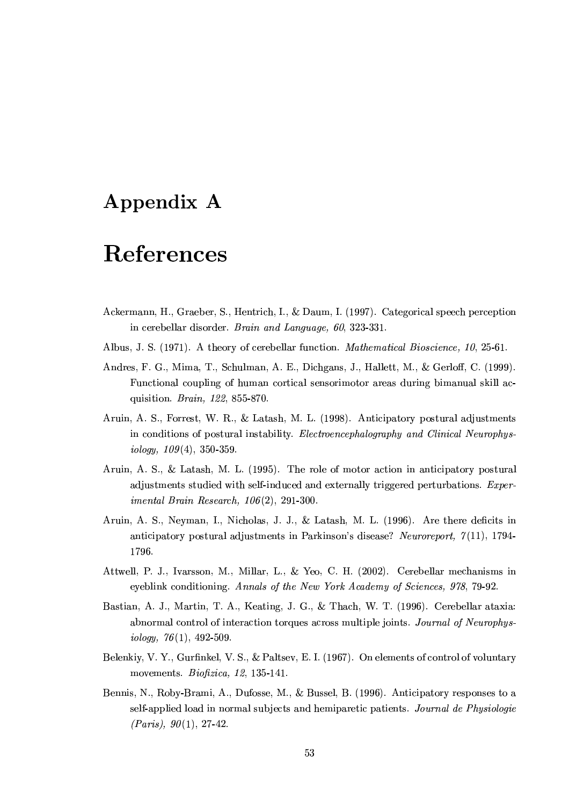## Appendix A

# References

- Ackermann, H., Graeber, S., Hentrich, I., & Daum, I. (1997). Categorical speech perception in cerebellar disorder. Brain and Language, 60, 323-331.
- Albus, J. S. (1971). A theory of cerebellar function. *Mathematical Bioscience*, 10, 25-61.
- Andres, F. G., Mima, T., Schulman, A. E., Dichgans, J., Hallett, M., & Gerloff, C. (1999). Functional coupling of human cortical sensorimotor areas during bimanual skill acquisition. Brain, 122, 855-870.
- Aruin, A. S., Forrest, W. R., & Latash, M. L. (1998). Anticipatory postural adjustments in conditions of postural instability. Electroencephalography and Clinical Neurophys $iology, 109(4), 350-359.$
- Aruin, A. S., & Latash, M. L. (1995). The role of motor action in anticipatory postural adjustments studied with self-induced and externally triggered perturbations. *Exper*imental Brain Research,  $106(2)$ , 291-300.
- Aruin, A. S., Neyman, I., Nicholas, J. J., & Latash, M. L. (1996). Are there deficits in anticipatory postural adjustments in Parkinson's disease? Neuroreport,  $\gamma(11)$ , 1794-1796.
- Attwell, P. J., Ivarsson, M., Millar, L., & Yeo, C. H. (2002). Cerebellar mechanisms in eyeblink conditioning. Annals of the New York Academy of Sciences, 978, 79-92.
- Bastian, A. J., Martin, T. A., Keating, J. G., & Thach, W. T. (1996). Cerebellar ataxia: abnormal control of interaction torques across multiple joints. Journal of Neurophysiology,  $76(1)$ , 492-509.
- Belenkiy, V. Y., Gurfinkel, V. S., & Paltsev, E. I. (1967). On elements of control of voluntary movements. *Biofizica*, 12, 135-141.
- Bennis, N., Roby-Brami, A., Dufosse, M., & Bussel, B. (1996). Anticipatory responses to a self-applied load in normal subjects and hemiparetic patients. Journal de Phusiologie  $(Paris), 90(1), 27-42.$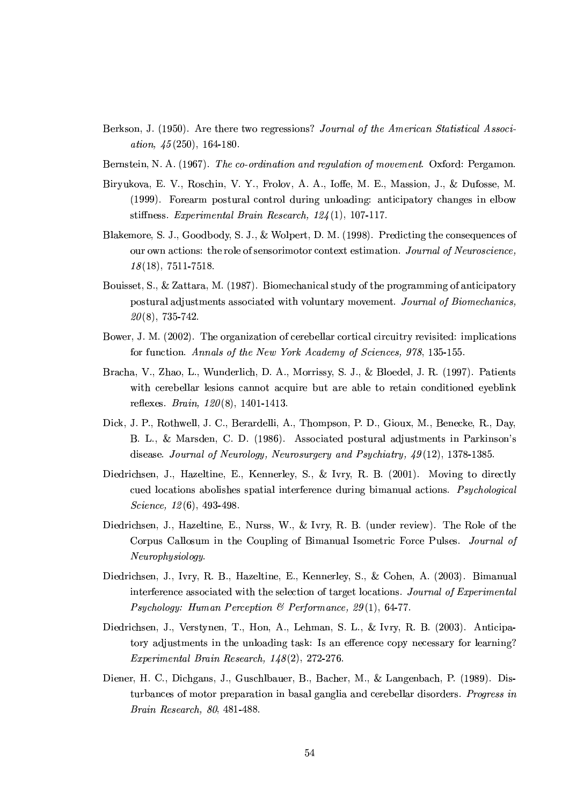- Berkson, J. (1950). Are there two regressions? Journal of the American Statistical Associ*ation*,  $\frac{15(250)}{164-180}$ .
- Bernstein, N. A. (1967). The co-ordination and regulation of movement. Oxford: Pergamon.
- Biryukova, E. V., Roschin, V. Y., Frolov, A. A., Ioffe, M. E., Massion, J., & Dufosse, M. (1999). Forearm postural control during unloading: anticipatory changes in elbow stiffness. Experimental Brain Research,  $124(1)$ , 107-117.
- Blakemore, S. J., Goodbody, S. J., & Wolpert, D. M. (1998). Predicting the consequences of our own actions: the role of sensorimotor context estimation. Journal of Neuroscience,  $18(18), 7511-7518.$
- Bouisset, S., & Zattara, M. (1987). Biomechanical study of the programming of anticipatory postural adjustments associated with voluntary movement. Journal of Biomechanics,  $20(8)$ , 735-742.
- Bower, J. M. (2002). The organization of cerebellar cortical circuitry revisited: implications for function. Annals of the New York Academy of Sciences, 978, 135-155.
- Bracha, V., Zhao, L., Wunderlich, D. A., Morrissy, S. J., & Bloedel, J. R. (1997). Patients with cerebellar lesions cannot acquire but are able to retain conditioned eyeblink reflexes. *Brain*,  $120(8)$ , 1401-1413.
- Dick, J. P., Rothwell, J. C., Berardelli, A., Thompson, P. D., Gioux, M., Benecke, R., Day, B. L., & Marsden, C. D. (1986). Associated postural adjustments in Parkinson's disease. Journal of Neurology, Neurosurgery and Psychiatry,  $49(12)$ , 1378-1385.
- Diedrichsen, J., Hazeltine, E., Kennerley, S., & Ivry, R. B. (2001). Moving to directly cued locations abolishes spatial interference during bimanual actions. *Psychological* Science,  $12(6)$ , 493-498.
- Diedrichsen, J., Hazeltine, E., Nurss, W., & Ivry, R. B. (under review). The Role of the Corpus Callosum in the Coupling of Bimanual Isometric Force Pulses. Journal of Neurophysiology.
- Diedrichsen, J., Ivry, R. B., Hazeltine, E., Kennerley, S., & Cohen, A. (2003). Bimanual interference associated with the selection of target locations. Journal of Experimental *Psychology: Human Perception & Performance, 29(1), 64-77.*
- Diedrichsen, J., Verstynen, T., Hon, A., Lehman, S. L., & Ivry, R. B. (2003). Anticipatory adjustments in the unloading task: Is an efference copy necessary for learning? Experimental Brain Research,  $148(2)$ , 272-276.
- Diener, H. C., Dichgans, J., Guschlbauer, B., Bacher, M., & Langenbach, P. (1989). Disturbances of motor preparation in basal ganglia and cerebellar disorders. Progress in Brain Research, 80, 481-488.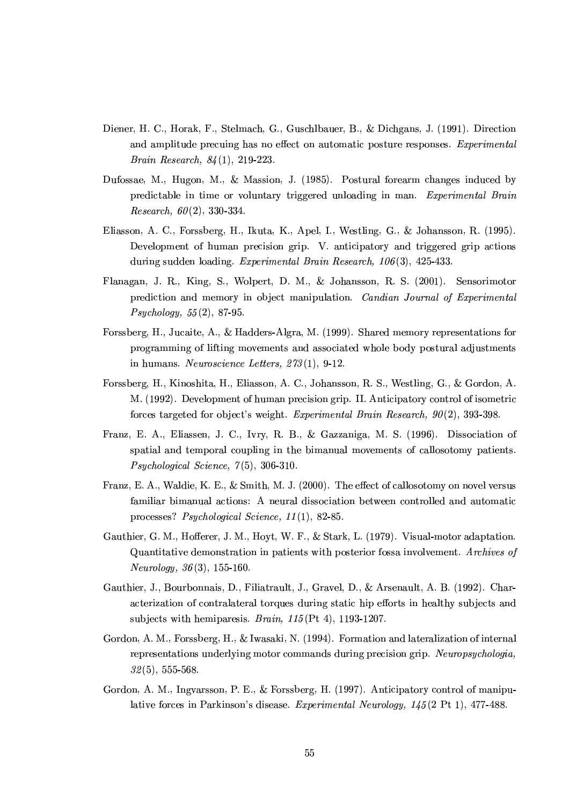- Diener, H. C., Horak, F., Stelmach, G., Guschlbauer, B., & Dichgans, J. (1991). Direction and amplitude precuing has no effect on automatic posture responses. Experimental *Brain Research, 84*(1), 219-223.
- Dufossae, M., Hugon, M., & Massion, J. (1985). Postural forearm changes induced by predictable in time or voluntary triggered unloading in man. Experimental Brain *Research*,  $60(2)$ , 330-334.
- Eliasson, A. C., Forssberg, H., Ikuta, K., Apel, I., Westling, G., & Johansson, R. (1995). Development of human precision grip. V. anticipatory and triggered grip actions during sudden loading. Experimental Brain Research,  $106(3)$ , 425-433.
- Flanagan, J. R., King, S., Wolpert, D. M., & Johansson, R. S. (2001). Sensorimotor prediction and memory in object manipulation. Candian Journal of Experimental  $Psychology, 55(2), 87-95.$
- Forssberg, H., Jucaite, A., & Hadders-Algra, M. (1999). Shared memory representations for programming of lifting movements and associated whole body postural adjustments in humans. Neuroscience Letters,  $273(1)$ , 9-12.
- Forssberg, H., Kinoshita, H., Eliasson, A. C., Johansson, R. S., Westling, G., & Gordon, A. M. (1992). Development of human precision grip. II. Anticipatory control of isometric forces targeted for object's weight. Experimental Brain Research,  $90(2)$ , 393-398.
- Franz, E. A., Eliassen, J. C., Ivry, R. B., & Gazzaniga, M. S. (1996). Dissociation of spatial and temporal coupling in the bimanual movements of callosotomy patients.  $Psychological Science, 7(5), 306-310.$
- Franz, E. A., Waldie, K. E., & Smith, M. J. (2000). The effect of callosotomy on novel versus familiar bimanual actions: A neural dissociation between controlled and automatic processes? *Psychological Science*,  $11(1)$ , 82-85.
- Gauthier, G. M., Hofferer, J. M., Hoyt, W. F., & Stark, L. (1979). Visual-motor adaptation. Quantitative demonstration in patients with posterior fossa involvement. Archives of *Neurology*,  $36(3)$ , 155-160.
- Gauthier, J., Bourbonnais, D., Filiatrault, J., Gravel, D., & Arsenault, A. B. (1992). Characterization of contralateral torques during static hip efforts in healthy subjects and subjects with hemiparesis. *Brain*,  $115(Pt 4)$ , 1193-1207.
- Gordon, A. M., Forssberg, H., & Iwasaki, N. (1994). Formation and lateralization of internal representations underlying motor commands during precision grip. Neuropsychologia,  $32(5), 555-568.$
- Gordon, A. M., Ingvarsson, P. E., & Forssberg, H. (1997). Anticipatory control of manipulative forces in Parkinson's disease. Experimental Neurology, 145(2 Pt 1), 477-488.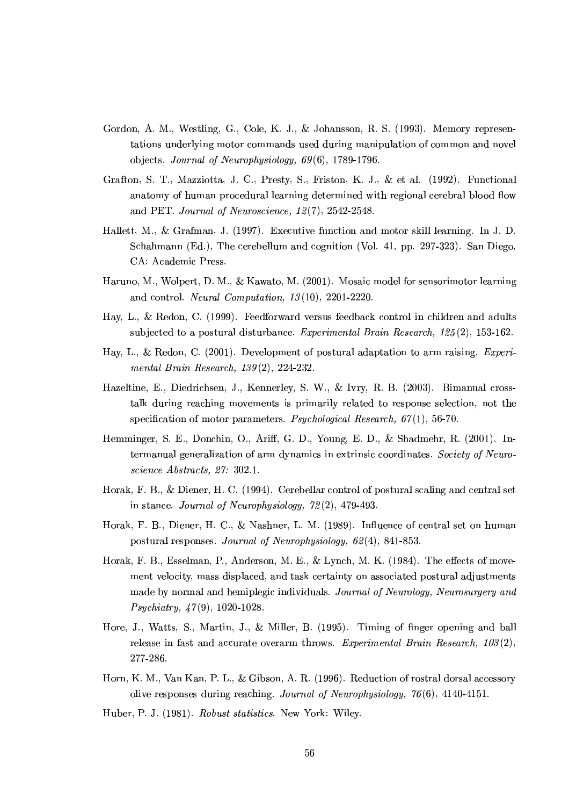- Gordon, A. M., Westling, G., Cole, K. J., & Johansson, R. S. (1993). Memory representations underlying motor commands used during manipulation of common and novel objects. Journal of Neurophysiology,  $69(6)$ , 1789-1796.
- Grafton, S. T., Mazziotta, J. C., Presty, S., Friston, K. J., & et al. (1992). Functional anatomy of human procedural learning determined with regional cerebral blood flow and PET. Journal of Neuroscience, 12(7), 2542-2548.
- Hallett, M., & Grafman, J. (1997). Executive function and motor skill learning. In J. D. Schahmann (Ed.), The cerebellum and cognition (Vol. 41, pp. 297-323). San Diego, CA: Academic Press.
- Haruno, M., Wolpert, D. M., & Kawato, M. (2001). Mosaic model for sensorimotor learning and control. Neural Computation,  $13(10)$ , 2201-2220.
- Hay, L., & Redon, C. (1999). Feedforward versus feedback control in children and adults subjected to a postural disturbance. Experimental Brain Research,  $125(2)$ , 153-162.
- Hay, L., & Redon, C. (2001). Development of postural adaptation to arm raising. Experimental Brain Research,  $139(2)$ , 224-232.
- Hazeltine, E., Diedrichsen, J., Kennerley, S. W., & Ivry, R. B. (2003). Bimanual crosstalk during reaching movements is primarily related to response selection, not the specification of motor parameters. *Psychological Research*,  $67(1)$ , 56-70.
- Hemminger, S. E., Donchin, O., Ariff, G. D., Young, E. D., & Shadmehr, R. (2001). Intermanual generalization of arm dynamics in extrinsic coordinates. Society of Neuroscience Abstracts, 27: 302.1.
- Horak, F. B., & Diener, H. C. (1994). Cerebellar control of postural scaling and central set in stance. Journal of Neurophysiology,  $72(2)$ , 479-493.
- Horak, F. B., Diener, H. C., & Nashner, L. M. (1989). Influence of central set on human postural responses. Journal of Neurophysiology,  $62(4)$ , 841-853.
- Horak, F. B., Esselman, P., Anderson, M. E., & Lynch, M. K. (1984). The effects of movement velocity, mass displaced, and task certainty on associated postural adjustments made by normal and hemiplegic individuals. Journal of Neurology, Neurosurgery and *Psychiatry, 47(9), 1020-1028.*
- Hore, J., Watts, S., Martin, J., & Miller, B. (1995). Timing of finger opening and ball release in fast and accurate overarm throws. Experimental Brain Research,  $103(2)$ , 277-286.
- Horn, K. M., Van Kan, P. L., & Gibson, A. R. (1996). Reduction of rostral dorsal accessory olive responses during reaching. Journal of Neurophysiology,  $76(6)$ , 4140-4151.
- Huber, P. J. (1981). Robust statistics. New York: Wiley.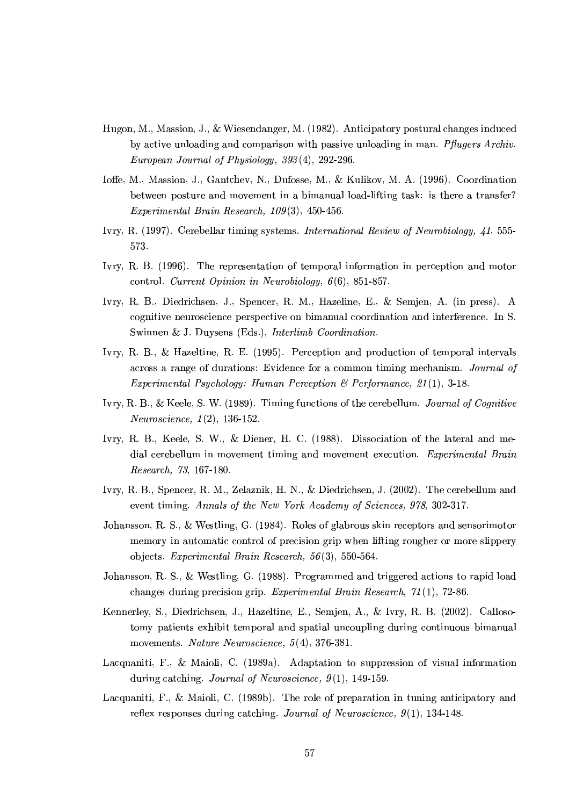- Hugon, M., Massion, J., & Wiesendanger, M. (1982). Anticipatory postural changes induced by active unloading and comparison with passive unloading in man. Pflugers Archiv. European Journal of Physiology, 393(4), 292-296.
- Ioffe, M., Massion, J., Gantchev, N., Dufosse, M., & Kulikov, M. A. (1996). Coordination between posture and movement in a bimanual load-lifting task: is there a transfer? Experimental Brain Research,  $109(3)$ , 450-456.
- Ivry, R. (1997). Cerebellar timing systems. International Review of Neurobiology, 41, 555-573.
- Ivry, R. B. (1996). The representation of temporal information in perception and motor control. Current Opinion in Neurobiology,  $6(6)$ , 851-857.
- Ivry, R. B., Diedrichsen, J., Spencer, R. M., Hazeline, E., & Semjen, A. (in press). A cognitive neuroscience perspective on bimanual coordination and interference. In S. Swinnen & J. Duysens (Eds.), Interlimb Coordination.
- Ivry, R. B., & Hazeltine, R. E. (1995). Perception and production of temporal intervals across a range of durations: Evidence for a common timing mechanism. Journal of *Experimental Psychology: Human Perception & Performance, 21(1), 3-18.*
- Ivry, R. B., & Keele, S. W. (1989). Timing functions of the cerebellum. Journal of Cognitive *Neuroscience*,  $1(2)$ , 136-152.
- Ivry, R. B., Keele, S. W., & Diener, H. C. (1988). Dissociation of the lateral and medial cerebellum in movement timing and movement execution. *Experimental Brain* Research, 73, 167-180.
- Ivry, R. B., Spencer, R. M., Zelaznik, H. N., & Diedrichsen, J. (2002). The cerebellum and event timing. Annals of the New York Academy of Sciences, 978, 302-317.
- Johansson, R. S., & Westling, G. (1984). Roles of glabrous skin receptors and sensorimotor memory in automatic control of precision grip when lifting rougher or more slippery objects. Experimental Brain Research,  $56(3)$ , 550-564.
- Johansson, R. S., & Westling, G. (1988). Programmed and triggered actions to rapid load changes during precision grip. Experimental Brain Research,  $71(1)$ , 72-86.
- Kennerley, S., Diedrichsen, J., Hazeltine, E., Semjen, A., & Ivry, R. B. (2002). Callosotomy patients exhibit temporal and spatial uncoupling during continuous bimanual movements. Nature Neuroscience,  $5(4)$ , 376-381.
- Lacquaniti, F., & Maioli, C. (1989a). Adaptation to suppression of visual information during catching. Journal of Neuroscience,  $9(1)$ , 149-159.
- Lacquaniti, F., & Maioli, C. (1989b). The role of preparation in tuning anticipatory and reflex responses during catching. Journal of Neuroscience,  $9(1)$ , 134-148.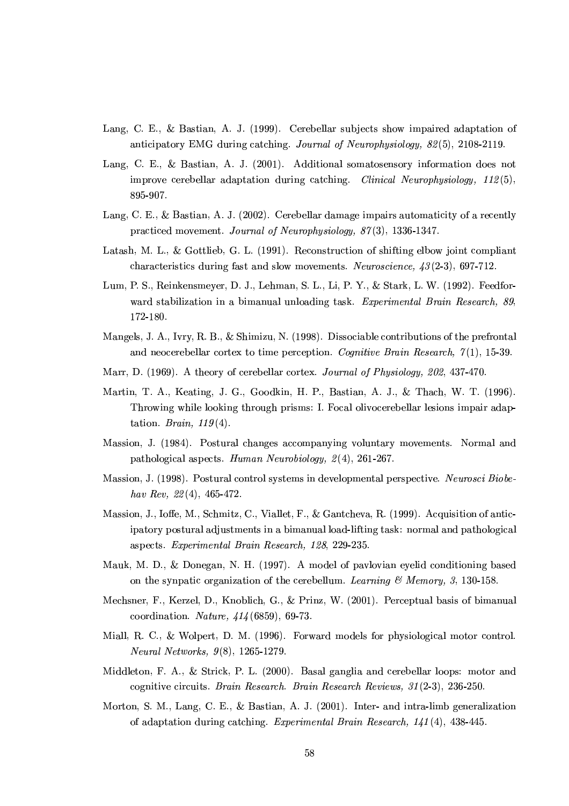- Lang, C. E., & Bastian, A. J. (1999). Cerebellar subjects show impaired adaptation of anticipatory EMG during catching. Journal of Neurophysiology, 82(5), 2108-2119.
- Lang, C. E., & Bastian, A. J. (2001). Additional somatosensory information does not improve cerebellar adaptation during catching. Clinical Neurophysiology,  $112(5)$ , 895-907.
- Lang, C. E., & Bastian, A. J. (2002). Cerebellar damage impairs automaticity of a recently practiced movement. Journal of Neurophysiology,  $87(3)$ , 1336-1347.
- Latash, M. L., & Gottlieb, G. L. (1991). Reconstruction of shifting elbow joint compliant characteristics during fast and slow movements. Neuroscience,  $43(2-3)$ , 697-712.
- Lum, P. S., Reinkensmeyer, D. J., Lehman, S. L., Li, P. Y., & Stark, L. W. (1992). Feedforward stabilization in a bimanual unloading task. Experimental Brain Research, 89, 172-180.
- Mangels, J. A., Ivry, R. B., & Shimizu, N. (1998). Dissociable contributions of the prefrontal and neocerebellar cortex to time perception. Cognitive Brain Research,  $\gamma(1)$ , 15-39.
- Marr, D. (1969). A theory of cerebellar cortex. Journal of Physiology, 202, 437-470.
- Martin, T. A., Keating, J. G., Goodkin, H. P., Bastian, A. J., & Thach, W. T. (1996). Throwing while looking through prisms: I. Focal olivocerebellar lesions impair adaptation. Brain,  $119(4)$ .
- Massion, J. (1984). Postural changes accompanying voluntary movements. Normal and pathological aspects. Human Neurobiology,  $2(4)$ , 261-267.
- Massion, J. (1998). Postural control systems in developmental perspective. Neurosci Biobehav Rev,  $22(4)$ , 465-472.
- Massion, J., Ioffe, M., Schmitz, C., Viallet, F., & Gantcheva, R. (1999). Acquisition of anticipatory postural adjustments in a bimanual load-lifting task: normal and pathological aspects. Experimental Brain Research, 128, 229-235.
- Mauk, M. D., & Donegan, N. H. (1997). A model of paylovian eyelid conditioning based on the synpatic organization of the cerebellum. Learning  $\mathcal B$  Memory, 3, 130-158.
- Mechsner, F., Kerzel, D., Knoblich, G., & Prinz, W. (2001). Perceptual basis of bimanual coordination. *Nature*,  $414(6859)$ , 69-73.
- Miall, R. C., & Wolpert, D. M. (1996). Forward models for physiological motor control. *Neural Networks*,  $9(8)$ , 1265-1279.
- Middleton, F. A., & Strick, P. L. (2000). Basal ganglia and cerebellar loops: motor and cognitive circuits. Brain Research. Brain Research Reviews, 31(2-3), 236-250.
- Morton, S. M., Lang, C. E., & Bastian, A. J. (2001). Inter- and intra-limb generalization of adaptation during catching. Experimental Brain Research,  $141(4)$ , 438-445.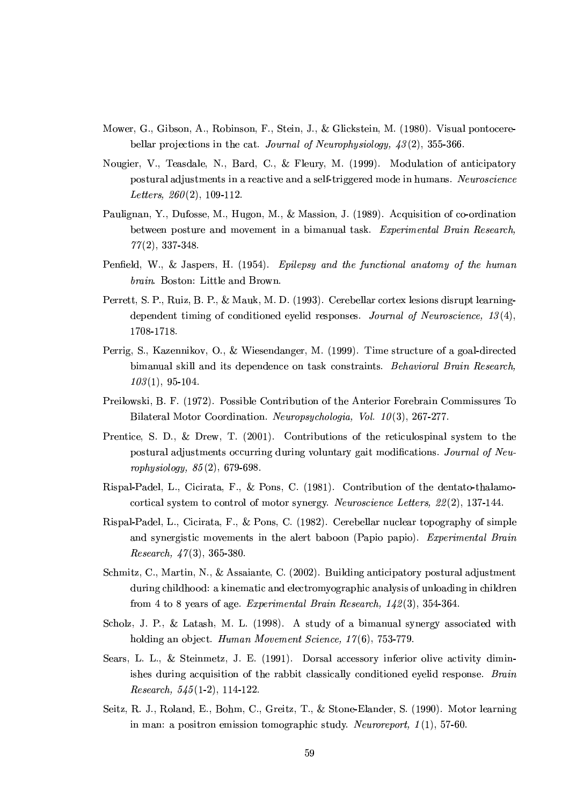- Mower, G., Gibson, A., Robinson, F., Stein, J., & Glickstein, M. (1980). Visual pontocerebellar projections in the cat. Journal of Neurophysiology,  $43(2)$ , 355-366.
- Nougier, V., Teasdale, N., Bard, C., & Fleury, M. (1999). Modulation of anticipatory postural adjustments in a reactive and a self-triggered mode in humans. Neuroscience Letters.  $260(2)$ , 109-112.
- Paulignan, Y., Dufosse, M., Hugon, M., & Massion, J. (1989). Acquisition of co-ordination between posture and movement in a bimanual task. Experimental Brain Research,  $77(2), 337-348.$
- Penfield, W., & Jaspers, H. (1954). Epilepsy and the functional anatomy of the human brain. Boston: Little and Brown.
- Perrett, S. P., Ruiz, B. P., & Mauk, M. D. (1993). Cerebellar cortex lesions disrupt learningdependent timing of conditioned evelid responses. Journal of Neuroscience,  $13(4)$ , 1708-1718.
- Perrig, S., Kazennikov, O., & Wiesendanger, M. (1999). Time structure of a goal-directed bimanual skill and its dependence on task constraints. Behavioral Brain Research,  $103(1), 95-104.$
- Preilowski, B. F. (1972). Possible Contribution of the Anterior Forebrain Commissures To Bilateral Motor Coordination. Neuropsychologia, Vol. 10(3), 267-277.
- Prentice, S. D., & Drew, T. (2001). Contributions of the reticulospinal system to the postural adjustments occurring during voluntary gait modifications. Journal of Neurophysiology,  $85(2)$ , 679-698.
- Rispal-Padel, L., Cicirata, F., & Pons, C. (1981). Contribution of the dentato-thalamocortical system to control of motor synergy. Neuroscience Letters,  $22(2)$ , 137-144.
- Rispal-Padel, L., Cicirata, F., & Pons, C. (1982). Cerebellar nuclear topography of simple and synergistic movements in the alert baboon (Papio papio). Experimental Brain *Research*,  $47(3)$ , 365-380.
- Schmitz, C., Martin, N., & Assaiante, C. (2002). Building anticipatory postural adjustment during childhood: a kinematic and electromyographic analysis of unloading in children from 4 to 8 years of age. Experimental Brain Research,  $142(3)$ , 354-364.
- Scholz, J. P., & Latash, M. L. (1998). A study of a bimanual synergy associated with holding an object. Human Movement Science, 17(6), 753-779.
- Sears, L. L., & Steinmetz, J. E. (1991). Dorsal accessory inferior olive activity diminishes during acquisition of the rabbit classically conditioned eyelid response. Brain *Research*,  $545(1-2)$ , 114-122.
- Seitz, R. J., Roland, E., Bohm, C., Greitz, T., & Stone-Elander, S. (1990). Motor learning in man: a positron emission tomographic study. Neuroreport,  $1(1)$ , 57-60.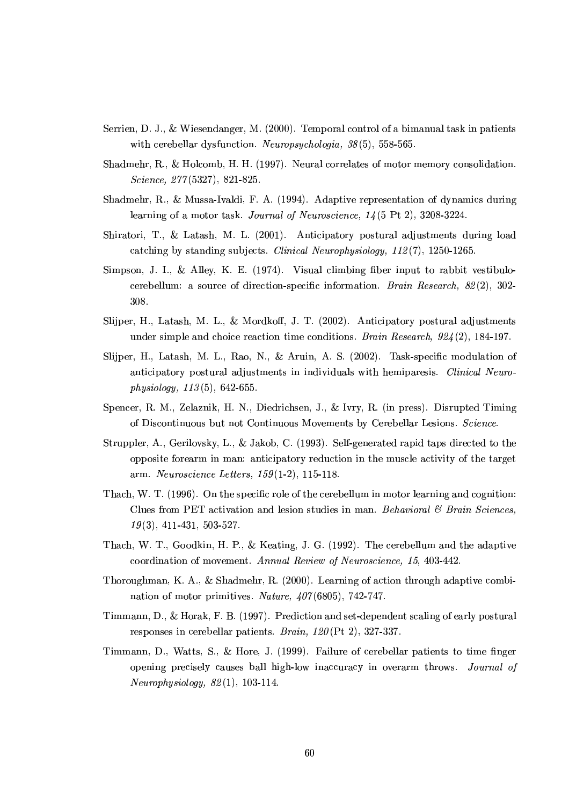- Serrien, D. J., & Wiesendanger, M. (2000). Temporal control of a bimanual task in patients with cerebellar dysfunction. Neuropsychologia,  $38(5)$ , 558-565.
- Shadmehr, R., & Holcomb, H. H. (1997). Neural correlates of motor memory consolidation. Science,  $277(5327)$ , 821-825.
- Shadmehr, R., & Mussa-Ivaldi, F. A. (1994). Adaptive representation of dynamics during learning of a motor task. Journal of Neuroscience,  $14(5 \text{ Pt } 2), 3208-3224.$
- Shiratori, T., & Latash, M. L. (2001). Anticipatory postural adjustments during load catching by standing subjects. *Clinical Neurophysiology*,  $112(7)$ , 1250-1265.
- Simpson, J. I., & Alley, K. E.  $(1974)$ . Visual climbing fiber input to rabbit vestibulocerebellum: a source of direction-specific information. *Brain Research*,  $82(2)$ , 302-308.
- Slijper, H., Latash, M. L., & Mordkoff, J. T. (2002). Anticipatory postural adjustments under simple and choice reaction time conditions. Brain Research,  $924(2)$ , 184-197.
- Slijper, H., Latash, M. L., Rao, N., & Aruin, A. S. (2002). Task-specific modulation of anticipatory postural adjustments in individuals with hemiparesis. Clinical Neurophysiology,  $113(5)$ , 642-655.
- Spencer, R. M., Zelaznik, H. N., Diedrichsen, J., & Ivry, R. (in press). Disrupted Timing of Discontinuous but not Continuous Movements by Cerebellar Lesions. Science.
- Struppler, A., Gerilovsky, L., & Jakob, C. (1993). Self-generated rapid taps directed to the opposite forearm in man: anticipatory reduction in the muscle activity of the target arm. *Neuroscience Letters*,  $159(1-2)$ , 115-118.
- Thach, W. T. (1996). On the specific role of the cerebellum in motor learning and cognition: Clues from PET activation and lesion studies in man. Behavioral & Brain Sciences.  $19(3)$ , 411-431, 503-527.
- Thach, W. T., Goodkin, H. P., & Keating, J. G. (1992). The cerebellum and the adaptive coordination of movement. Annual Review of Neuroscience, 15, 403-442.
- Thoroughman, K. A., & Shadmehr, R.  $(2000)$ . Learning of action through adaptive combination of motor primitives. Nature,  $407(6805)$ , 742-747.
- Timmann, D., & Horak, F. B. (1997). Prediction and set-dependent scaling of early postural responses in cerebellar patients. *Brain*,  $120$ (Pt 2), 327-337.
- Timmann, D., Watts, S., & Hore, J. (1999). Failure of cerebellar patients to time finger opening precisely causes ball high-low inaccuracy in overarm throws. Journal of  $Neurophysiology, 82(1), 103-114.$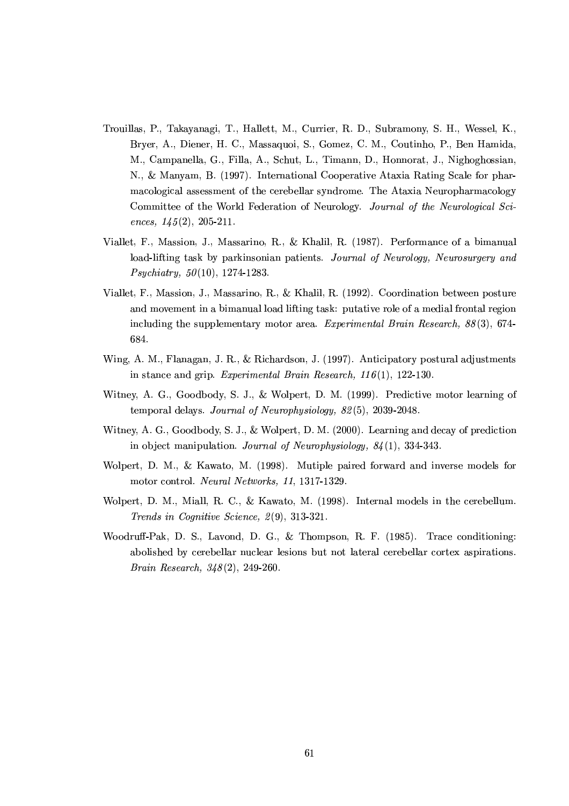- Trouillas, P., Takayanagi, T., Hallett, M., Currier, R. D., Subramony, S. H., Wessel, K., Bryer, A., Diener, H. C., Massaquoi, S., Gomez, C. M., Coutinho, P., Ben Hamida, M., Campanella, G., Filla, A., Schut, L., Timann, D., Honnorat, J., Nighoghossian, N., & Manyam, B. (1997). International Cooperative Ataxia Rating Scale for pharmacological assessment of the cerebellar syndrome. The Ataxia Neuropharmacology Committee of the World Federation of Neurology. Journal of the Neurological Sciences,  $145(2)$ , 205-211.
- Viallet, F., Massion, J., Massarino, R., & Khalil, R. (1987). Performance of a bimanual load-lifting task by parkinsonian patients. Journal of Neurology, Neurosurgery and  $Psychiatry, 50(10), 1274-1283.$
- Viallet, F., Massion, J., Massarino, R., & Khalil, R. (1992). Coordination between posture and movement in a bimanual load lifting task: putative role of a medial frontal region including the supplementary motor area. Experimental Brain Research,  $88(3)$ , 674-684.
- Wing, A. M., Flanagan, J. R., & Richardson, J. (1997). Anticipatory postural adjustments in stance and grip. Experimental Brain Research,  $116(1)$ , 122-130.
- Witney, A. G., Goodbody, S. J., & Wolpert, D. M. (1999). Predictive motor learning of temporal delays. Journal of Neurophysiology, 82(5), 2039-2048.
- Witney, A. G., Goodbody, S. J., & Wolpert, D. M. (2000). Learning and decay of prediction in object manipulation. Journal of Neurophysiology,  $84(1)$ , 334-343.
- Wolpert, D. M., & Kawato, M. (1998). Mutiple paired forward and inverse models for motor control. Neural Networks, 11, 1317-1329.
- Wolpert, D. M., Miall, R. C., & Kawato, M. (1998). Internal models in the cerebellum. Trends in Cognitive Science, 2(9), 313-321.
- Woodruff-Pak, D. S., Lavond, D. G., & Thompson, R. F. (1985). Trace conditioning: abolished by cerebellar nuclear lesions but not lateral cerebellar cortex aspirations. *Brain Research,*  $348(2)$ *, 249-260.*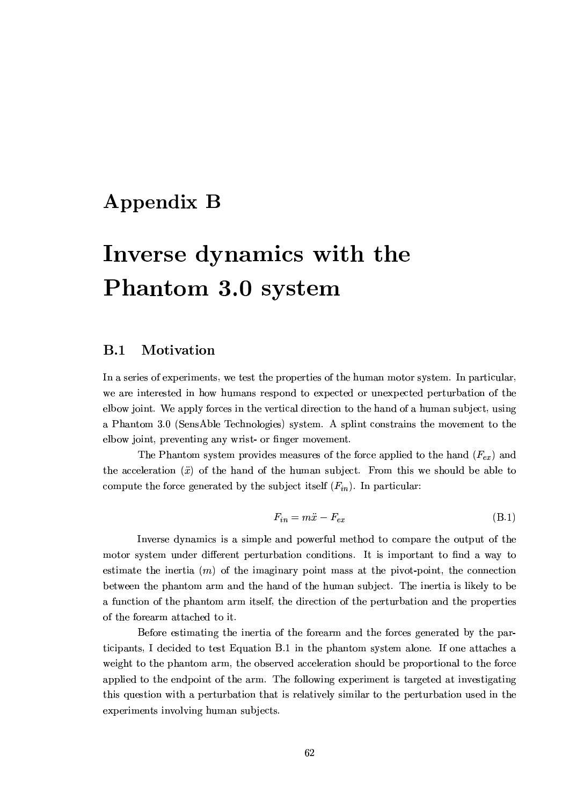## **Appendix B**

# Inverse dynamics with the Phantom 3.0 system

#### $B.1$ Motivation

In a series of experiments, we test the properties of the human motor system. In particular, we are interested in how humans respond to expected or unexpected perturbation of the elbow joint. We apply forces in the vertical direction to the hand of a human subject, using a Phantom 3.0 (SensAble Technologies) system. A splint constrains the movement to the elbow joint, preventing any wrist- or finger movement.

The Phantom system provides measures of the force applied to the hand  $(F_{ex})$  and the acceleration  $(\ddot{x})$  of the hand of the human subject. From this we should be able to compute the force generated by the subject itself  $(F_{in})$ . In particular:

$$
F_{in} = m\ddot{x} - F_{ex} \tag{B.1}
$$

Inverse dynamics is a simple and powerful method to compare the output of the motor system under different perturbation conditions. It is important to find a way to estimate the inertia  $(m)$  of the imaginary point mass at the pivot-point, the connection between the phantom arm and the hand of the human subject. The inertia is likely to be a function of the phantom arm itself, the direction of the perturbation and the properties of the forearm attached to it.

Before estimating the inertia of the forearm and the forces generated by the participants, I decided to test Equation B.1 in the phantom system alone. If one attaches a weight to the phantom arm, the observed acceleration should be proportional to the force applied to the endpoint of the arm. The following experiment is targeted at investigating this question with a perturbation that is relatively similar to the perturbation used in the experiments involving human subjects.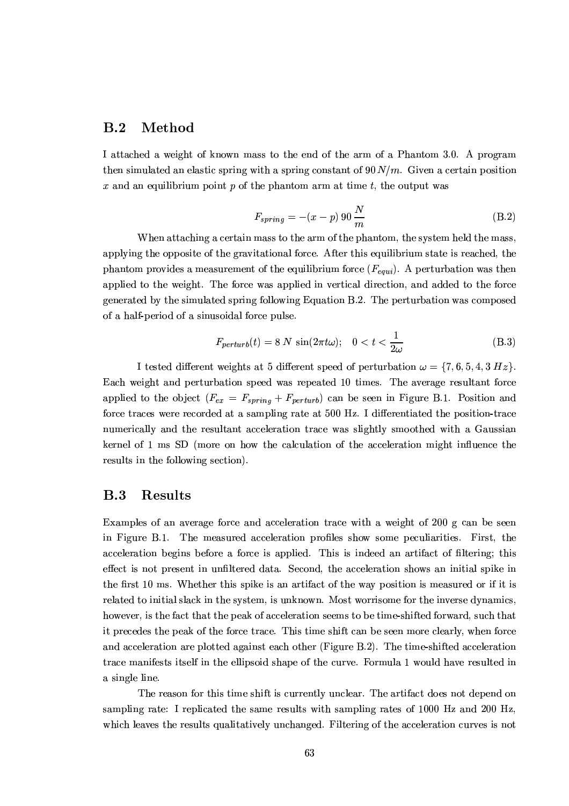#### $B.2$ Method

I attached a weight of known mass to the end of the arm of a Phantom 3.0. A program then simulated an elastic spring with a spring constant of  $90 N/m$ . Given a certain position x and an equilibrium point p of the phantom arm at time t, the output was

$$
F_{spring} = -(x - p) 90 \frac{N}{m} \tag{B.2}
$$

When attaching a certain mass to the arm of the phantom, the system held the mass, applying the opposite of the gravitational force. After this equilibrium state is reached, the phantom provides a measurement of the equilibrium force  $(F_{equi})$ . A perturbation was then applied to the weight. The force was applied in vertical direction, and added to the force generated by the simulated spring following Equation B.2. The perturbation was composed of a half-period of a sinusoidal force pulse.

$$
F_{perturb}(t) = 8 N \sin(2\pi t\omega); \quad 0 < t < \frac{1}{2\omega} \tag{B.3}
$$

I tested different weights at 5 different speed of perturbation  $\omega = \{7, 6, 5, 4, 3 \ Hz\}$ . Each weight and perturbation speed was repeated 10 times. The average resultant force applied to the object  $(F_{ex} = F_{spring} + F_{perturb})$  can be seen in Figure B.1. Position and force traces were recorded at a sampling rate at 500 Hz. I differentiated the position-trace numerically and the resultant acceleration trace was slightly smoothed with a Gaussian kernel of 1 ms SD (more on how the calculation of the acceleration might influence the results in the following section).

#### $\mathbf{B.3}$ Results

Examples of an average force and acceleration trace with a weight of 200 g can be seen in Figure B.1. The measured acceleration profiles show some peculiarities. First, the acceleration begins before a force is applied. This is indeed an artifact of filtering; this effect is not present in unfiltered data. Second, the acceleration shows an initial spike in the first 10 ms. Whether this spike is an artifact of the way position is measured or if it is related to initial slack in the system, is unknown. Most worrisome for the inverse dynamics, however, is the fact that the peak of acceleration seems to be time-shifted forward, such that it precedes the peak of the force trace. This time shift can be seen more clearly, when force and acceleration are plotted against each other (Figure B.2). The time-shifted acceleration trace manifests itself in the ellipsoid shape of the curve. Formula 1 would have resulted in a single line.

The reason for this time shift is currently unclear. The artifact does not depend on sampling rate: I replicated the same results with sampling rates of 1000 Hz and 200 Hz. which leaves the results qualitatively unchanged. Filtering of the acceleration curves is not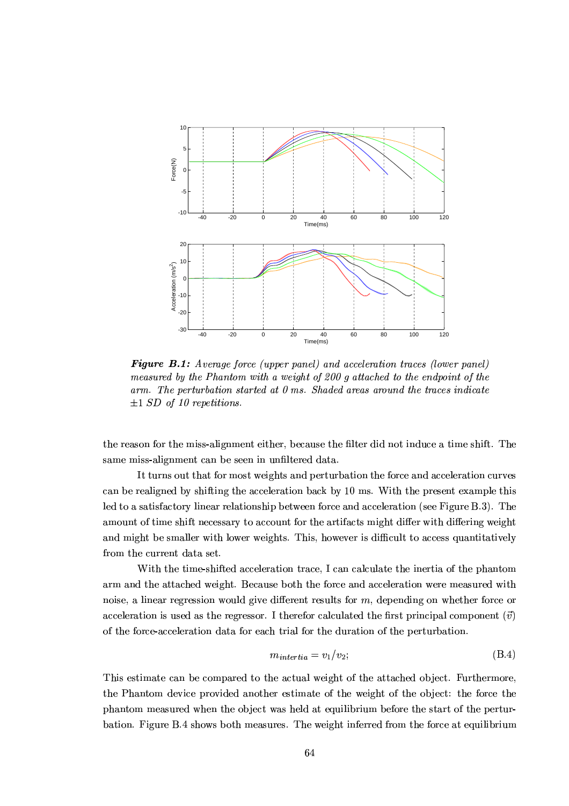

**Figure B.1:** Average force (upper panel) and acceleration traces (lower panel) measured by the Phantom with a weight of 200 g attached to the endpoint of the  $arm.$  The perturbation started at  $0$  ms. Shaded areas around the traces indicate  $\pm 1$  SD of 10 repetitions.

the reason for the miss-alignment either, because the filter did not induce a time shift. The same miss-alignment can be seen in unfiltered data.

It turns out that for most weights and perturbation the force and acceleration curves can be realigned by shifting the acceleration back by 10 ms. With the present example this led to a satisfactory linear relationship between force and acceleration (see Figure B.3). The amount of time shift necessary to account for the artifacts might differ with differing weight and might be smaller with lower weights. This, however is difficult to access quantitatively from the current data set.

With the time-shifted acceleration trace, I can calculate the inertia of the phantom arm and the attached weight. Because both the force and acceleration were measured with noise, a linear regression would give different results for  $m$ , depending on whether force or acceleration is used as the regressor. I therefor calculated the first principal component  $(\vec{v})$ of the force-acceleration data for each trial for the duration of the perturbation.

$$
m_{intertia} = v_1/v_2; \t\t(B.4)
$$

This estimate can be compared to the actual weight of the attached object. Furthermore, the Phantom device provided another estimate of the weight of the object: the force the phantom measured when the object was held at equilibrium before the start of the perturbation. Figure B.4 shows both measures. The weight inferred from the force at equilibrium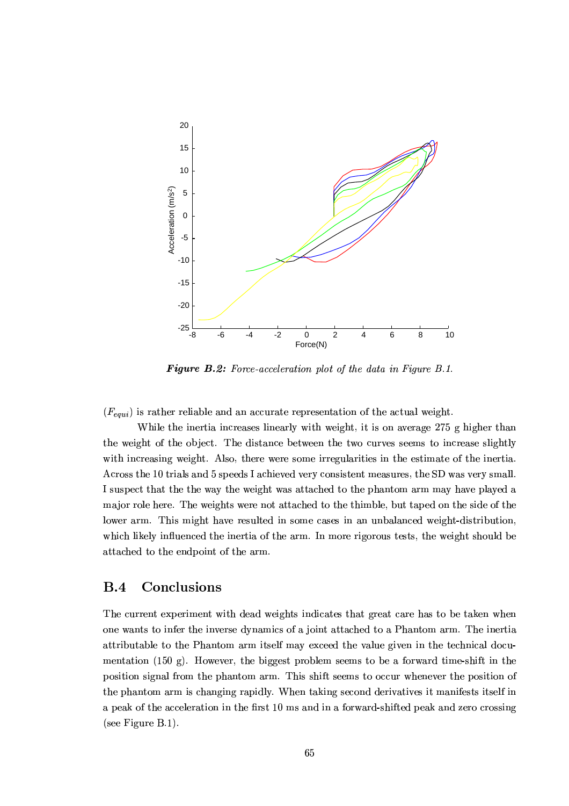

Figure B.2: Force-acceleration plot of the data in Figure B.1.

 $(F_{\text{equi}})$  is rather reliable and an accurate representation of the actual weight.

While the inertia increases linearly with weight, it is on average 275 g higher than the weight of the object. The distance between the two curves seems to increase slightly with increasing weight. Also, there were some irregularities in the estimate of the inertia. Across the 10 trials and 5 speeds I achieved very consistent measures, the SD was very small. I suspect that the the way the weight was attached to the phantom arm may have played a major role here. The weights were not attached to the thimble, but taped on the side of the lower arm. This might have resulted in some cases in an unbalanced weight-distribution. which likely influenced the inertia of the arm. In more rigorous tests, the weight should be attached to the endpoint of the arm.

## Conclusions  $B.4$

The current experiment with dead weights indicates that great care has to be taken when one wants to infer the inverse dynamics of a joint attached to a Phantom arm. The inertia attributable to the Phantom arm itself may exceed the value given in the technical documentation (150 g). However, the biggest problem seems to be a forward time-shift in the position signal from the phantom arm. This shift seems to occur whenever the position of the phantom arm is changing rapidly. When taking second derivatives it manifests itself in a peak of the acceleration in the first 10 ms and in a forward-shifted peak and zero crossing (see Figure  $B.1$ ).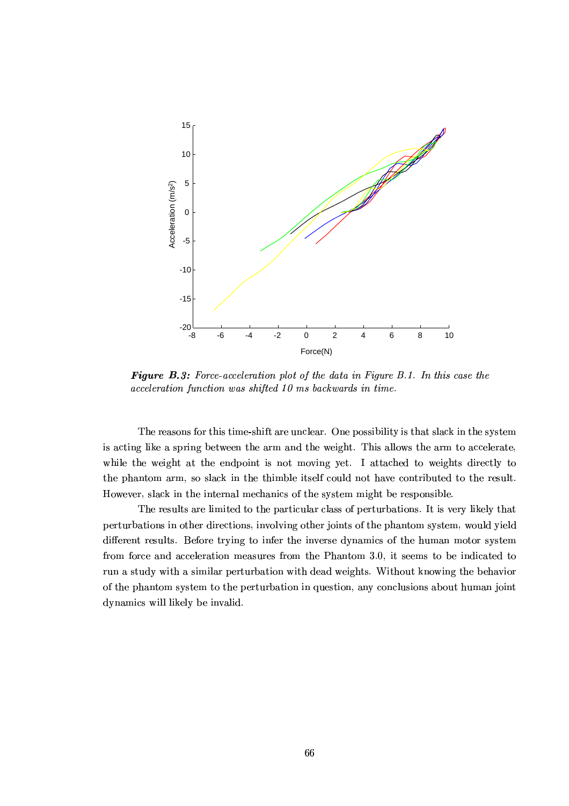

**Figure B.3:** Force-acceleration plot of the data in Figure B.1. In this case the acceleration function was shifted 10 ms backwards in time.

The reasons for this time-shift are unclear. One possibility is that slack in the system is acting like a spring between the arm and the weight. This allows the arm to accelerate, while the weight at the endpoint is not moving yet. I attached to weights directly to the phantom arm, so slack in the thimble itself could not have contributed to the result. However, slack in the internal mechanics of the system might be responsible.

The results are limited to the particular class of perturbations. It is very likely that perturbations in other directions, involving other joints of the phantom system, would yield different results. Before trying to infer the inverse dynamics of the human motor system from force and acceleration measures from the Phantom 3.0, it seems to be indicated to run a study with a similar perturbation with dead weights. Without knowing the behavior of the phantom system to the perturbation in question, any conclusions about human joint dynamics will likely be invalid.